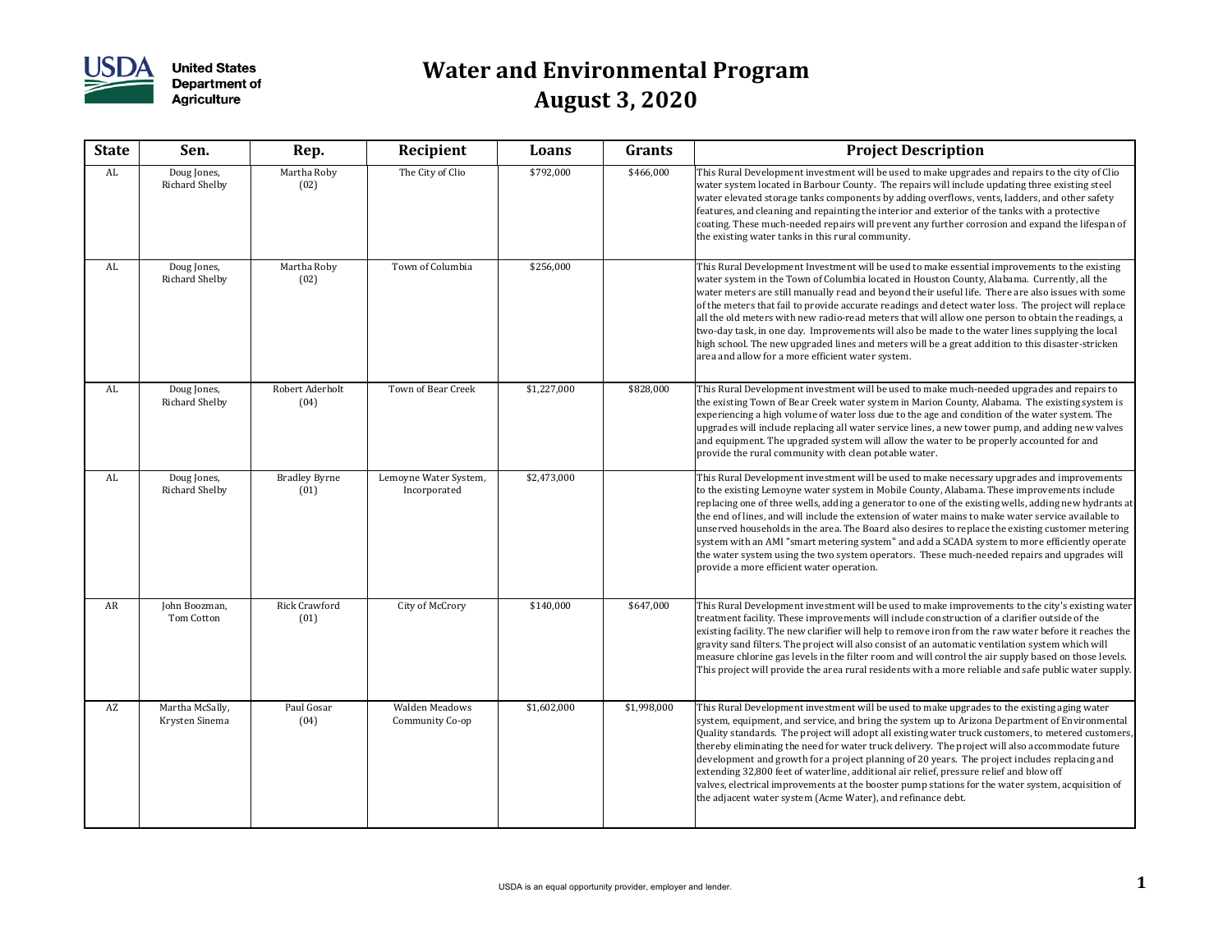

| <b>State</b> | Sen.                              | Rep.                         | Recipient                             | Loans       | Grants      | <b>Project Description</b>                                                                                                                                                                                                                                                                                                                                                                                                                                                                                                                                                                                                                                                                                                                                                    |
|--------------|-----------------------------------|------------------------------|---------------------------------------|-------------|-------------|-------------------------------------------------------------------------------------------------------------------------------------------------------------------------------------------------------------------------------------------------------------------------------------------------------------------------------------------------------------------------------------------------------------------------------------------------------------------------------------------------------------------------------------------------------------------------------------------------------------------------------------------------------------------------------------------------------------------------------------------------------------------------------|
| AL           | Doug Jones,<br>Richard Shelby     | Martha Roby<br>(02)          | The City of Clio                      | \$792,000   | \$466,000   | This Rural Development investment will be used to make upgrades and repairs to the city of Clio<br>water system located in Barbour County. The repairs will include updating three existing steel<br>water elevated storage tanks components by adding overflows, vents, ladders, and other safety<br>features, and cleaning and repainting the interior and exterior of the tanks with a protective<br>coating. These much-needed repairs will prevent any further corrosion and expand the lifespan of<br>the existing water tanks in this rural community.                                                                                                                                                                                                                 |
| AL           | Doug Jones,<br>Richard Shelby     | Martha Roby<br>(02)          | Town of Columbia                      | \$256,000   |             | This Rural Development Investment will be used to make essential improvements to the existing<br>water system in the Town of Columbia located in Houston County, Alabama. Currently, all the<br>water meters are still manually read and beyond their useful life. There are also issues with some<br>of the meters that fail to provide accurate readings and detect water loss. The project will replace<br>all the old meters with new radio-read meters that will allow one person to obtain the readings, a<br>two-day task, in one day. Improvements will also be made to the water lines supplying the local<br>high school. The new upgraded lines and meters will be a great addition to this disaster-stricken<br>area and allow for a more efficient water system. |
| AL           | Doug Jones,<br>Richard Shelby     | Robert Aderholt<br>(04)      | Town of Bear Creek                    | \$1,227,000 | \$828,000   | This Rural Development investment will be used to make much-needed upgrades and repairs to<br>the existing Town of Bear Creek water system in Marion County, Alabama. The existing system is<br>experiencing a high volume of water loss due to the age and condition of the water system. The<br>upgrades will include replacing all water service lines, a new tower pump, and adding new valves<br>and equipment. The upgraded system will allow the water to be properly accounted for and<br>provide the rural community with clean potable water.                                                                                                                                                                                                                       |
| AL           | Doug Jones,<br>Richard Shelby     | <b>Bradley Byrne</b><br>(01) | Lemoyne Water System,<br>Incorporated | \$2,473,000 |             | This Rural Development investment will be used to make necessary upgrades and improvements<br>to the existing Lemoyne water system in Mobile County, Alabama. These improvements include<br>replacing one of three wells, adding a generator to one of the existing wells, adding new hydrants at<br>the end of lines, and will include the extension of water mains to make water service available to<br>unserved households in the area. The Board also desires to replace the existing customer metering<br>system with an AMI "smart metering system" and add a SCADA system to more efficiently operate<br>the water system using the two system operators. These much-needed repairs and upgrades will<br>provide a more efficient water operation.                    |
| AR           | John Boozman,<br>Tom Cotton       | Rick Crawford<br>(01)        | City of McCrory                       | \$140,000   | \$647,000   | This Rural Development investment will be used to make improvements to the city's existing water<br>treatment facility. These improvements will include construction of a clarifier outside of the<br>existing facility. The new clarifier will help to remove iron from the raw water before it reaches the<br>gravity sand filters. The project will also consist of an automatic ventilation system which will<br>measure chlorine gas levels in the filter room and will control the air supply based on those levels.<br>This project will provide the area rural residents with a more reliable and safe public water supply.                                                                                                                                           |
| AZ           | Martha McSally,<br>Krysten Sinema | Paul Gosar<br>(04)           | Walden Meadows<br>Community Co-op     | \$1,602,000 | \$1,998,000 | This Rural Development investment will be used to make upgrades to the existing aging water<br>system, equipment, and service, and bring the system up to Arizona Department of Environmental<br>Quality standards. The project will adopt all existing water truck customers, to metered customers,<br>thereby eliminating the need for water truck delivery. The project will also accommodate future<br>development and growth for a project planning of 20 years. The project includes replacing and<br>extending 32,800 feet of waterline, additional air relief, pressure relief and blow off<br>valves, electrical improvements at the booster pump stations for the water system, acquisition of<br>the adjacent water system (Acme Water), and refinance debt.       |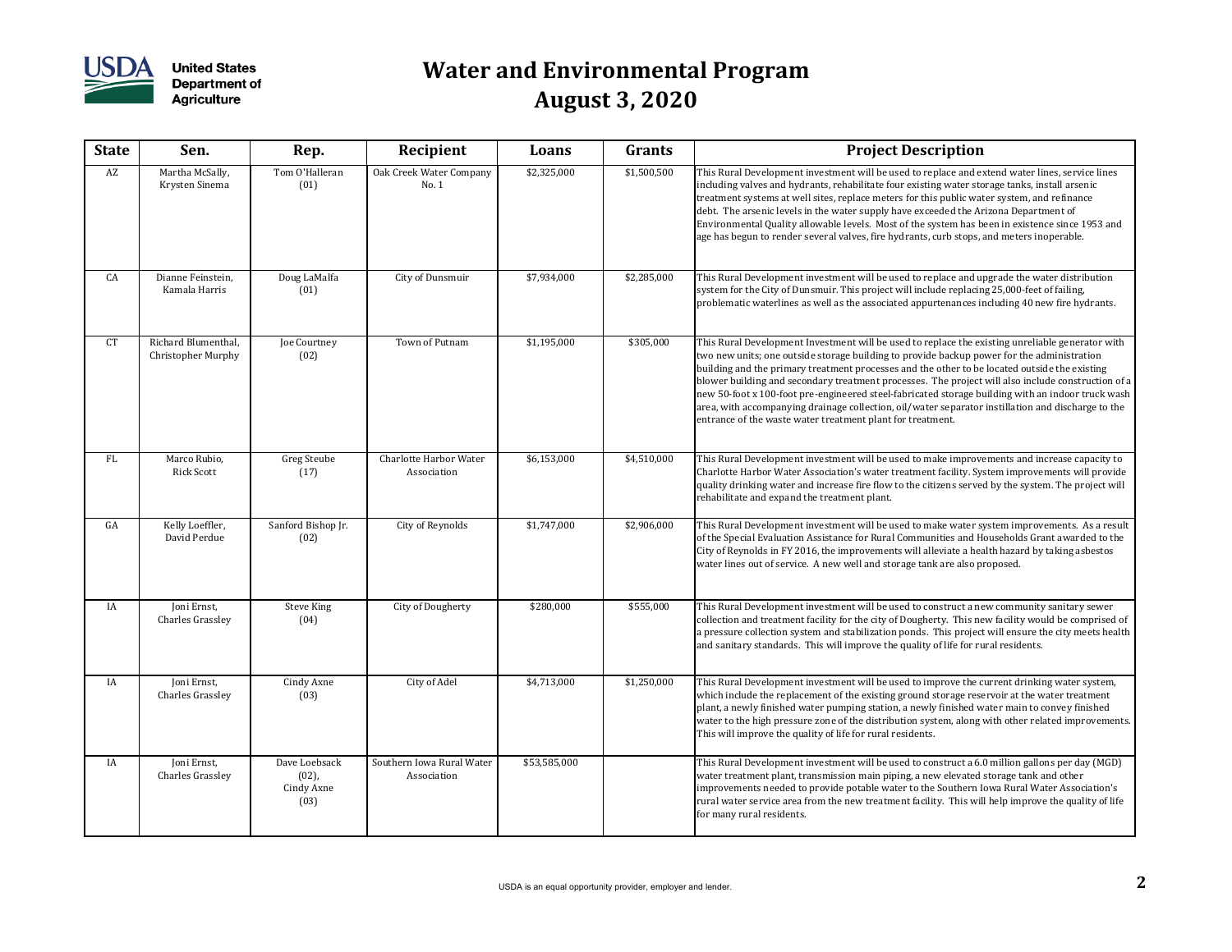

| <b>State</b> | Sen.                                      | Rep.                                            | Recipient                                | Loans        | Grants      | <b>Project Description</b>                                                                                                                                                                                                                                                                                                                                                                                                                                                                                                                                                                                                                                                     |
|--------------|-------------------------------------------|-------------------------------------------------|------------------------------------------|--------------|-------------|--------------------------------------------------------------------------------------------------------------------------------------------------------------------------------------------------------------------------------------------------------------------------------------------------------------------------------------------------------------------------------------------------------------------------------------------------------------------------------------------------------------------------------------------------------------------------------------------------------------------------------------------------------------------------------|
| AZ           | Martha McSally,<br>Krysten Sinema         | Tom O'Halleran<br>(01)                          | Oak Creek Water Company<br>No.1          | \$2,325,000  | \$1,500,500 | This Rural Development investment will be used to replace and extend water lines, service lines<br>including valves and hydrants, rehabilitate four existing water storage tanks, install arsenic<br>treatment systems at well sites, replace meters for this public water system, and refinance<br>debt. The arsenic levels in the water supply have exceeded the Arizona Department of<br>Environmental Quality allowable levels. Most of the system has been in existence since 1953 and<br>age has begun to render several valves, fire hydrants, curb stops, and meters inoperable.                                                                                       |
| CA           | Dianne Feinstein,<br>Kamala Harris        | Doug LaMalfa<br>(01)                            | City of Dunsmuir                         | \$7,934,000  | \$2,285,000 | This Rural Development investment will be used to replace and upgrade the water distribution<br>system for the City of Dunsmuir. This project will include replacing 25,000-feet of failing,<br>problematic waterlines as well as the associated appurtenances including 40 new fire hydrants.                                                                                                                                                                                                                                                                                                                                                                                 |
| CT           | Richard Blumenthal,<br>Christopher Murphy | Joe Courtney<br>(02)                            | Town of Putnam                           | \$1,195,000  | \$305,000   | This Rural Development Investment will be used to replace the existing unreliable generator with<br>two new units; one outside storage building to provide backup power for the administration<br>building and the primary treatment processes and the other to be located outside the existing<br>blower building and secondary treatment processes. The project will also include construction of a<br>new 50-foot x 100-foot pre-engineered steel-fabricated storage building with an indoor truck wash<br>area, with accompanying drainage collection, oil/water separator instillation and discharge to the<br>entrance of the waste water treatment plant for treatment. |
| FL           | Marco Rubio,<br><b>Rick Scott</b>         | Greg Steube<br>(17)                             | Charlotte Harbor Water<br>Association    | \$6,153,000  | \$4,510,000 | This Rural Development investment will be used to make improvements and increase capacity to<br>Charlotte Harbor Water Association's water treatment facility. System improvements will provide<br>quality drinking water and increase fire flow to the citizens served by the system. The project will<br>rehabilitate and expand the treatment plant.                                                                                                                                                                                                                                                                                                                        |
| GA           | Kelly Loeffler,<br>David Perdue           | Sanford Bishop Jr.<br>(02)                      | City of Reynolds                         | \$1,747,000  | \$2,906,000 | This Rural Development investment will be used to make water system improvements. As a result<br>of the Special Evaluation Assistance for Rural Communities and Households Grant awarded to the<br>City of Reynolds in FY 2016, the improvements will alleviate a health hazard by taking asbestos<br>water lines out of service. A new well and storage tank are also proposed.                                                                                                                                                                                                                                                                                               |
| IA           | Joni Ernst,<br>Charles Grassley           | <b>Steve King</b><br>(04)                       | City of Dougherty                        | \$280,000    | \$555,000   | This Rural Development investment will be used to construct a new community sanitary sewer<br>collection and treatment facility for the city of Dougherty. This new facility would be comprised of<br>a pressure collection system and stabilization ponds. This project will ensure the city meets health<br>and sanitary standards. This will improve the quality of life for rural residents.                                                                                                                                                                                                                                                                               |
| IA           | Joni Ernst,<br>Charles Grassley           | Cindy Axne<br>(03)                              | City of Adel                             | \$4,713,000  | \$1,250,000 | This Rural Development investment will be used to improve the current drinking water system,<br>which include the replacement of the existing ground storage reservoir at the water treatment<br>plant, a newly finished water pumping station, a newly finished water main to convey finished<br>water to the high pressure zone of the distribution system, along with other related improvements.<br>This will improve the quality of life for rural residents.                                                                                                                                                                                                             |
| IA           | Joni Ernst,<br>Charles Grassley           | Dave Loebsack<br>$(02)$ ,<br>Cindy Axne<br>(03) | Southern Iowa Rural Water<br>Association | \$53,585,000 |             | This Rural Development investment will be used to construct a 6.0 million gallons per day (MGD)<br>water treatment plant, transmission main piping, a new elevated storage tank and other<br>improvements needed to provide potable water to the Southern Iowa Rural Water Association's<br>rural water service area from the new treatment facility. This will help improve the quality of life<br>for many rural residents.                                                                                                                                                                                                                                                  |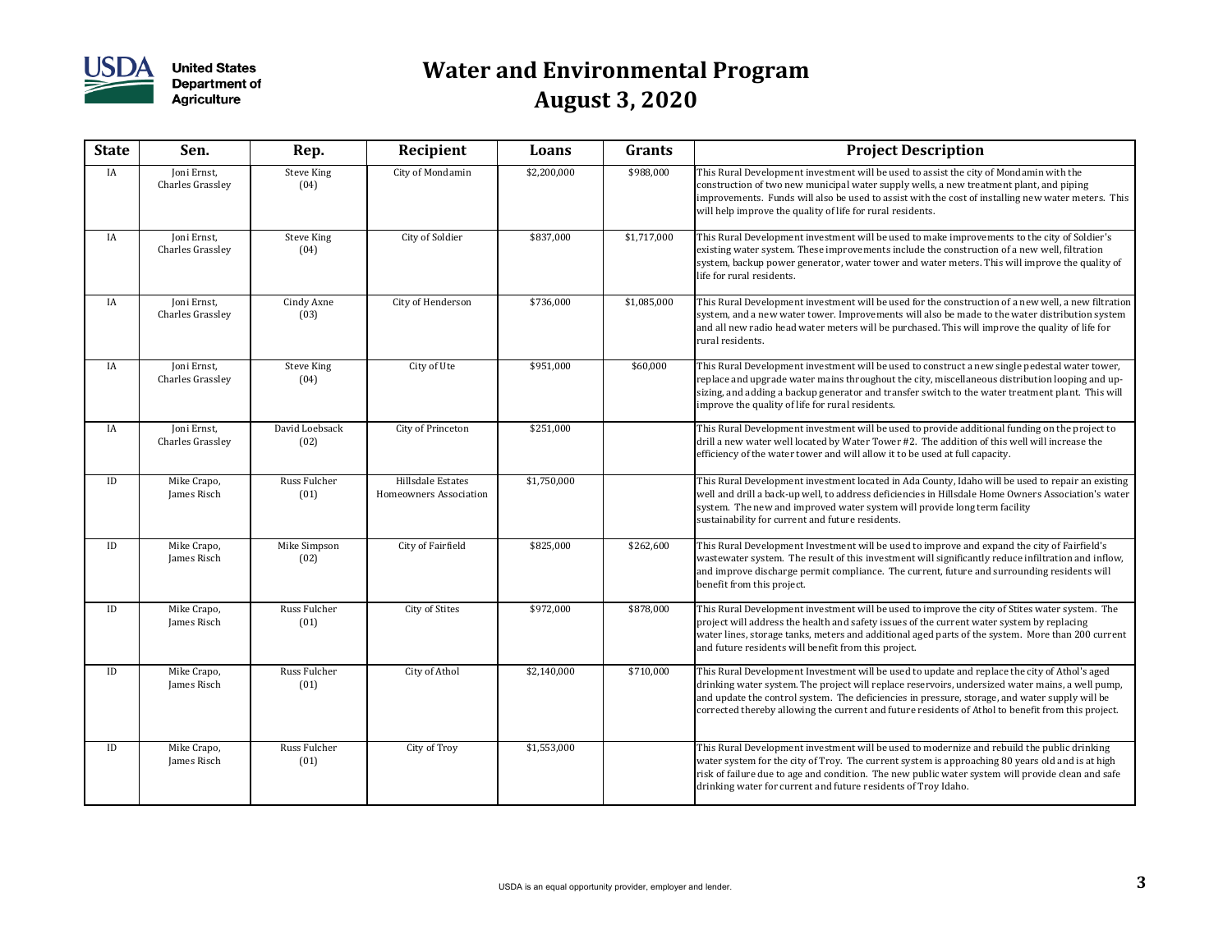

| <b>State</b> | Sen.                            | Rep.                      | Recipient                                   | Loans       | Grants      | <b>Project Description</b>                                                                                                                                                                                                                                                                                                                                                                                |
|--------------|---------------------------------|---------------------------|---------------------------------------------|-------------|-------------|-----------------------------------------------------------------------------------------------------------------------------------------------------------------------------------------------------------------------------------------------------------------------------------------------------------------------------------------------------------------------------------------------------------|
| IA           | Joni Ernst,<br>Charles Grassley | <b>Steve King</b><br>(04) | City of Mondamin                            | \$2,200,000 | \$988,000   | This Rural Development investment will be used to assist the city of Mondamin with the<br>construction of two new municipal water supply wells, a new treatment plant, and piping<br>improvements. Funds will also be used to assist with the cost of installing new water meters. This<br>will help improve the quality of life for rural residents.                                                     |
| IA           | Joni Ernst,<br>Charles Grassley | <b>Steve King</b><br>(04) | City of Soldier                             | \$837,000   | \$1,717,000 | This Rural Development investment will be used to make improvements to the city of Soldier's<br>existing water system. These improvements include the construction of a new well, filtration<br>system, backup power generator, water tower and water meters. This will improve the quality of<br>life for rural residents.                                                                               |
| IA           | Joni Ernst,<br>Charles Grassley | Cindy Axne<br>(03)        | City of Henderson                           | \$736,000   | \$1,085,000 | This Rural Development investment will be used for the construction of a new well, a new filtration<br>system, and a new water tower. Improvements will also be made to the water distribution system<br>and all new radio head water meters will be purchased. This will improve the quality of life for<br>rural residents.                                                                             |
| IA           | Joni Ernst,<br>Charles Grassley | <b>Steve King</b><br>(04) | City of Ute                                 | \$951,000   | \$60,000    | This Rural Development investment will be used to construct a new single pedestal water tower,<br>replace and upgrade water mains throughout the city, miscellaneous distribution looping and up-<br>sizing, and adding a backup generator and transfer switch to the water treatment plant. This will<br>improve the quality of life for rural residents.                                                |
| IA           | Joni Ernst,<br>Charles Grassley | David Loebsack<br>(02)    | City of Princeton                           | \$251,000   |             | This Rural Development investment will be used to provide additional funding on the project to<br>drill a new water well located by Water Tower #2. The addition of this well will increase the<br>efficiency of the water tower and will allow it to be used at full capacity.                                                                                                                           |
| ID           | Mike Crapo,<br>James Risch      | Russ Fulcher<br>(01)      | Hillsdale Estates<br>Homeowners Association | \$1,750,000 |             | This Rural Development investment located in Ada County, Idaho will be used to repair an existing<br>well and drill a back-up well, to address deficiencies in Hillsdale Home Owners Association's water<br>system. The new and improved water system will provide long term facility<br>sustainability for current and future residents.                                                                 |
| ID           | Mike Crapo,<br>James Risch      | Mike Simpson<br>(02)      | City of Fairfield                           | \$825,000   | \$262,600   | This Rural Development Investment will be used to improve and expand the city of Fairfield's<br>wastewater system. The result of this investment will significantly reduce infiltration and inflow,<br>and improve discharge permit compliance. The current, future and surrounding residents will<br>benefit from this project.                                                                          |
| ID           | Mike Crapo,<br>James Risch      | Russ Fulcher<br>(01)      | City of Stites                              | \$972,000   | \$878,000   | This Rural Development investment will be used to improve the city of Stites water system. The<br>project will address the health and safety issues of the current water system by replacing<br>water lines, storage tanks, meters and additional aged parts of the system. More than 200 current<br>and future residents will benefit from this project.                                                 |
| ID           | Mike Crapo,<br>James Risch      | Russ Fulcher<br>(01)      | City of Athol                               | \$2,140,000 | \$710,000   | This Rural Development Investment will be used to update and replace the city of Athol's aged<br>drinking water system. The project will replace reservoirs, undersized water mains, a well pump,<br>and update the control system. The deficiencies in pressure, storage, and water supply will be<br>corrected thereby allowing the current and future residents of Athol to benefit from this project. |
| ID           | Mike Crapo,<br>James Risch      | Russ Fulcher<br>(01)      | City of Troy                                | \$1,553,000 |             | This Rural Development investment will be used to modernize and rebuild the public drinking<br>water system for the city of Troy. The current system is approaching 80 years old and is at high<br>risk of failure due to age and condition. The new public water system will provide clean and safe<br>drinking water for current and future residents of Troy Idaho.                                    |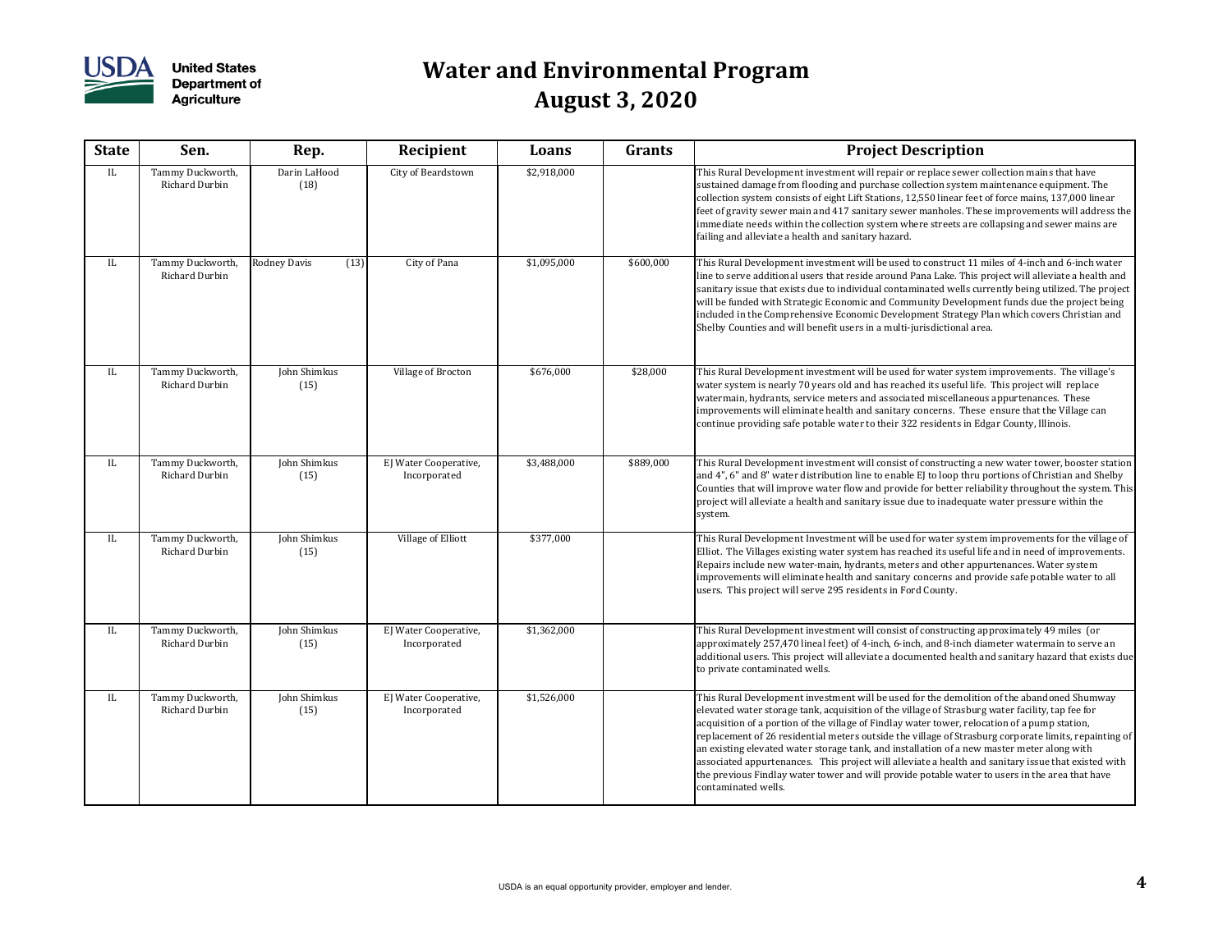

| <b>State</b> | Sen.                                      | Rep.                 | Recipient                             | Loans       | Grants    | <b>Project Description</b>                                                                                                                                                                                                                                                                                                                                                                                                                                                                                                                                                                                                                                                                                                             |
|--------------|-------------------------------------------|----------------------|---------------------------------------|-------------|-----------|----------------------------------------------------------------------------------------------------------------------------------------------------------------------------------------------------------------------------------------------------------------------------------------------------------------------------------------------------------------------------------------------------------------------------------------------------------------------------------------------------------------------------------------------------------------------------------------------------------------------------------------------------------------------------------------------------------------------------------------|
| IL           | Tammy Duckworth,<br>Richard Durbin        | Darin LaHood<br>(18) | City of Beardstown                    | \$2,918,000 |           | This Rural Development investment will repair or replace sewer collection mains that have<br>sustained damage from flooding and purchase collection system maintenance equipment. The<br>collection system consists of eight Lift Stations, 12,550 linear feet of force mains, 137,000 linear<br>feet of gravity sewer main and 417 sanitary sewer manholes. These improvements will address the<br>immediate needs within the collection system where streets are collapsing and sewer mains are<br>failing and alleviate a health and sanitary hazard.                                                                                                                                                                               |
| IL           | Tammy Duckworth,<br>Richard Durbin        | Rodney Davis<br>(13) | City of Pana                          | \$1,095,000 | \$600,000 | This Rural Development investment will be used to construct 11 miles of 4-inch and 6-inch water<br>line to serve additional users that reside around Pana Lake. This project will alleviate a health and<br>sanitary issue that exists due to individual contaminated wells currently being utilized. The project<br>will be funded with Strategic Economic and Community Development funds due the project being<br>included in the Comprehensive Economic Development Strategy Plan which covers Christian and<br>Shelby Counties and will benefit users in a multi-jurisdictional area.                                                                                                                                             |
| IL           | Tammy Duckworth,<br>Richard Durbin        | John Shimkus<br>(15) | Village of Brocton                    | \$676,000   | \$28,000  | This Rural Development investment will be used for water system improvements. The village's<br>water system is nearly 70 years old and has reached its useful life. This project will replace<br>watermain, hydrants, service meters and associated miscellaneous appurtenances. These<br>improvements will eliminate health and sanitary concerns. These ensure that the Village can<br>continue providing safe potable water to their 322 residents in Edgar County, Illinois.                                                                                                                                                                                                                                                       |
| IL           | Tammy Duckworth,<br><b>Richard Durbin</b> | John Shimkus<br>(15) | EJ Water Cooperative,<br>Incorporated | \$3,488,000 | \$889,000 | This Rural Development investment will consist of constructing a new water tower, booster station<br>and 4", 6" and 8" water distribution line to enable EJ to loop thru portions of Christian and Shelby<br>Counties that will improve water flow and provide for better reliability throughout the system. This<br>project will alleviate a health and sanitary issue due to inadequate water pressure within the<br>system.                                                                                                                                                                                                                                                                                                         |
| IL           | Tammy Duckworth,<br>Richard Durbin        | John Shimkus<br>(15) | Village of Elliott                    | \$377,000   |           | This Rural Development Investment will be used for water system improvements for the village of<br>Elliot. The Villages existing water system has reached its useful life and in need of improvements.<br>Repairs include new water-main, hydrants, meters and other appurtenances. Water system<br>improvements will eliminate health and sanitary concerns and provide safe potable water to all<br>users. This project will serve 295 residents in Ford County.                                                                                                                                                                                                                                                                     |
| IL           | Tammy Duckworth,<br>Richard Durbin        | John Shimkus<br>(15) | EJ Water Cooperative,<br>Incorporated | \$1,362,000 |           | This Rural Development investment will consist of constructing approximately 49 miles (or<br>approximately 257,470 lineal feet) of 4-inch, 6-inch, and 8-inch diameter watermain to serve an<br>additional users. This project will alleviate a documented health and sanitary hazard that exists due<br>to private contaminated wells.                                                                                                                                                                                                                                                                                                                                                                                                |
| IL           | Tammy Duckworth,<br><b>Richard Durbin</b> | John Shimkus<br>(15) | EJ Water Cooperative,<br>Incorporated | \$1,526,000 |           | This Rural Development investment will be used for the demolition of the abandoned Shumway<br>elevated water storage tank, acquisition of the village of Strasburg water facility, tap fee for<br>acquisition of a portion of the village of Findlay water tower, relocation of a pump station,<br>replacement of 26 residential meters outside the village of Strasburg corporate limits, repainting of<br>an existing elevated water storage tank, and installation of a new master meter along with<br>associated appurtenances. This project will alleviate a health and sanitary issue that existed with<br>the previous Findlay water tower and will provide potable water to users in the area that have<br>contaminated wells. |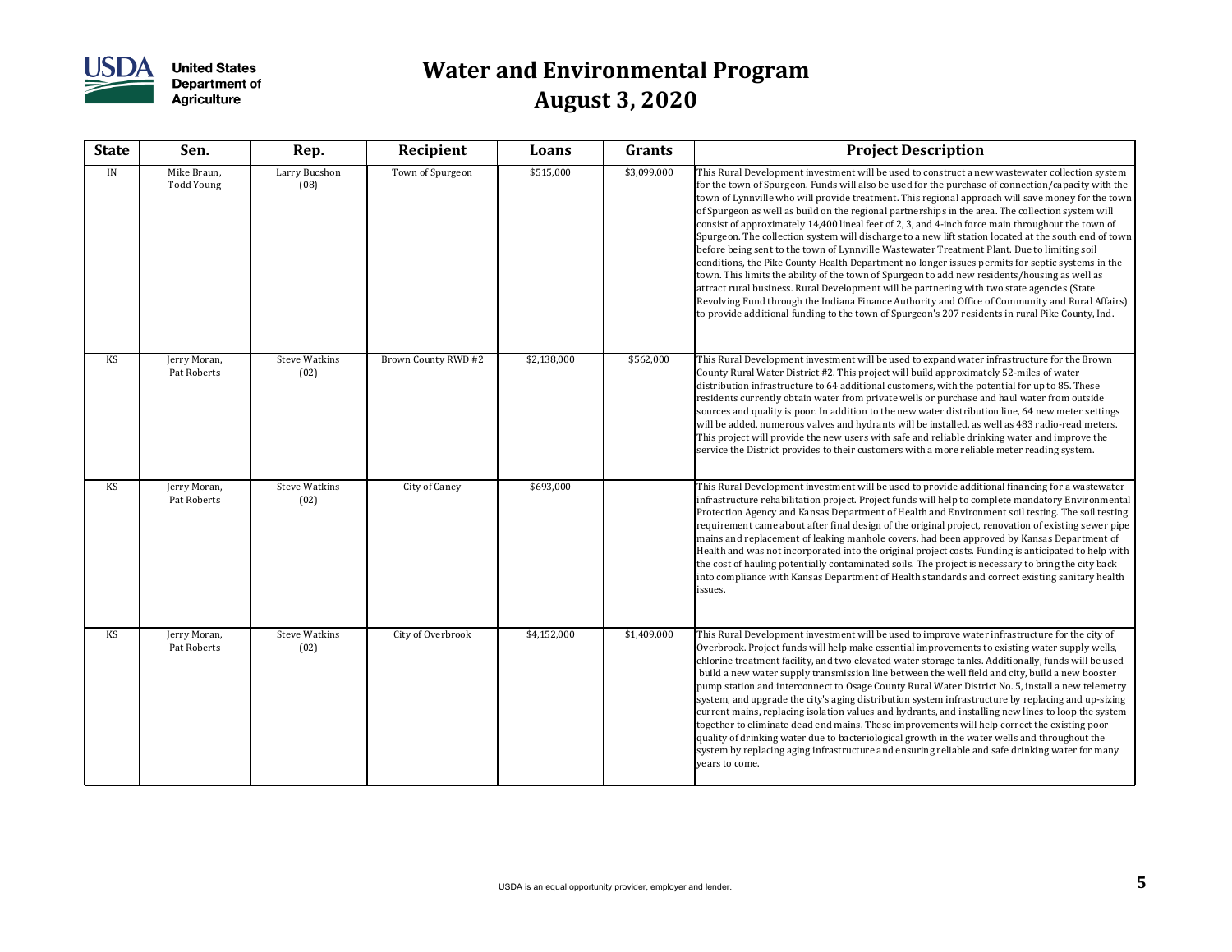

#### **United States Department of**

| <b>State</b> | Sen.                             | Rep.                         | Recipient           | Loans       | Grants      | <b>Project Description</b>                                                                                                                                                                                                                                                                                                                                                                                                                                                                                                                                                                                                                                                                                                                                                                                                                                                                                                                                                                                                                                                                                                                                                                                                             |
|--------------|----------------------------------|------------------------------|---------------------|-------------|-------------|----------------------------------------------------------------------------------------------------------------------------------------------------------------------------------------------------------------------------------------------------------------------------------------------------------------------------------------------------------------------------------------------------------------------------------------------------------------------------------------------------------------------------------------------------------------------------------------------------------------------------------------------------------------------------------------------------------------------------------------------------------------------------------------------------------------------------------------------------------------------------------------------------------------------------------------------------------------------------------------------------------------------------------------------------------------------------------------------------------------------------------------------------------------------------------------------------------------------------------------|
| IN           | Mike Braun,<br><b>Todd Young</b> | Larry Bucshon<br>(08)        | Town of Spurgeon    | \$515,000   | \$3,099,000 | This Rural Development investment will be used to construct a new wastewater collection system<br>for the town of Spurgeon. Funds will also be used for the purchase of connection/capacity with the<br>town of Lynnville who will provide treatment. This regional approach will save money for the town<br>of Spurgeon as well as build on the regional partnerships in the area. The collection system will<br>consist of approximately 14,400 lineal feet of 2, 3, and 4-inch force main throughout the town of<br>Spurgeon. The collection system will discharge to a new lift station located at the south end of town<br>before being sent to the town of Lynnville Wastewater Treatment Plant. Due to limiting soil<br>conditions, the Pike County Health Department no longer issues permits for septic systems in the<br>town. This limits the ability of the town of Spurgeon to add new residents/housing as well as<br>attract rural business. Rural Development will be partnering with two state agencies (State<br>Revolving Fund through the Indiana Finance Authority and Office of Community and Rural Affairs)<br>to provide additional funding to the town of Spurgeon's 207 residents in rural Pike County, Ind. |
| KS           | Jerry Moran,<br>Pat Roberts      | <b>Steve Watkins</b><br>(02) | Brown County RWD #2 | \$2,138,000 | \$562,000   | This Rural Development investment will be used to expand water infrastructure for the Brown<br>County Rural Water District #2. This project will build approximately 52-miles of water<br>distribution infrastructure to 64 additional customers, with the potential for up to 85. These<br>residents currently obtain water from private wells or purchase and haul water from outside<br>sources and quality is poor. In addition to the new water distribution line, 64 new meter settings<br>will be added, numerous valves and hydrants will be installed, as well as 483 radio-read meters.<br>This project will provide the new users with safe and reliable drinking water and improve the<br>service the District provides to their customers with a more reliable meter reading system.                                                                                                                                                                                                                                                                                                                                                                                                                                      |
| KS           | Jerry Moran,<br>Pat Roberts      | <b>Steve Watkins</b><br>(02) | City of Caney       | \$693,000   |             | This Rural Development investment will be used to provide additional financing for a wastewater<br>infrastructure rehabilitation project. Project funds will help to complete mandatory Environmental<br>Protection Agency and Kansas Department of Health and Environment soil testing. The soil testing<br>requirement came about after final design of the original project, renovation of existing sewer pipe<br>mains and replacement of leaking manhole covers, had been approved by Kansas Department of<br>Health and was not incorporated into the original project costs. Funding is anticipated to help with<br>the cost of hauling potentially contaminated soils. The project is necessary to bring the city back<br>into compliance with Kansas Department of Health standards and correct existing sanitary health<br>issues.                                                                                                                                                                                                                                                                                                                                                                                           |
| KS           | Jerry Moran,<br>Pat Roberts      | <b>Steve Watkins</b><br>(02) | City of Overbrook   | \$4,152,000 | \$1,409,000 | This Rural Development investment will be used to improve water infrastructure for the city of<br>Overbrook. Project funds will help make essential improvements to existing water supply wells,<br>chlorine treatment facility, and two elevated water storage tanks. Additionally, funds will be used<br>build a new water supply transmission line between the well field and city, build a new booster<br>pump station and interconnect to Osage County Rural Water District No. 5, install a new telemetry<br>system, and upgrade the city's aging distribution system infrastructure by replacing and up-sizing<br>current mains, replacing isolation values and hydrants, and installing new lines to loop the system<br>together to eliminate dead end mains. These improvements will help correct the existing poor<br>quality of drinking water due to bacteriological growth in the water wells and throughout the<br>system by replacing aging infrastructure and ensuring reliable and safe drinking water for many<br>years to come.                                                                                                                                                                                     |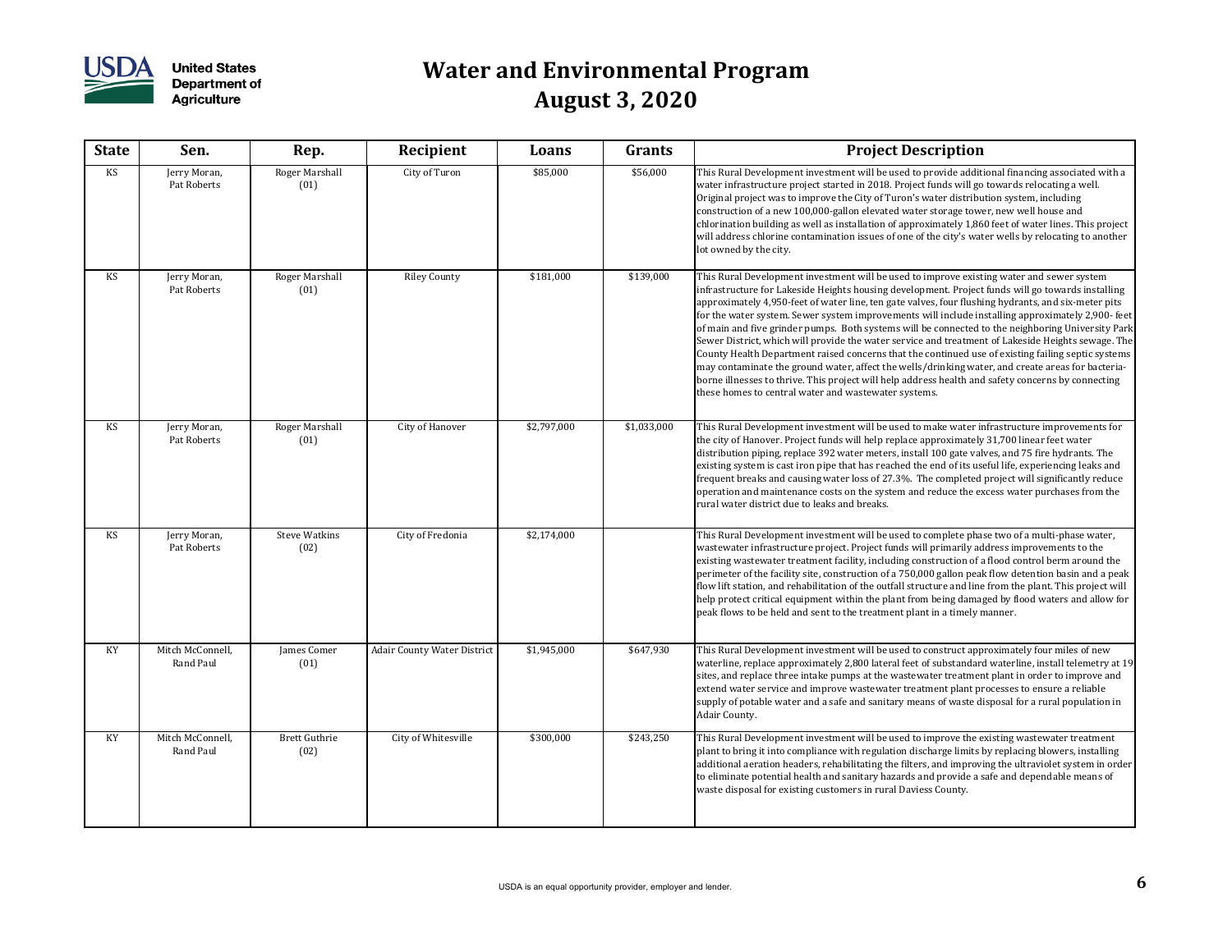

| <b>State</b> | Sen.                          | Rep.                         | Recipient                          | Loans       | Grants      | <b>Project Description</b>                                                                                                                                                                                                                                                                                                                                                                                                                                                                                                                                                                                                                                                                                                                                                                                                                                                                                                                                                                    |
|--------------|-------------------------------|------------------------------|------------------------------------|-------------|-------------|-----------------------------------------------------------------------------------------------------------------------------------------------------------------------------------------------------------------------------------------------------------------------------------------------------------------------------------------------------------------------------------------------------------------------------------------------------------------------------------------------------------------------------------------------------------------------------------------------------------------------------------------------------------------------------------------------------------------------------------------------------------------------------------------------------------------------------------------------------------------------------------------------------------------------------------------------------------------------------------------------|
| <b>KS</b>    | Jerry Moran,<br>Pat Roberts   | Roger Marshall<br>(01)       | City of Turon                      | \$85,000    | \$56,000    | This Rural Development investment will be used to provide additional financing associated with a<br>water infrastructure project started in 2018. Project funds will go towards relocating a well.<br>Original project was to improve the City of Turon's water distribution system, including<br>construction of a new 100,000-gallon elevated water storage tower, new well house and<br>chlorination building as well as installation of approximately 1,860 feet of water lines. This project<br>will address chlorine contamination issues of one of the city's water wells by relocating to another<br>lot owned by the city.                                                                                                                                                                                                                                                                                                                                                           |
| <b>KS</b>    | Jerry Moran,<br>Pat Roberts   | Roger Marshall<br>(01)       | <b>Riley County</b>                | \$181,000   | \$139,000   | This Rural Development investment will be used to improve existing water and sewer system<br>infrastructure for Lakeside Heights housing development. Project funds will go towards installing<br>approximately 4,950-feet of water line, ten gate valves, four flushing hydrants, and six-meter pits<br>for the water system. Sewer system improvements will include installing approximately 2,900-feet<br>of main and five grinder pumps. Both systems will be connected to the neighboring University Park<br>Sewer District, which will provide the water service and treatment of Lakeside Heights sewage. The<br>County Health Department raised concerns that the continued use of existing failing septic systems<br>may contaminate the ground water, affect the wells/drinking water, and create areas for bacteria-<br>borne illnesses to thrive. This project will help address health and safety concerns by connecting<br>these homes to central water and wastewater systems. |
| <b>KS</b>    | Jerry Moran,<br>Pat Roberts   | Roger Marshall<br>(01)       | City of Hanover                    | \$2,797,000 | \$1,033,000 | This Rural Development investment will be used to make water infrastructure improvements for<br>the city of Hanover. Project funds will help replace approximately 31,700 linear feet water<br>distribution piping, replace 392 water meters, install 100 gate valves, and 75 fire hydrants. The<br>existing system is cast iron pipe that has reached the end of its useful life, experiencing leaks and<br>frequent breaks and causing water loss of 27.3%. The completed project will significantly reduce<br>operation and maintenance costs on the system and reduce the excess water purchases from the<br>rural water district due to leaks and breaks.                                                                                                                                                                                                                                                                                                                                |
| <b>KS</b>    | Jerry Moran,<br>Pat Roberts   | <b>Steve Watkins</b><br>(02) | City of Fredonia                   | \$2,174,000 |             | This Rural Development investment will be used to complete phase two of a multi-phase water,<br>wastewater infrastructure project. Project funds will primarily address improvements to the<br>existing wastewater treatment facility, including construction of a flood control berm around the<br>perimeter of the facility site, construction of a 750,000 gallon peak flow detention basin and a peak<br>flow lift station, and rehabilitation of the outfall structure and line from the plant. This project will<br>help protect critical equipment within the plant from being damaged by flood waters and allow for<br>peak flows to be held and sent to the treatment plant in a timely manner.                                                                                                                                                                                                                                                                                      |
| KY           | Mitch McConnell,<br>Rand Paul | James Comer<br>(01)          | <b>Adair County Water District</b> | \$1,945,000 | \$647,930   | This Rural Development investment will be used to construct approximately four miles of new<br>waterline, replace approximately 2,800 lateral feet of substandard waterline, install telemetry at 19<br>sites, and replace three intake pumps at the wastewater treatment plant in order to improve and<br>extend water service and improve wastewater treatment plant processes to ensure a reliable<br>supply of potable water and a safe and sanitary means of waste disposal for a rural population in<br>Adair County.                                                                                                                                                                                                                                                                                                                                                                                                                                                                   |
| KY           | Mitch McConnell,<br>Rand Paul | <b>Brett Guthrie</b><br>(02) | City of Whitesville                | \$300,000   | \$243,250   | This Rural Development investment will be used to improve the existing wastewater treatment<br>plant to bring it into compliance with regulation discharge limits by replacing blowers, installing<br>additional aeration headers, rehabilitating the filters, and improving the ultraviolet system in order<br>to eliminate potential health and sanitary hazards and provide a safe and dependable means of<br>waste disposal for existing customers in rural Daviess County.                                                                                                                                                                                                                                                                                                                                                                                                                                                                                                               |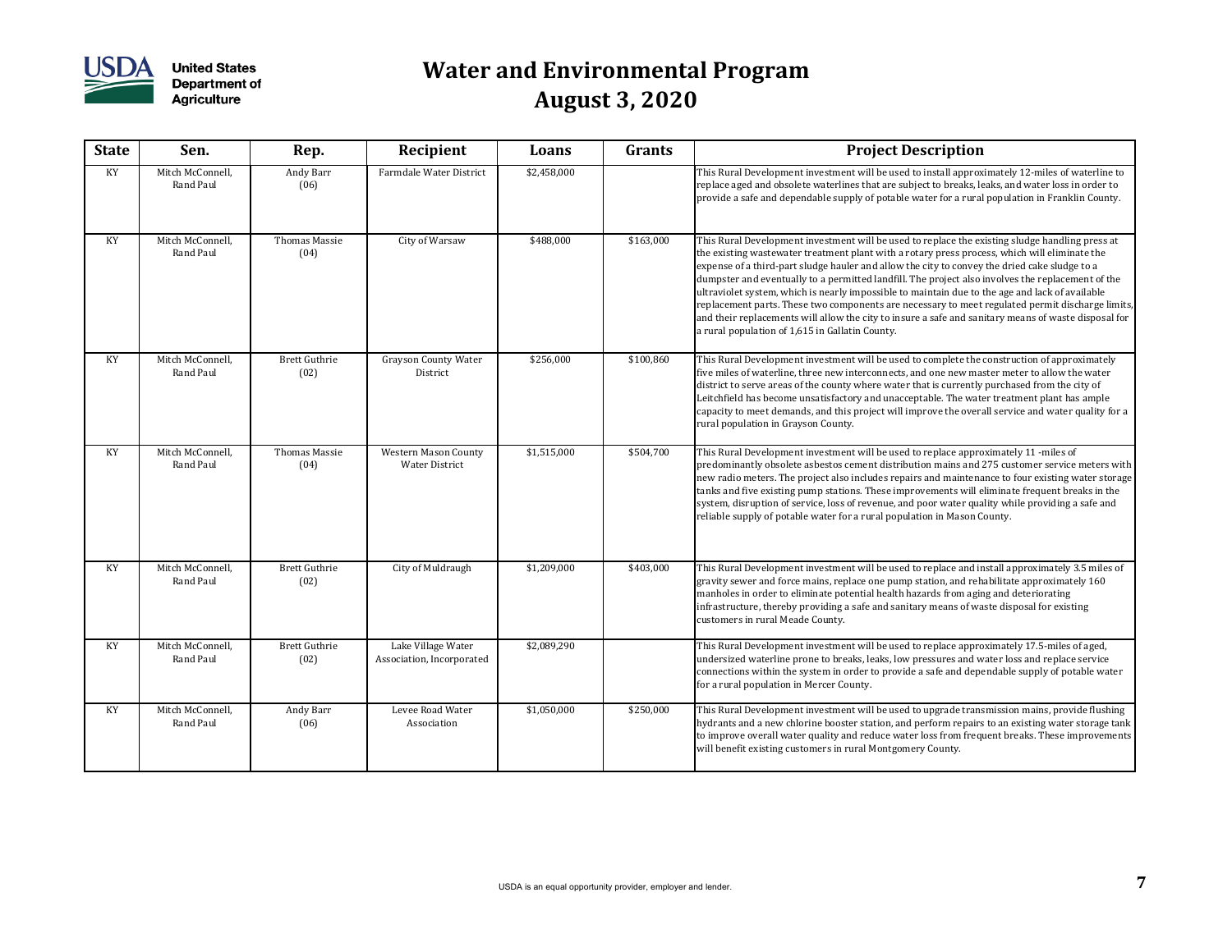

| <b>State</b> | Sen.                          | Rep.                         | Recipient                                            | Loans       | Grants    | <b>Project Description</b>                                                                                                                                                                                                                                                                                                                                                                                                                                                                                                                                                                                                                                                                                                                                               |
|--------------|-------------------------------|------------------------------|------------------------------------------------------|-------------|-----------|--------------------------------------------------------------------------------------------------------------------------------------------------------------------------------------------------------------------------------------------------------------------------------------------------------------------------------------------------------------------------------------------------------------------------------------------------------------------------------------------------------------------------------------------------------------------------------------------------------------------------------------------------------------------------------------------------------------------------------------------------------------------------|
| KY           | Mitch McConnell,<br>Rand Paul | Andy Barr<br>(06)            | Farmdale Water District                              | \$2,458,000 |           | This Rural Development investment will be used to install approximately 12-miles of waterline to<br>replace aged and obsolete waterlines that are subject to breaks, leaks, and water loss in order to<br>provide a safe and dependable supply of potable water for a rural population in Franklin County.                                                                                                                                                                                                                                                                                                                                                                                                                                                               |
| KY           | Mitch McConnell,<br>Rand Paul | Thomas Massie<br>(04)        | City of Warsaw                                       | \$488,000   | \$163,000 | This Rural Development investment will be used to replace the existing sludge handling press at<br>the existing wastewater treatment plant with a rotary press process, which will eliminate the<br>expense of a third-part sludge hauler and allow the city to convey the dried cake sludge to a<br>dumpster and eventually to a permitted landfill. The project also involves the replacement of the<br>ultraviolet system, which is nearly impossible to maintain due to the age and lack of available<br>replacement parts. These two components are necessary to meet regulated permit discharge limits,<br>and their replacements will allow the city to insure a safe and sanitary means of waste disposal for<br>a rural population of 1,615 in Gallatin County. |
| KY           | Mitch McConnell,<br>Rand Paul | <b>Brett Guthrie</b><br>(02) | <b>Grayson County Water</b><br>District              | \$256,000   | \$100,860 | This Rural Development investment will be used to complete the construction of approximately<br>five miles of waterline, three new interconnects, and one new master meter to allow the water<br>district to serve areas of the county where water that is currently purchased from the city of<br>Leitchfield has become unsatisfactory and unacceptable. The water treatment plant has ample<br>capacity to meet demands, and this project will improve the overall service and water quality for a<br>rural population in Grayson County.                                                                                                                                                                                                                             |
| KY           | Mitch McConnell,<br>Rand Paul | <b>Thomas Massie</b><br>(04) | <b>Western Mason County</b><br><b>Water District</b> | \$1,515,000 | \$504,700 | This Rural Development investment will be used to replace approximately 11 -miles of<br>predominantly obsolete asbestos cement distribution mains and 275 customer service meters with<br>new radio meters. The project also includes repairs and maintenance to four existing water storage<br>tanks and five existing pump stations. These improvements will eliminate frequent breaks in the<br>system, disruption of service, loss of revenue, and poor water quality while providing a safe and<br>reliable supply of potable water for a rural population in Mason County.                                                                                                                                                                                         |
| KY           | Mitch McConnell,<br>Rand Paul | <b>Brett Guthrie</b><br>(02) | City of Muldraugh                                    | \$1,209,000 | \$403,000 | This Rural Development investment will be used to replace and install approximately 3.5 miles of<br>gravity sewer and force mains, replace one pump station, and rehabilitate approximately 160<br>manholes in order to eliminate potential health hazards from aging and deteriorating<br>infrastructure, thereby providing a safe and sanitary means of waste disposal for existing<br>customers in rural Meade County.                                                                                                                                                                                                                                                                                                                                                |
| KY           | Mitch McConnell,<br>Rand Paul | <b>Brett Guthrie</b><br>(02) | Lake Village Water<br>Association, Incorporated      | \$2,089,290 |           | This Rural Development investment will be used to replace approximately 17.5-miles of aged,<br>undersized waterline prone to breaks, leaks, low pressures and water loss and replace service<br>connections within the system in order to provide a safe and dependable supply of potable water<br>for a rural population in Mercer County.                                                                                                                                                                                                                                                                                                                                                                                                                              |
| KY           | Mitch McConnell,<br>Rand Paul | Andy Barr<br>(06)            | Levee Road Water<br>Association                      | \$1,050,000 | \$250,000 | This Rural Development investment will be used to upgrade transmission mains, provide flushing<br>hydrants and a new chlorine booster station, and perform repairs to an existing water storage tank<br>to improve overall water quality and reduce water loss from frequent breaks. These improvements<br>will benefit existing customers in rural Montgomery County.                                                                                                                                                                                                                                                                                                                                                                                                   |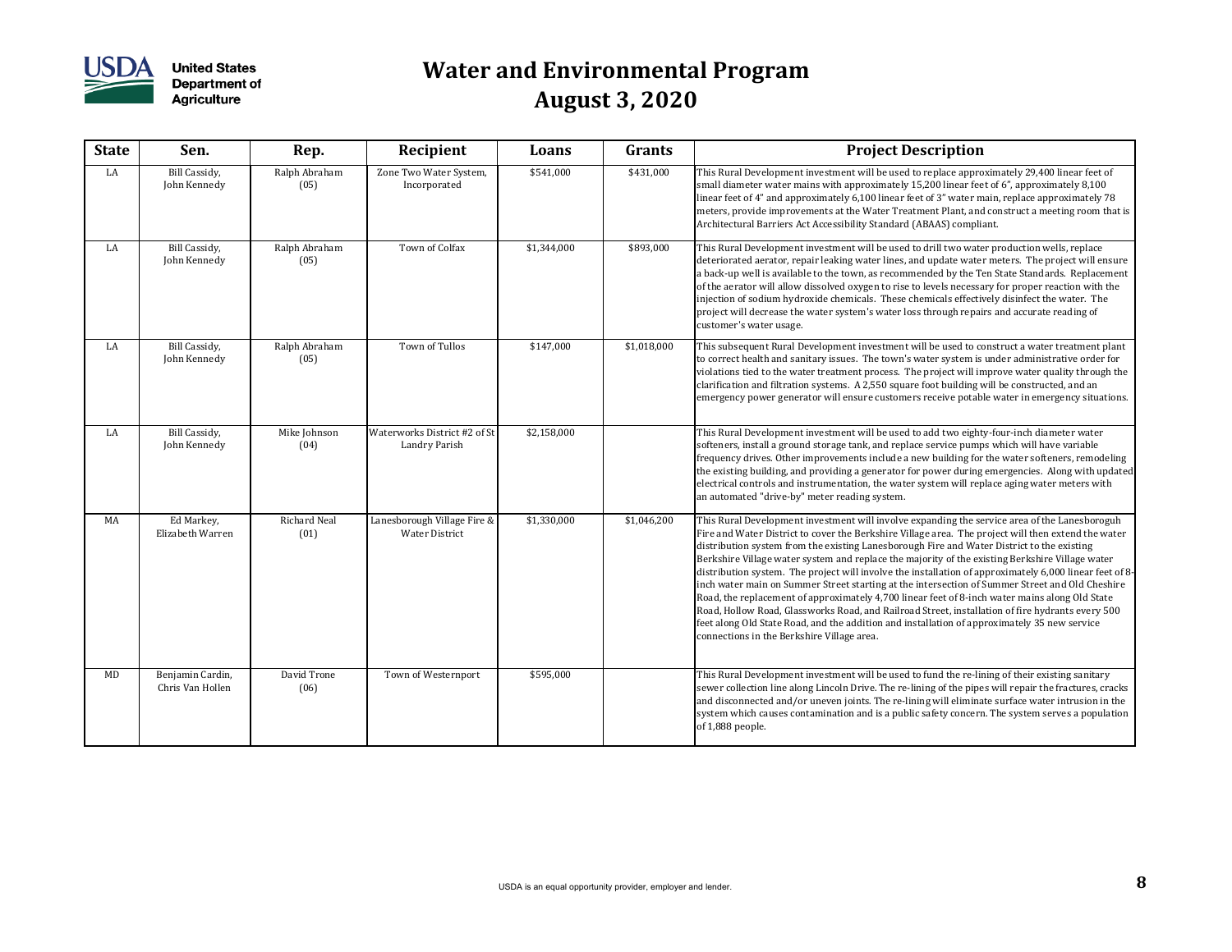

| <b>State</b> | Sen.                                 | Rep.                  | Recipient                                            | Loans       | Grants      | <b>Project Description</b>                                                                                                                                                                                                                                                                                                                                                                                                                                                                                                                                                                                                                                                                                                                                                                                                                                                                                                                                              |
|--------------|--------------------------------------|-----------------------|------------------------------------------------------|-------------|-------------|-------------------------------------------------------------------------------------------------------------------------------------------------------------------------------------------------------------------------------------------------------------------------------------------------------------------------------------------------------------------------------------------------------------------------------------------------------------------------------------------------------------------------------------------------------------------------------------------------------------------------------------------------------------------------------------------------------------------------------------------------------------------------------------------------------------------------------------------------------------------------------------------------------------------------------------------------------------------------|
| LA           | Bill Cassidy,<br>John Kennedy        | Ralph Abraham<br>(05) | Zone Two Water System,<br>Incorporated               | \$541,000   | \$431,000   | This Rural Development investment will be used to replace approximately 29,400 linear feet of<br>small diameter water mains with approximately 15,200 linear feet of 6", approximately 8,100<br>linear feet of 4" and approximately 6,100 linear feet of 3" water main, replace approximately 78<br>meters, provide improvements at the Water Treatment Plant, and construct a meeting room that is<br>Architectural Barriers Act Accessibility Standard (ABAAS) compliant.                                                                                                                                                                                                                                                                                                                                                                                                                                                                                             |
| LA           | Bill Cassidy,<br>John Kennedy        | Ralph Abraham<br>(05) | Town of Colfax                                       | \$1,344,000 | \$893,000   | This Rural Development investment will be used to drill two water production wells, replace<br>deteriorated aerator, repair leaking water lines, and update water meters. The project will ensure<br>a back-up well is available to the town, as recommended by the Ten State Standards. Replacement<br>of the aerator will allow dissolved oxygen to rise to levels necessary for proper reaction with the<br>injection of sodium hydroxide chemicals. These chemicals effectively disinfect the water. The<br>project will decrease the water system's water loss through repairs and accurate reading of<br>customer's water usage.                                                                                                                                                                                                                                                                                                                                  |
| LA           | Bill Cassidy,<br>John Kennedy        | Ralph Abraham<br>(05) | Town of Tullos                                       | \$147,000   | \$1,018,000 | This subsequent Rural Development investment will be used to construct a water treatment plant<br>to correct health and sanitary issues. The town's water system is under administrative order for<br>violations tied to the water treatment process. The project will improve water quality through the<br>clarification and filtration systems. A 2,550 square foot building will be constructed, and an<br>emergency power generator will ensure customers receive potable water in emergency situations.                                                                                                                                                                                                                                                                                                                                                                                                                                                            |
| LA           | Bill Cassidy,<br>John Kennedy        | Mike Johnson<br>(04)  | Waterworks District #2 of St<br>Landry Parish        | \$2,158,000 |             | This Rural Development investment will be used to add two eighty-four-inch diameter water<br>softeners, install a ground storage tank, and replace service pumps which will have variable<br>frequency drives. Other improvements include a new building for the water softeners, remodeling<br>the existing building, and providing a generator for power during emergencies. Along with updated<br>electrical controls and instrumentation, the water system will replace aging water meters with<br>an automated "drive-by" meter reading system.                                                                                                                                                                                                                                                                                                                                                                                                                    |
| MA           | Ed Markey,<br>Elizabeth Warren       | Richard Neal<br>(01)  | Lanesborough Village Fire &<br><b>Water District</b> | \$1,330,000 | \$1,046,200 | This Rural Development investment will involve expanding the service area of the Lanesboroguh<br>Fire and Water District to cover the Berkshire Village area. The project will then extend the water<br>distribution system from the existing Lanesborough Fire and Water District to the existing<br>Berkshire Village water system and replace the majority of the existing Berkshire Village water<br>distribution system. The project will involve the installation of approximately 6,000 linear feet of 8-<br>inch water main on Summer Street starting at the intersection of Summer Street and Old Cheshire<br>Road, the replacement of approximately 4,700 linear feet of 8-inch water mains along Old State<br>Road, Hollow Road, Glassworks Road, and Railroad Street, installation of fire hydrants every 500<br>feet along Old State Road, and the addition and installation of approximately 35 new service<br>connections in the Berkshire Village area. |
| MD           | Benjamin Cardin,<br>Chris Van Hollen | David Trone<br>(06)   | Town of Westernport                                  | \$595,000   |             | This Rural Development investment will be used to fund the re-lining of their existing sanitary<br>sewer collection line along Lincoln Drive. The re-lining of the pipes will repair the fractures, cracks<br>and disconnected and/or uneven joints. The re-lining will eliminate surface water intrusion in the<br>system which causes contamination and is a public safety concern. The system serves a population<br>of 1,888 people.                                                                                                                                                                                                                                                                                                                                                                                                                                                                                                                                |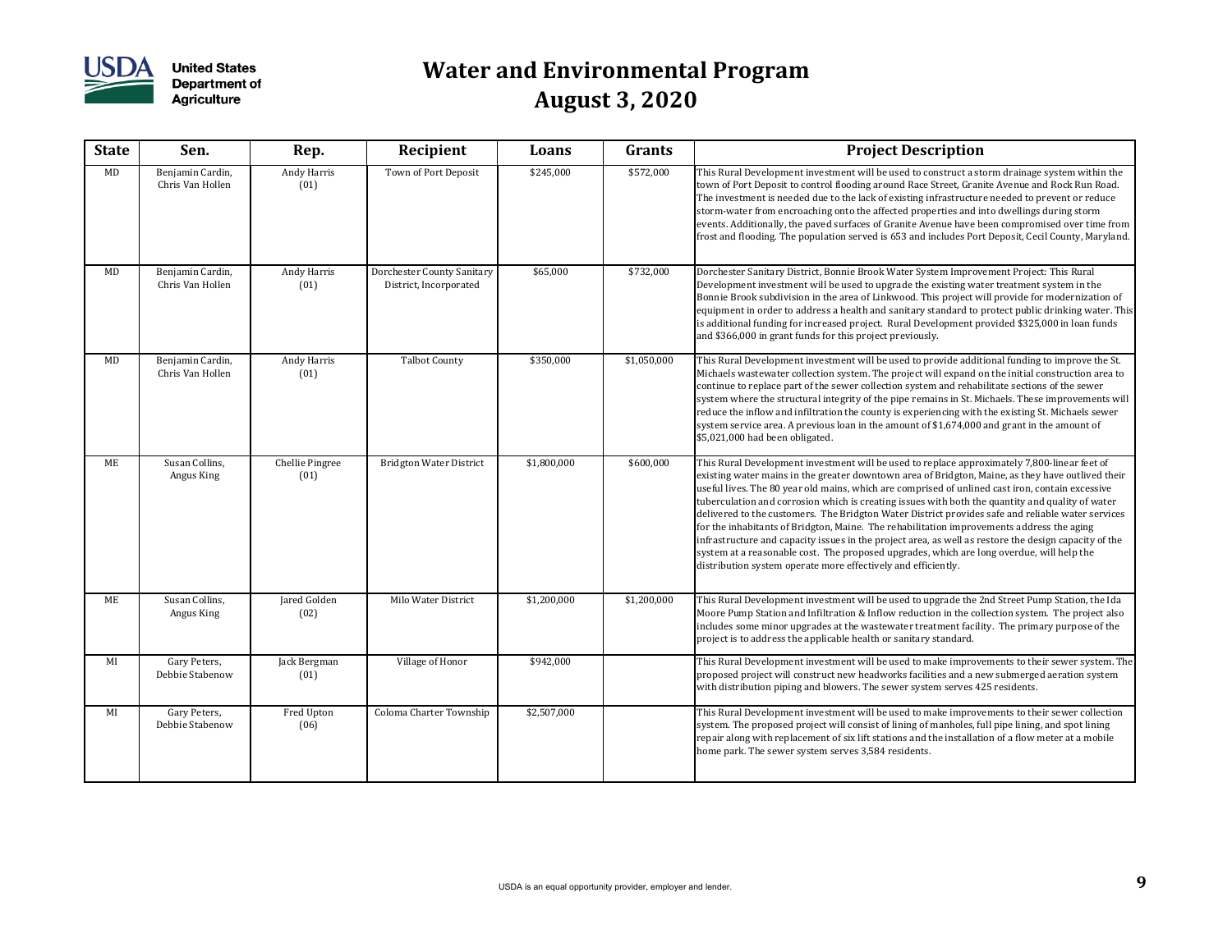

| <b>State</b> | Sen.                                 | Rep.                    | Recipient                                            | Loans       | <b>Grants</b> | <b>Project Description</b>                                                                                                                                                                                                                                                                                                                                                                                                                                                                                                                                                                                                                                                                                                                                                                                                                                                         |
|--------------|--------------------------------------|-------------------------|------------------------------------------------------|-------------|---------------|------------------------------------------------------------------------------------------------------------------------------------------------------------------------------------------------------------------------------------------------------------------------------------------------------------------------------------------------------------------------------------------------------------------------------------------------------------------------------------------------------------------------------------------------------------------------------------------------------------------------------------------------------------------------------------------------------------------------------------------------------------------------------------------------------------------------------------------------------------------------------------|
| MD           | Benjamin Cardin,<br>Chris Van Hollen | Andy Harris<br>(01)     | Town of Port Deposit                                 | \$245,000   | \$572,000     | This Rural Development investment will be used to construct a storm drainage system within the<br>town of Port Deposit to control flooding around Race Street, Granite Avenue and Rock Run Road.<br>The investment is needed due to the lack of existing infrastructure needed to prevent or reduce<br>storm-water from encroaching onto the affected properties and into dwellings during storm<br>events. Additionally, the paved surfaces of Granite Avenue have been compromised over time from<br>frost and flooding. The population served is 653 and includes Port Deposit, Cecil County, Maryland.                                                                                                                                                                                                                                                                         |
| MD           | Benjamin Cardin,<br>Chris Van Hollen | Andy Harris<br>(01)     | Dorchester County Sanitary<br>District, Incorporated | \$65,000    | \$732,000     | Dorchester Sanitary District, Bonnie Brook Water System Improvement Project: This Rural<br>Development investment will be used to upgrade the existing water treatment system in the<br>Bonnie Brook subdivision in the area of Linkwood. This project will provide for modernization of<br>equipment in order to address a health and sanitary standard to protect public drinking water. This<br>is additional funding for increased project. Rural Development provided \$325,000 in loan funds<br>and \$366,000 in grant funds for this project previously.                                                                                                                                                                                                                                                                                                                    |
| MD           | Benjamin Cardin,<br>Chris Van Hollen | Andy Harris<br>(01)     | <b>Talbot County</b>                                 | \$350,000   | \$1,050,000   | This Rural Development investment will be used to provide additional funding to improve the St.<br>Michaels wastewater collection system. The project will expand on the initial construction area to<br>continue to replace part of the sewer collection system and rehabilitate sections of the sewer<br>system where the structural integrity of the pipe remains in St. Michaels. These improvements will<br>reduce the inflow and infiltration the county is experiencing with the existing St. Michaels sewer<br>system service area. A previous loan in the amount of \$1,674,000 and grant in the amount of<br>\$5,021,000 had been obligated.                                                                                                                                                                                                                             |
| ME           | Susan Collins,<br>Angus King         | Chellie Pingree<br>(01) | <b>Bridgton Water District</b>                       | \$1,800,000 | \$600,000     | This Rural Development investment will be used to replace approximately 7,800-linear feet of<br>existing water mains in the greater downtown area of Bridgton, Maine, as they have outlived their<br>useful lives. The 80 year old mains, which are comprised of unlined cast iron, contain excessive<br>tuberculation and corrosion which is creating issues with both the quantity and quality of water<br>delivered to the customers. The Bridgton Water District provides safe and reliable water services<br>for the inhabitants of Bridgton, Maine. The rehabilitation improvements address the aging<br>infrastructure and capacity issues in the project area, as well as restore the design capacity of the<br>system at a reasonable cost. The proposed upgrades, which are long overdue, will help the<br>distribution system operate more effectively and efficiently. |
| ME           | Susan Collins,<br>Angus King         | Jared Golden<br>(02)    | Milo Water District                                  | \$1,200,000 | \$1,200,000   | This Rural Development investment will be used to upgrade the 2nd Street Pump Station, the Ida<br>Moore Pump Station and Infiltration & Inflow reduction in the collection system. The project also<br>includes some minor upgrades at the wastewater treatment facility. The primary purpose of the<br>project is to address the applicable health or sanitary standard.                                                                                                                                                                                                                                                                                                                                                                                                                                                                                                          |
| MI           | Gary Peters,<br>Debbie Stabenow      | Jack Bergman<br>(01)    | Village of Honor                                     | \$942,000   |               | This Rural Development investment will be used to make improvements to their sewer system. The<br>proposed project will construct new headworks facilities and a new submerged aeration system<br>with distribution piping and blowers. The sewer system serves 425 residents.                                                                                                                                                                                                                                                                                                                                                                                                                                                                                                                                                                                                     |
| MI           | Gary Peters,<br>Debbie Stabenow      | Fred Upton<br>(06)      | Coloma Charter Township                              | \$2,507,000 |               | This Rural Development investment will be used to make improvements to their sewer collection<br>system. The proposed project will consist of lining of manholes, full pipe lining, and spot lining<br>repair along with replacement of six lift stations and the installation of a flow meter at a mobile<br>home park. The sewer system serves 3,584 residents.                                                                                                                                                                                                                                                                                                                                                                                                                                                                                                                  |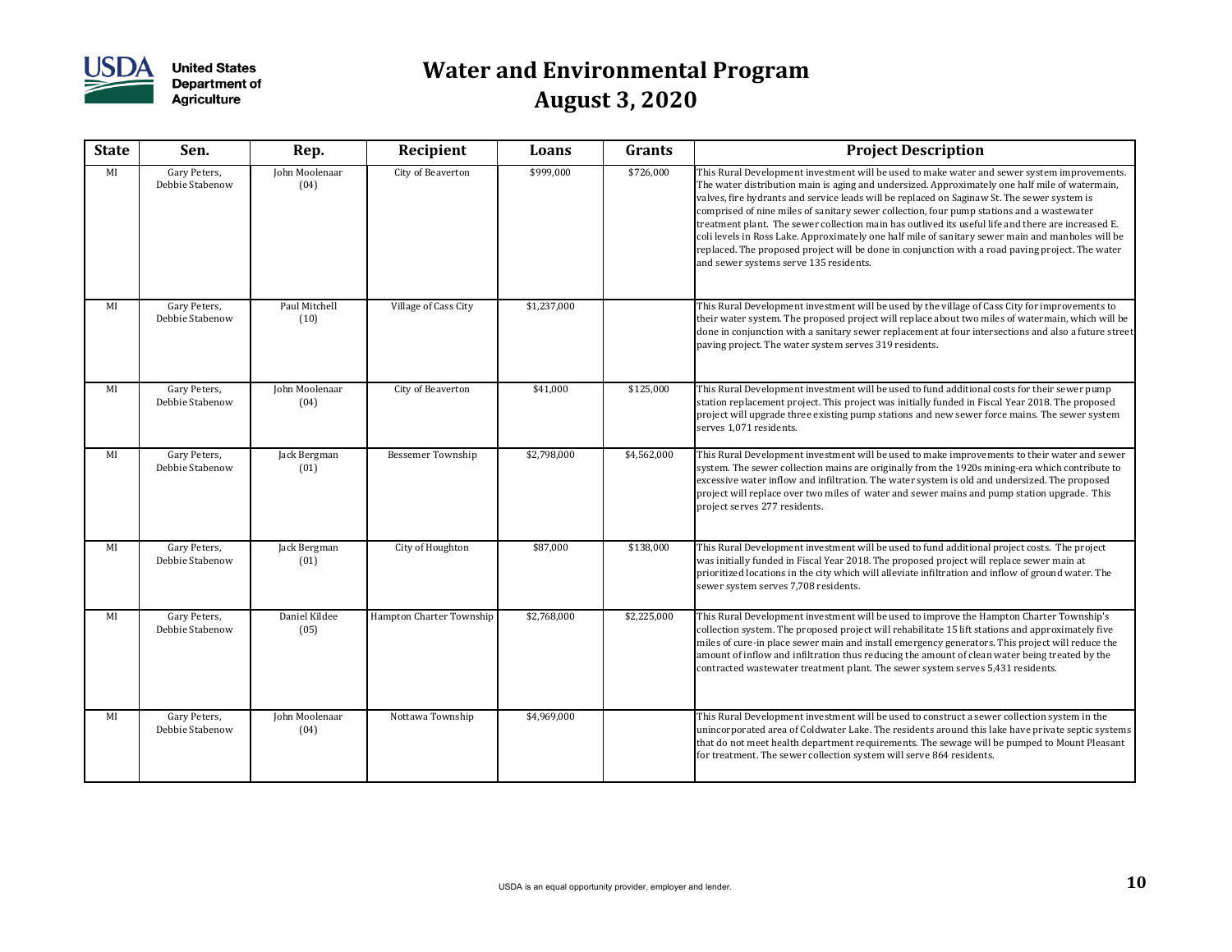

| <b>State</b> | Sen.                            | Rep.                   | Recipient                | Loans       | Grants      | <b>Project Description</b>                                                                                                                                                                                                                                                                                                                                                                                                                                                                                                                                                                                                                                                                                                                         |
|--------------|---------------------------------|------------------------|--------------------------|-------------|-------------|----------------------------------------------------------------------------------------------------------------------------------------------------------------------------------------------------------------------------------------------------------------------------------------------------------------------------------------------------------------------------------------------------------------------------------------------------------------------------------------------------------------------------------------------------------------------------------------------------------------------------------------------------------------------------------------------------------------------------------------------------|
| MI           | Gary Peters,<br>Debbie Stabenow | John Moolenaar<br>(04) | City of Beaverton        | \$999,000   | \$726,000   | This Rural Development investment will be used to make water and sewer system improvements.<br>The water distribution main is aging and undersized. Approximately one half mile of watermain,<br>valves, fire hydrants and service leads will be replaced on Saginaw St. The sewer system is<br>comprised of nine miles of sanitary sewer collection, four pump stations and a wastewater<br>treatment plant. The sewer collection main has outlived its useful life and there are increased E.<br>coli levels in Ross Lake. Approximately one half mile of sanitary sewer main and manholes will be<br>replaced. The proposed project will be done in conjunction with a road paving project. The water<br>and sewer systems serve 135 residents. |
| MI           | Gary Peters,<br>Debbie Stabenow | Paul Mitchell<br>(10)  | Village of Cass City     | \$1,237,000 |             | This Rural Development investment will be used by the village of Cass City for improvements to<br>their water system. The proposed project will replace about two miles of watermain, which will be<br>done in conjunction with a sanitary sewer replacement at four intersections and also a future street<br>paving project. The water system serves 319 residents.                                                                                                                                                                                                                                                                                                                                                                              |
| MI           | Gary Peters,<br>Debbie Stabenow | John Moolenaar<br>(04) | City of Beaverton        | \$41,000    | \$125,000   | This Rural Development investment will be used to fund additional costs for their sewer pump<br>station replacement project. This project was initially funded in Fiscal Year 2018. The proposed<br>project will upgrade three existing pump stations and new sewer force mains. The sewer system<br>serves 1,071 residents.                                                                                                                                                                                                                                                                                                                                                                                                                       |
| MI           | Gary Peters,<br>Debbie Stabenow | Jack Bergman<br>(01)   | <b>Bessemer Township</b> | \$2,798,000 | \$4,562,000 | This Rural Development investment will be used to make improvements to their water and sewer<br>system. The sewer collection mains are originally from the 1920s mining-era which contribute to<br>excessive water inflow and infiltration. The water system is old and undersized. The proposed<br>project will replace over two miles of water and sewer mains and pump station upgrade. This<br>project serves 277 residents.                                                                                                                                                                                                                                                                                                                   |
| MI           | Gary Peters,<br>Debbie Stabenow | Jack Bergman<br>(01)   | City of Houghton         | \$87,000    | \$138,000   | This Rural Development investment will be used to fund additional project costs. The project<br>was initially funded in Fiscal Year 2018. The proposed project will replace sewer main at<br>prioritized locations in the city which will alleviate infiltration and inflow of ground water. The<br>sewer system serves 7,708 residents.                                                                                                                                                                                                                                                                                                                                                                                                           |
| MI           | Gary Peters,<br>Debbie Stabenow | Daniel Kildee<br>(05)  | Hampton Charter Township | \$2,768,000 | \$2,225,000 | This Rural Development investment will be used to improve the Hampton Charter Township's<br>collection system. The proposed project will rehabilitate 15 lift stations and approximately five<br>miles of cure-in place sewer main and install emergency generators. This project will reduce the<br>amount of inflow and infiltration thus reducing the amount of clean water being treated by the<br>contracted wastewater treatment plant. The sewer system serves 5,431 residents.                                                                                                                                                                                                                                                             |
| MI           | Gary Peters,<br>Debbie Stabenow | John Moolenaar<br>(04) | Nottawa Township         | \$4,969,000 |             | This Rural Development investment will be used to construct a sewer collection system in the<br>unincorporated area of Coldwater Lake. The residents around this lake have private septic systems<br>that do not meet health department requirements. The sewage will be pumped to Mount Pleasant<br>for treatment. The sewer collection system will serve 864 residents.                                                                                                                                                                                                                                                                                                                                                                          |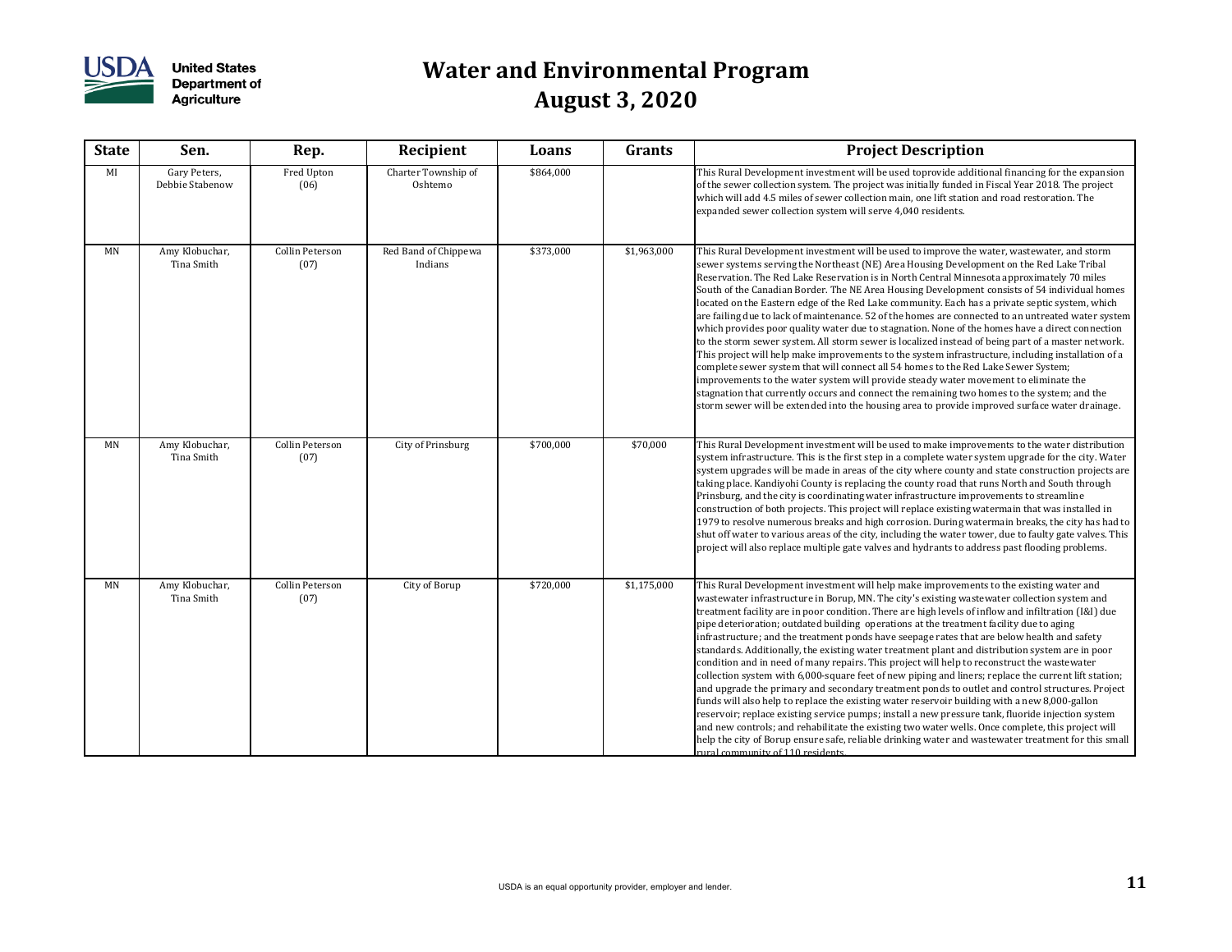

| <b>State</b> | Sen.                            | Rep.                    | Recipient                       | Loans     | Grants      | <b>Project Description</b>                                                                                                                                                                                                                                                                                                                                                                                                                                                                                                                                                                                                                                                                                                                                                                                                                                                                                                                                                                                                                                                                                                                                                                                                                                                                                                                                   |
|--------------|---------------------------------|-------------------------|---------------------------------|-----------|-------------|--------------------------------------------------------------------------------------------------------------------------------------------------------------------------------------------------------------------------------------------------------------------------------------------------------------------------------------------------------------------------------------------------------------------------------------------------------------------------------------------------------------------------------------------------------------------------------------------------------------------------------------------------------------------------------------------------------------------------------------------------------------------------------------------------------------------------------------------------------------------------------------------------------------------------------------------------------------------------------------------------------------------------------------------------------------------------------------------------------------------------------------------------------------------------------------------------------------------------------------------------------------------------------------------------------------------------------------------------------------|
| MI           | Gary Peters,<br>Debbie Stabenow | Fred Upton<br>(06)      | Charter Township of<br>Oshtemo  | \$864,000 |             | This Rural Development investment will be used toprovide additional financing for the expansion<br>of the sewer collection system. The project was initially funded in Fiscal Year 2018. The project<br>which will add 4.5 miles of sewer collection main, one lift station and road restoration. The<br>expanded sewer collection system will serve 4,040 residents.                                                                                                                                                                                                                                                                                                                                                                                                                                                                                                                                                                                                                                                                                                                                                                                                                                                                                                                                                                                        |
| <b>MN</b>    | Amy Klobuchar,<br>Tina Smith    | Collin Peterson<br>(07) | Red Band of Chippewa<br>Indians | \$373,000 | \$1,963,000 | This Rural Development investment will be used to improve the water, wastewater, and storm<br>sewer systems serving the Northeast (NE) Area Housing Development on the Red Lake Tribal<br>Reservation. The Red Lake Reservation is in North Central Minnesota approximately 70 miles<br>South of the Canadian Border. The NE Area Housing Development consists of 54 individual homes<br>located on the Eastern edge of the Red Lake community. Each has a private septic system, which<br>are failing due to lack of maintenance. 52 of the homes are connected to an untreated water system<br>which provides poor quality water due to stagnation. None of the homes have a direct connection<br>to the storm sewer system. All storm sewer is localized instead of being part of a master network.<br>This project will help make improvements to the system infrastructure, including installation of a<br>complete sewer system that will connect all 54 homes to the Red Lake Sewer System;<br>improvements to the water system will provide steady water movement to eliminate the<br>stagnation that currently occurs and connect the remaining two homes to the system; and the<br>storm sewer will be extended into the housing area to provide improved surface water drainage.                                                                  |
| MN           | Amy Klobuchar,<br>Tina Smith    | Collin Peterson<br>(07) | City of Prinsburg               | \$700,000 | \$70,000    | This Rural Development investment will be used to make improvements to the water distribution<br>system infrastructure. This is the first step in a complete water system upgrade for the city. Water<br>system upgrades will be made in areas of the city where county and state construction projects are<br>taking place. Kandiyohi County is replacing the county road that runs North and South through<br>Prinsburg, and the city is coordinating water infrastructure improvements to streamline<br>construction of both projects. This project will replace existing watermain that was installed in<br>1979 to resolve numerous breaks and high corrosion. During watermain breaks, the city has had to<br>shut off water to various areas of the city, including the water tower, due to faulty gate valves. This<br>project will also replace multiple gate valves and hydrants to address past flooding problems.                                                                                                                                                                                                                                                                                                                                                                                                                                |
| MN           | Amy Klobuchar,<br>Tina Smith    | Collin Peterson<br>(07) | City of Borup                   | \$720,000 | \$1,175,000 | This Rural Development investment will help make improvements to the existing water and<br>wastewater infrastructure in Borup, MN. The city's existing wastewater collection system and<br>treatment facility are in poor condition. There are high levels of inflow and infiltration (I&I) due<br>pipe deterioration; outdated building operations at the treatment facility due to aging<br>infrastructure; and the treatment ponds have seepage rates that are below health and safety<br>standards. Additionally, the existing water treatment plant and distribution system are in poor<br>condition and in need of many repairs. This project will help to reconstruct the wastewater<br>collection system with 6,000-square feet of new piping and liners; replace the current lift station;<br>and upgrade the primary and secondary treatment ponds to outlet and control structures. Project<br>funds will also help to replace the existing water reservoir building with a new 8,000-gallon<br>reservoir; replace existing service pumps; install a new pressure tank, fluoride injection system<br>and new controls; and rehabilitate the existing two water wells. Once complete, this project will<br>help the city of Borup ensure safe, reliable drinking water and wastewater treatment for this small<br>rural community of 110 residents |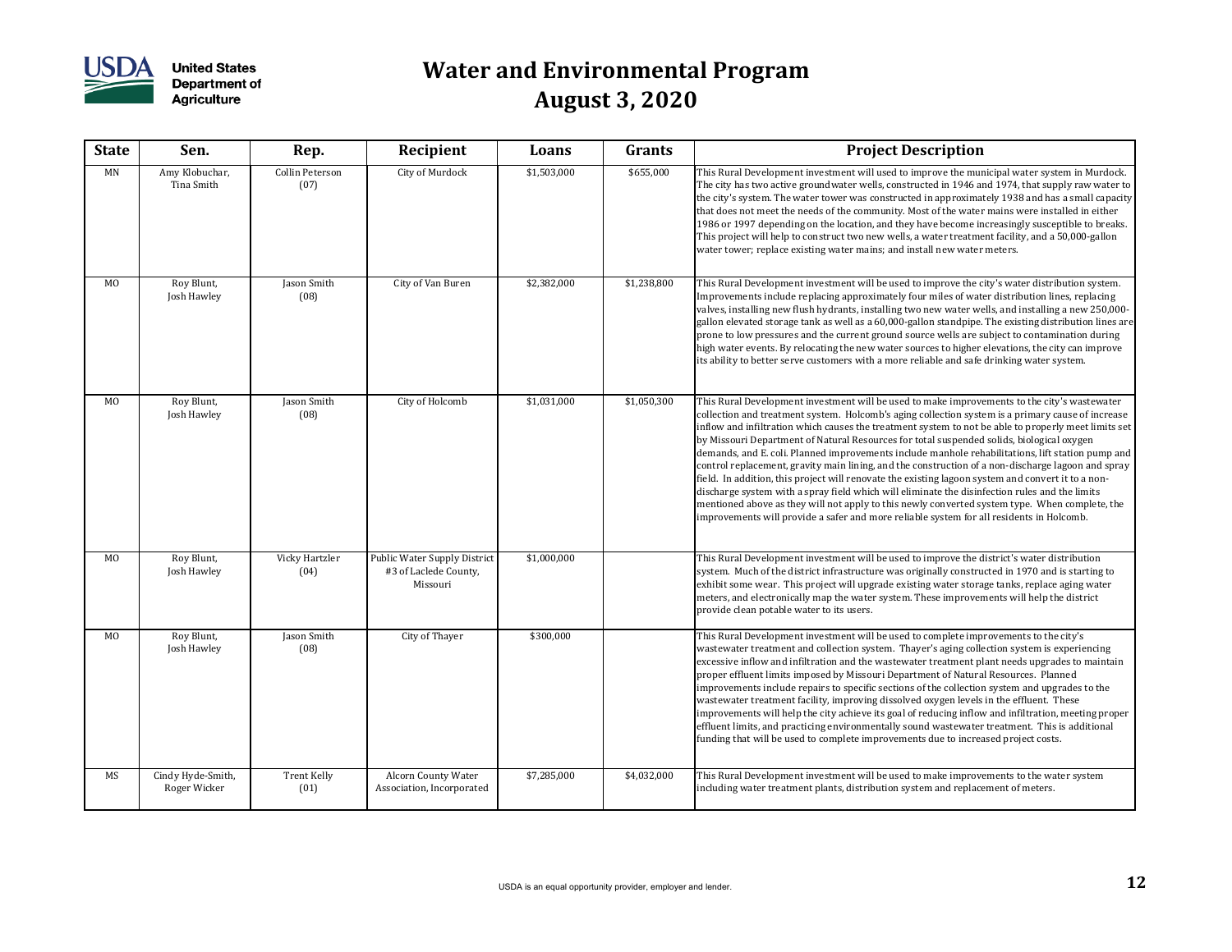

| <b>State</b>   | Sen.                              | Rep.                    | Recipient                                                         | Loans       | <b>Grants</b> | <b>Project Description</b>                                                                                                                                                                                                                                                                                                                                                                                                                                                                                                                                                                                                                                                                                                                                                                                                                                                                                                                                                                                              |
|----------------|-----------------------------------|-------------------------|-------------------------------------------------------------------|-------------|---------------|-------------------------------------------------------------------------------------------------------------------------------------------------------------------------------------------------------------------------------------------------------------------------------------------------------------------------------------------------------------------------------------------------------------------------------------------------------------------------------------------------------------------------------------------------------------------------------------------------------------------------------------------------------------------------------------------------------------------------------------------------------------------------------------------------------------------------------------------------------------------------------------------------------------------------------------------------------------------------------------------------------------------------|
| MN             | Amy Klobuchar,<br>Tina Smith      | Collin Peterson<br>(07) | City of Murdock                                                   | \$1,503,000 | \$655,000     | This Rural Development investment will used to improve the municipal water system in Murdock.<br>The city has two active groundwater wells, constructed in 1946 and 1974, that supply raw water to<br>the city's system. The water tower was constructed in approximately 1938 and has a small capacity<br>that does not meet the needs of the community. Most of the water mains were installed in either<br>1986 or 1997 depending on the location, and they have become increasingly susceptible to breaks.<br>This project will help to construct two new wells, a water treatment facility, and a 50,000-gallon<br>water tower; replace existing water mains; and install new water meters.                                                                                                                                                                                                                                                                                                                        |
| MO             | Roy Blunt,<br>Josh Hawley         | Jason Smith<br>(08)     | City of Van Buren                                                 | \$2,382,000 | \$1,238,800   | This Rural Development investment will be used to improve the city's water distribution system.<br>Improvements include replacing approximately four miles of water distribution lines, replacing<br>valves, installing new flush hydrants, installing two new water wells, and installing a new 250,000-<br>gallon elevated storage tank as well as a 60,000-gallon standpipe. The existing distribution lines are<br>prone to low pressures and the current ground source wells are subject to contamination during<br>high water events. By relocating the new water sources to higher elevations, the city can improve<br>its ability to better serve customers with a more reliable and safe drinking water system.                                                                                                                                                                                                                                                                                                |
| M <sub>0</sub> | Roy Blunt,<br>Josh Hawley         | Jason Smith<br>(08)     | City of Holcomb                                                   | \$1,031,000 | \$1,050,300   | This Rural Development investment will be used to make improvements to the city's wastewater<br>collection and treatment system. Holcomb's aging collection system is a primary cause of increase<br>inflow and infiltration which causes the treatment system to not be able to properly meet limits set<br>by Missouri Department of Natural Resources for total suspended solids, biological oxygen<br>demands, and E. coli. Planned improvements include manhole rehabilitations, lift station pump and<br>control replacement, gravity main lining, and the construction of a non-discharge lagoon and spray<br>field. In addition, this project will renovate the existing lagoon system and convert it to a non-<br>discharge system with a spray field which will eliminate the disinfection rules and the limits<br>mentioned above as they will not apply to this newly converted system type. When complete, the<br>improvements will provide a safer and more reliable system for all residents in Holcomb. |
| M <sub>0</sub> | Roy Blunt,<br>Josh Hawley         | Vicky Hartzler<br>(04)  | Public Water Supply District<br>#3 of Laclede County,<br>Missouri | \$1,000,000 |               | This Rural Development investment will be used to improve the district's water distribution<br>system. Much of the district infrastructure was originally constructed in 1970 and is starting to<br>exhibit some wear. This project will upgrade existing water storage tanks, replace aging water<br>meters, and electronically map the water system. These improvements will help the district<br>provide clean potable water to its users.                                                                                                                                                                                                                                                                                                                                                                                                                                                                                                                                                                           |
| M <sub>0</sub> | Roy Blunt,<br>Josh Hawley         | Jason Smith<br>(08)     | City of Thayer                                                    | \$300,000   |               | This Rural Development investment will be used to complete improvements to the city's<br>wastewater treatment and collection system. Thayer's aging collection system is experiencing<br>excessive inflow and infiltration and the wastewater treatment plant needs upgrades to maintain<br>proper effluent limits imposed by Missouri Department of Natural Resources. Planned<br>improvements include repairs to specific sections of the collection system and upgrades to the<br>wastewater treatment facility, improving dissolved oxygen levels in the effluent. These<br>improvements will help the city achieve its goal of reducing inflow and infiltration, meeting proper<br>effluent limits, and practicing environmentally sound wastewater treatment. This is additional<br>funding that will be used to complete improvements due to increased project costs.                                                                                                                                            |
| MS             | Cindy Hyde-Smith,<br>Roger Wicker | Trent Kelly<br>(01)     | Alcorn County Water<br>Association, Incorporated                  | \$7,285,000 | \$4,032,000   | This Rural Development investment will be used to make improvements to the water system<br>including water treatment plants, distribution system and replacement of meters.                                                                                                                                                                                                                                                                                                                                                                                                                                                                                                                                                                                                                                                                                                                                                                                                                                             |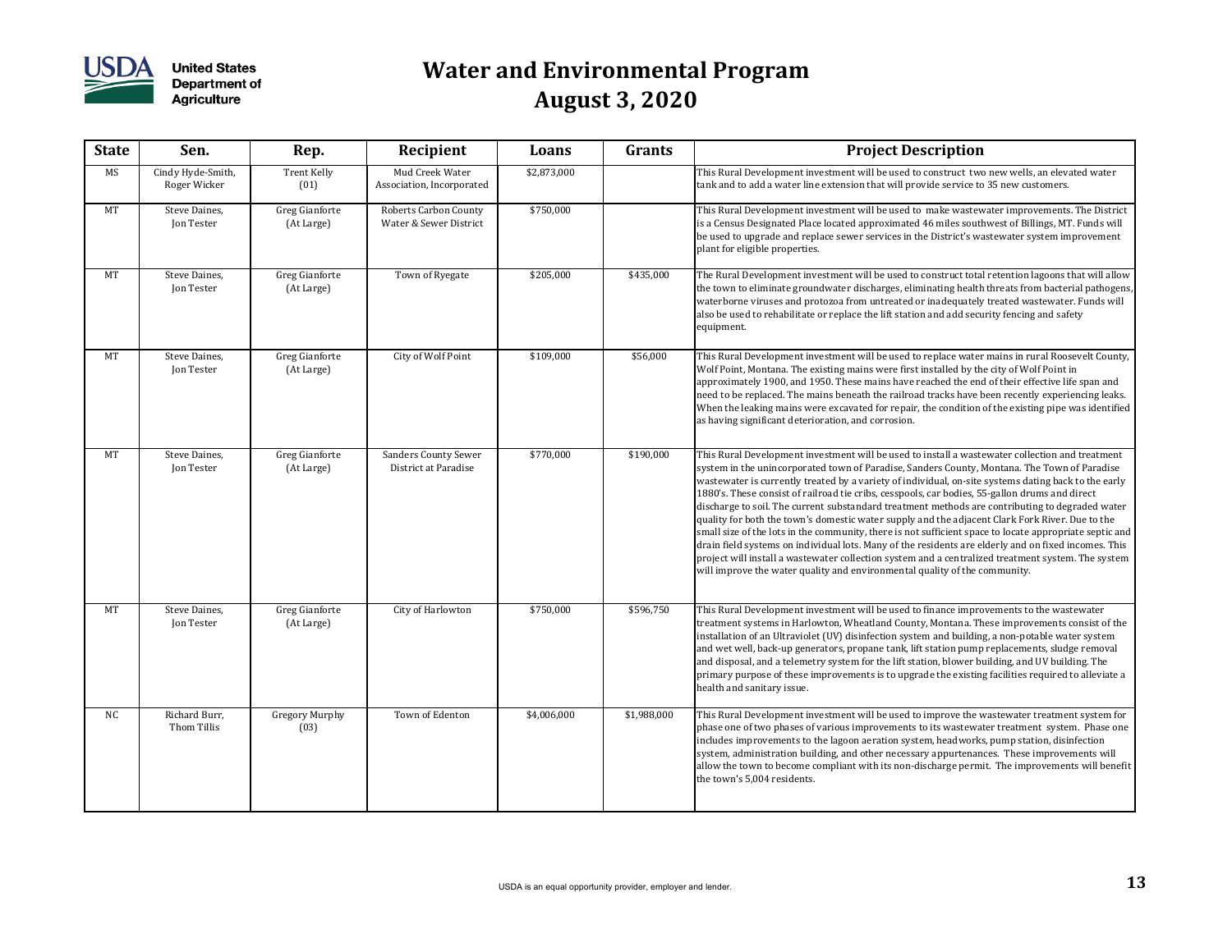

| <b>State</b> | Sen.                               | Rep.                          | Recipient                                       | Loans       | Grants      | <b>Project Description</b>                                                                                                                                                                                                                                                                                                                                                                                                                                                                                                                                                                                                                                                                                                                                                                                                                                                                                                                                                                                             |
|--------------|------------------------------------|-------------------------------|-------------------------------------------------|-------------|-------------|------------------------------------------------------------------------------------------------------------------------------------------------------------------------------------------------------------------------------------------------------------------------------------------------------------------------------------------------------------------------------------------------------------------------------------------------------------------------------------------------------------------------------------------------------------------------------------------------------------------------------------------------------------------------------------------------------------------------------------------------------------------------------------------------------------------------------------------------------------------------------------------------------------------------------------------------------------------------------------------------------------------------|
| MS           | Cindy Hyde-Smith,<br>Roger Wicker  | <b>Trent Kelly</b><br>(01)    | Mud Creek Water<br>Association, Incorporated    | \$2,873,000 |             | This Rural Development investment will be used to construct two new wells, an elevated water<br>tank and to add a water line extension that will provide service to 35 new customers.                                                                                                                                                                                                                                                                                                                                                                                                                                                                                                                                                                                                                                                                                                                                                                                                                                  |
| MT           | Steve Daines,<br>Jon Tester        | Greg Gianforte<br>(At Large)  | Roberts Carbon County<br>Water & Sewer District | \$750,000   |             | This Rural Development investment will be used to make wastewater improvements. The District<br>is a Census Designated Place located approximated 46 miles southwest of Billings, MT. Funds will<br>be used to upgrade and replace sewer services in the District's wastewater system improvement<br>plant for eligible properties.                                                                                                                                                                                                                                                                                                                                                                                                                                                                                                                                                                                                                                                                                    |
| MT           | Steve Daines,<br><b>Jon Tester</b> | Greg Gianforte<br>(At Large)  | Town of Ryegate                                 | \$205,000   | \$435,000   | The Rural Development investment will be used to construct total retention lagoons that will allow<br>the town to eliminate groundwater discharges, eliminating health threats from bacterial pathogens,<br>waterborne viruses and protozoa from untreated or inadequately treated wastewater. Funds will<br>also be used to rehabilitate or replace the lift station and add security fencing and safety<br>equipment.                                                                                                                                                                                                                                                                                                                                                                                                                                                                                                                                                                                                |
| MT           | Steve Daines,<br>Jon Tester        | Greg Gianforte<br>(At Large)  | City of Wolf Point                              | \$109,000   | \$56,000    | This Rural Development investment will be used to replace water mains in rural Roosevelt County,<br>Wolf Point, Montana. The existing mains were first installed by the city of Wolf Point in<br>approximately 1900, and 1950. These mains have reached the end of their effective life span and<br>need to be replaced. The mains beneath the railroad tracks have been recently experiencing leaks.<br>When the leaking mains were excavated for repair, the condition of the existing pipe was identified<br>as having significant deterioration, and corrosion.                                                                                                                                                                                                                                                                                                                                                                                                                                                    |
| MT           | Steve Daines,<br>Jon Tester        | Greg Gianforte<br>(At Large)  | Sanders County Sewer<br>District at Paradise    | \$770,000   | \$190,000   | This Rural Development investment will be used to install a wastewater collection and treatment<br>system in the unincorporated town of Paradise, Sanders County, Montana. The Town of Paradise<br>wastewater is currently treated by a variety of individual, on-site systems dating back to the early<br>1880's. These consist of railroad tie cribs, cesspools, car bodies, 55-gallon drums and direct<br>discharge to soil. The current substandard treatment methods are contributing to degraded water<br>quality for both the town's domestic water supply and the adjacent Clark Fork River. Due to the<br>small size of the lots in the community, there is not sufficient space to locate appropriate septic and<br>drain field systems on individual lots. Many of the residents are elderly and on fixed incomes. This<br>project will install a wastewater collection system and a centralized treatment system. The system<br>will improve the water quality and environmental quality of the community. |
| MT           | Steve Daines,<br><b>Jon Tester</b> | Greg Gianforte<br>(At Large)  | City of Harlowton                               | \$750,000   | \$596,750   | This Rural Development investment will be used to finance improvements to the wastewater<br>treatment systems in Harlowton, Wheatland County, Montana. These improvements consist of the<br>installation of an Ultraviolet (UV) disinfection system and building, a non-potable water system<br>and wet well, back-up generators, propane tank, lift station pump replacements, sludge removal<br>and disposal, and a telemetry system for the lift station, blower building, and UV building. The<br>primary purpose of these improvements is to upgrade the existing facilities required to alleviate a<br>health and sanitary issue.                                                                                                                                                                                                                                                                                                                                                                                |
| NC           | Richard Burr,<br>Thom Tillis       | <b>Gregory Murphy</b><br>(03) | Town of Edenton                                 | \$4,006,000 | \$1,988,000 | This Rural Development investment will be used to improve the wastewater treatment system for<br>phase one of two phases of various improvements to its wastewater treatment system. Phase one<br>includes improvements to the lagoon aeration system, headworks, pump station, disinfection<br>system, administration building, and other necessary appurtenances. These improvements will<br>allow the town to become compliant with its non-discharge permit. The improvements will benefit<br>the town's 5,004 residents.                                                                                                                                                                                                                                                                                                                                                                                                                                                                                          |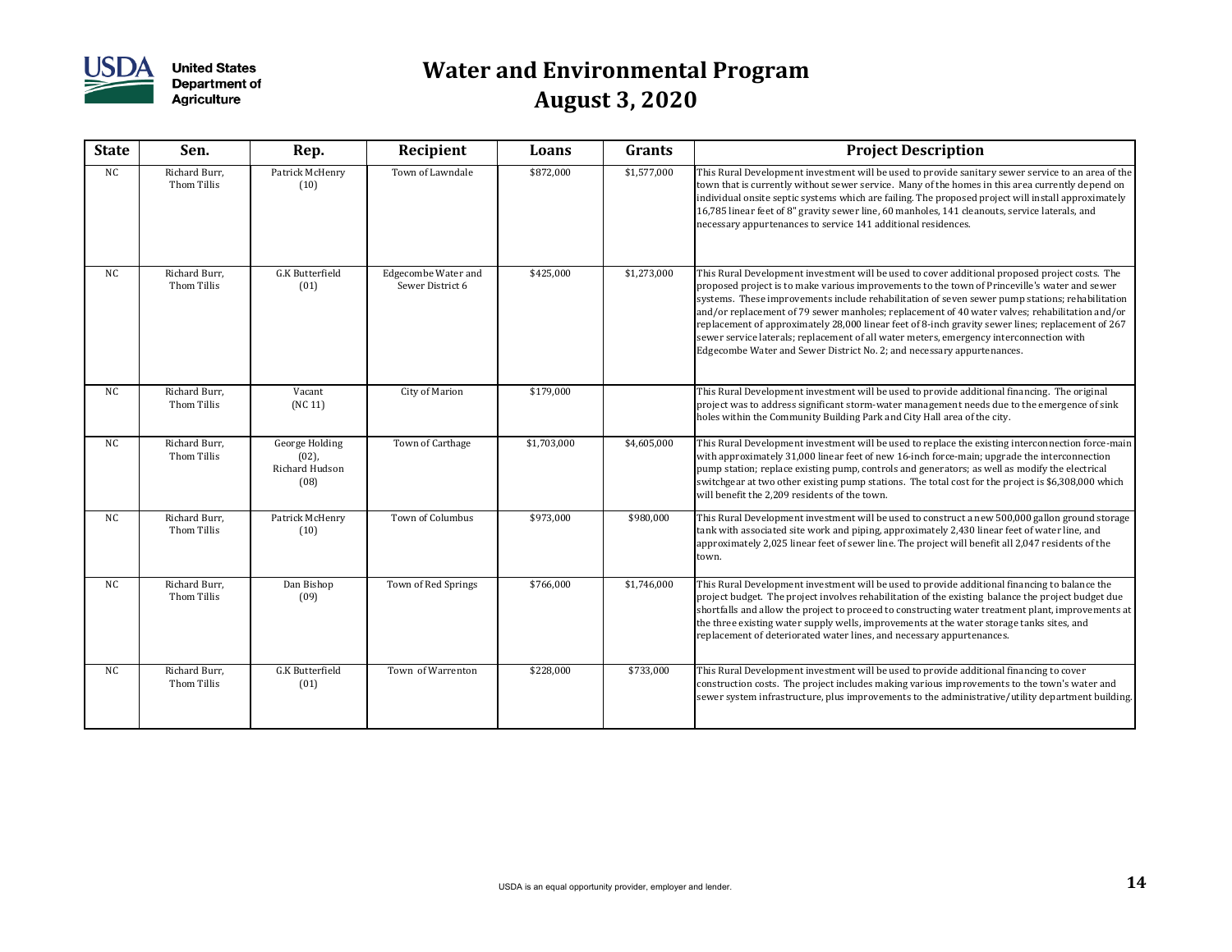

| <b>State</b> | Sen.                         | Rep.                                                 | Recipient                               | Loans       | Grants      | <b>Project Description</b>                                                                                                                                                                                                                                                                                                                                                                                                                                                                                                                                                                                                                                                     |
|--------------|------------------------------|------------------------------------------------------|-----------------------------------------|-------------|-------------|--------------------------------------------------------------------------------------------------------------------------------------------------------------------------------------------------------------------------------------------------------------------------------------------------------------------------------------------------------------------------------------------------------------------------------------------------------------------------------------------------------------------------------------------------------------------------------------------------------------------------------------------------------------------------------|
| NC           | Richard Burr,<br>Thom Tillis | Patrick McHenry<br>(10)                              | Town of Lawndale                        | \$872,000   | \$1,577,000 | This Rural Development investment will be used to provide sanitary sewer service to an area of the<br>town that is currently without sewer service. Many of the homes in this area currently depend on<br>individual onsite septic systems which are failing. The proposed project will install approximately<br>16,785 linear feet of 8" gravity sewer line, 60 manholes, 141 cleanouts, service laterals, and<br>necessary appurtenances to service 141 additional residences.                                                                                                                                                                                               |
| NC           | Richard Burr,<br>Thom Tillis | G.K Butterfield<br>(01)                              | Edgecombe Water and<br>Sewer District 6 | \$425,000   | \$1,273,000 | This Rural Development investment will be used to cover additional proposed project costs. The<br>proposed project is to make various improvements to the town of Princeville's water and sewer<br>systems. These improvements include rehabilitation of seven sewer pump stations; rehabilitation<br>and/or replacement of 79 sewer manholes; replacement of 40 water valves; rehabilitation and/or<br>replacement of approximately 28,000 linear feet of 8-inch gravity sewer lines; replacement of 267<br>sewer service laterals; replacement of all water meters, emergency interconnection with<br>Edgecombe Water and Sewer District No. 2; and necessary appurtenances. |
| NC.          | Richard Burr,<br>Thom Tillis | Vacant<br>(NC 11)                                    | City of Marion                          | \$179,000   |             | This Rural Development investment will be used to provide additional financing. The original<br>project was to address significant storm-water management needs due to the emergence of sink<br>holes within the Community Building Park and City Hall area of the city.                                                                                                                                                                                                                                                                                                                                                                                                       |
| NC           | Richard Burr,<br>Thom Tillis | George Holding<br>$(02)$ ,<br>Richard Hudson<br>(08) | Town of Carthage                        | \$1,703,000 | \$4,605,000 | This Rural Development investment will be used to replace the existing interconnection force-main<br>with approximately 31,000 linear feet of new 16-inch force-main; upgrade the interconnection<br>pump station; replace existing pump, controls and generators; as well as modify the electrical<br>switchgear at two other existing pump stations. The total cost for the project is \$6,308,000 which<br>will benefit the 2,209 residents of the town.                                                                                                                                                                                                                    |
| NC           | Richard Burr,<br>Thom Tillis | Patrick McHenry<br>(10)                              | Town of Columbus                        | \$973,000   | \$980,000   | This Rural Development investment will be used to construct a new 500,000 gallon ground storage<br>tank with associated site work and piping, approximately 2,430 linear feet of water line, and<br>approximately 2,025 linear feet of sewer line. The project will benefit all 2,047 residents of the<br>town.                                                                                                                                                                                                                                                                                                                                                                |
| NC           | Richard Burr,<br>Thom Tillis | Dan Bishop<br>(09)                                   | Town of Red Springs                     | \$766,000   | \$1,746,000 | This Rural Development investment will be used to provide additional financing to balance the<br>project budget. The project involves rehabilitation of the existing balance the project budget due<br>shortfalls and allow the project to proceed to constructing water treatment plant, improvements at<br>the three existing water supply wells, improvements at the water storage tanks sites, and<br>replacement of deteriorated water lines, and necessary appurtenances.                                                                                                                                                                                                |
| NC.          | Richard Burr,<br>Thom Tillis | <b>G.K Butterfield</b><br>(01)                       | Town of Warrenton                       | \$228,000   | \$733,000   | This Rural Development investment will be used to provide additional financing to cover<br>construction costs. The project includes making various improvements to the town's water and<br>sewer system infrastructure, plus improvements to the administrative/utility department building.                                                                                                                                                                                                                                                                                                                                                                                   |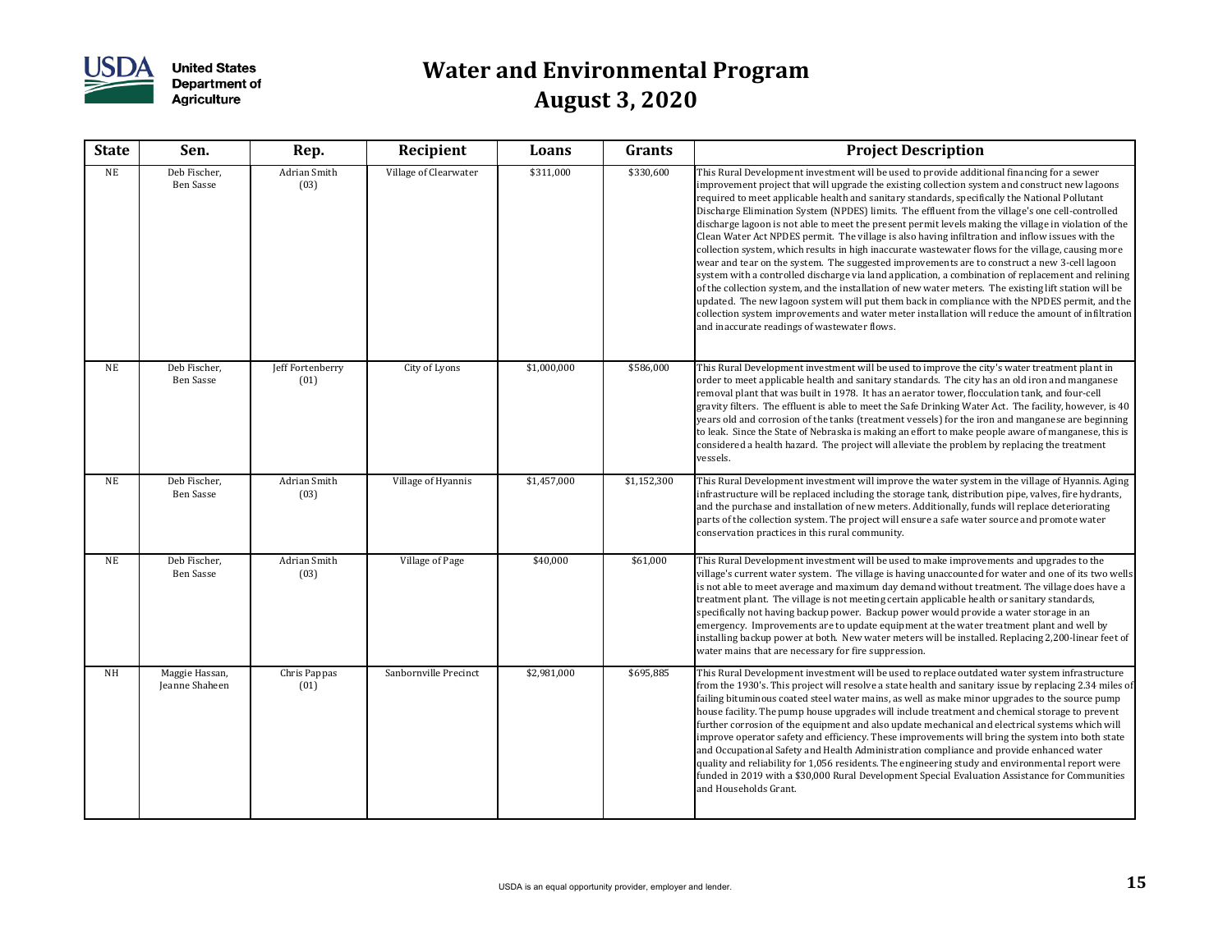

| <b>State</b> | Sen.                             | Rep.                     | Recipient             | Loans       | Grants      | <b>Project Description</b>                                                                                                                                                                                                                                                                                                                                                                                                                                                                                                                                                                                                                                                                                                                                                                                                                                                                                                                                                                                                                                                                                                                                                                                                                                                                   |
|--------------|----------------------------------|--------------------------|-----------------------|-------------|-------------|----------------------------------------------------------------------------------------------------------------------------------------------------------------------------------------------------------------------------------------------------------------------------------------------------------------------------------------------------------------------------------------------------------------------------------------------------------------------------------------------------------------------------------------------------------------------------------------------------------------------------------------------------------------------------------------------------------------------------------------------------------------------------------------------------------------------------------------------------------------------------------------------------------------------------------------------------------------------------------------------------------------------------------------------------------------------------------------------------------------------------------------------------------------------------------------------------------------------------------------------------------------------------------------------|
| <b>NE</b>    | Deb Fischer,<br>Ben Sasse        | Adrian Smith<br>(03)     | Village of Clearwater | \$311,000   | \$330,600   | This Rural Development investment will be used to provide additional financing for a sewer<br>improvement project that will upgrade the existing collection system and construct new lagoons<br>required to meet applicable health and sanitary standards, specifically the National Pollutant<br>Discharge Elimination System (NPDES) limits. The effluent from the village's one cell-controlled<br>discharge lagoon is not able to meet the present permit levels making the village in violation of the<br>Clean Water Act NPDES permit. The village is also having infiltration and inflow issues with the<br>collection system, which results in high inaccurate wastewater flows for the village, causing more<br>wear and tear on the system. The suggested improvements are to construct a new 3-cell lagoon<br>system with a controlled discharge via land application, a combination of replacement and relining<br>of the collection system, and the installation of new water meters. The existing lift station will be<br>updated. The new lagoon system will put them back in compliance with the NPDES permit, and the<br>collection system improvements and water meter installation will reduce the amount of infiltration<br>and inaccurate readings of wastewater flows. |
| NE           | Deb Fischer,<br>Ben Sasse        | Jeff Fortenberry<br>(01) | City of Lyons         | \$1,000,000 | \$586,000   | This Rural Development investment will be used to improve the city's water treatment plant in<br>order to meet applicable health and sanitary standards. The city has an old iron and manganese<br>removal plant that was built in 1978. It has an aerator tower, flocculation tank, and four-cell<br>gravity filters. The effluent is able to meet the Safe Drinking Water Act. The facility, however, is 40<br>years old and corrosion of the tanks (treatment vessels) for the iron and manganese are beginning<br>to leak. Since the State of Nebraska is making an effort to make people aware of manganese, this is<br>considered a health hazard. The project will alleviate the problem by replacing the treatment<br>vessels.                                                                                                                                                                                                                                                                                                                                                                                                                                                                                                                                                       |
| NE           | Deb Fischer,<br>Ben Sasse        | Adrian Smith<br>(03)     | Village of Hyannis    | \$1,457,000 | \$1,152,300 | This Rural Development investment will improve the water system in the village of Hyannis. Aging<br>infrastructure will be replaced including the storage tank, distribution pipe, valves, fire hydrants,<br>and the purchase and installation of new meters. Additionally, funds will replace deteriorating<br>parts of the collection system. The project will ensure a safe water source and promote water<br>conservation practices in this rural community.                                                                                                                                                                                                                                                                                                                                                                                                                                                                                                                                                                                                                                                                                                                                                                                                                             |
| NE           | Deb Fischer,<br>Ben Sasse        | Adrian Smith<br>(03)     | Village of Page       | \$40,000    | \$61,000    | This Rural Development investment will be used to make improvements and upgrades to the<br>village's current water system. The village is having unaccounted for water and one of its two wells<br>is not able to meet average and maximum day demand without treatment. The village does have a<br>treatment plant. The village is not meeting certain applicable health or sanitary standards,<br>specifically not having backup power. Backup power would provide a water storage in an<br>emergency. Improvements are to update equipment at the water treatment plant and well by<br>installing backup power at both. New water meters will be installed. Replacing 2,200-linear feet of<br>water mains that are necessary for fire suppression.                                                                                                                                                                                                                                                                                                                                                                                                                                                                                                                                        |
| <b>NH</b>    | Maggie Hassan,<br>Jeanne Shaheen | Chris Pappas<br>(01)     | Sanbornville Precinct | \$2,981,000 | \$695,885   | This Rural Development investment will be used to replace outdated water system infrastructure<br>from the 1930's. This project will resolve a state health and sanitary issue by replacing 2.34 miles of<br>failing bituminous coated steel water mains, as well as make minor upgrades to the source pump<br>house facility. The pump house upgrades will include treatment and chemical storage to prevent<br>further corrosion of the equipment and also update mechanical and electrical systems which will<br>improve operator safety and efficiency. These improvements will bring the system into both state<br>and Occupational Safety and Health Administration compliance and provide enhanced water<br>quality and reliability for 1,056 residents. The engineering study and environmental report were<br>funded in 2019 with a \$30,000 Rural Development Special Evaluation Assistance for Communities<br>and Households Grant.                                                                                                                                                                                                                                                                                                                                               |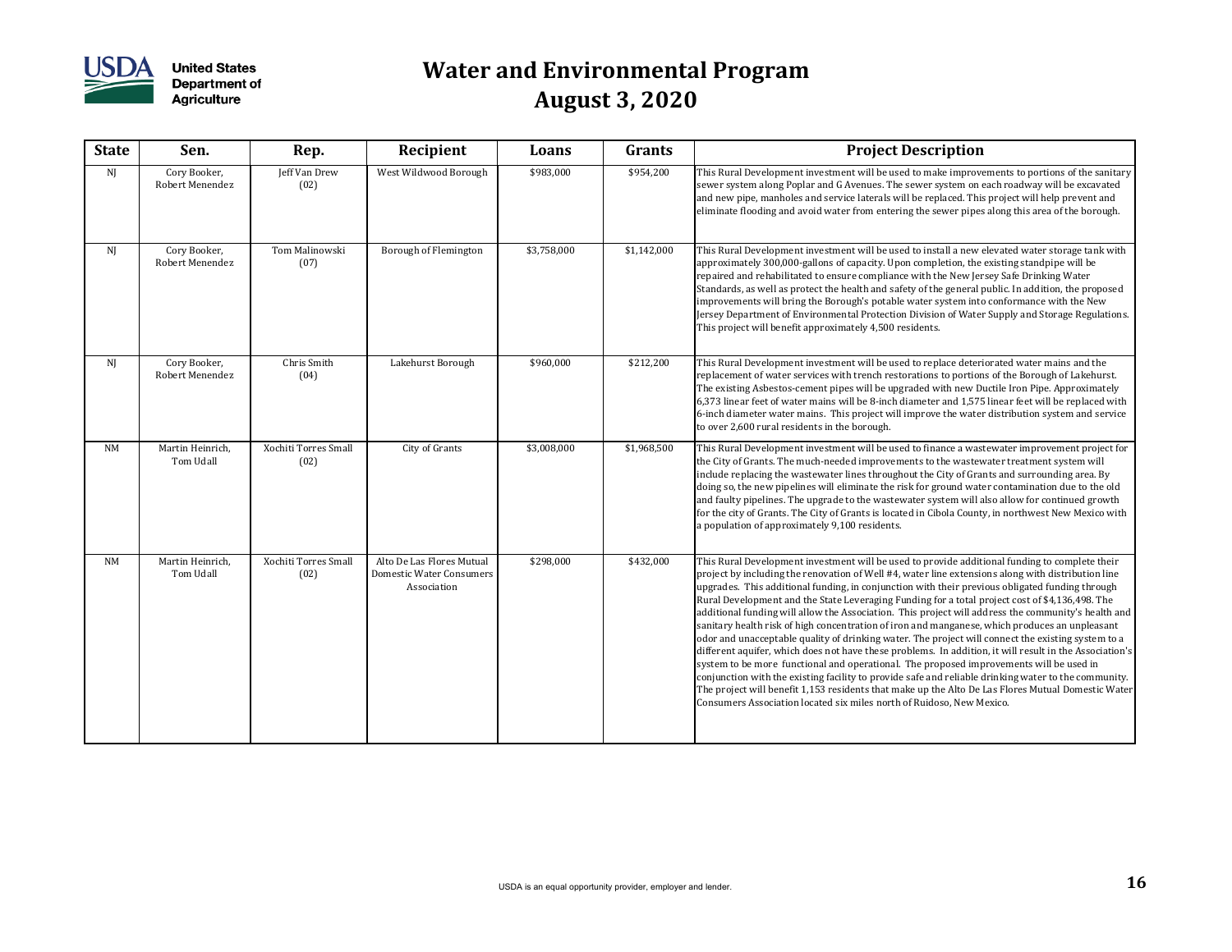

| <b>State</b>   | Sen.                            | Rep.                         | Recipient                                                                   | Loans       | Grants      | <b>Project Description</b>                                                                                                                                                                                                                                                                                                                                                                                                                                                                                                                                                                                                                                                                                                                                                                                                                                                                                                                                                                                                                                                                                                                                                                                             |
|----------------|---------------------------------|------------------------------|-----------------------------------------------------------------------------|-------------|-------------|------------------------------------------------------------------------------------------------------------------------------------------------------------------------------------------------------------------------------------------------------------------------------------------------------------------------------------------------------------------------------------------------------------------------------------------------------------------------------------------------------------------------------------------------------------------------------------------------------------------------------------------------------------------------------------------------------------------------------------------------------------------------------------------------------------------------------------------------------------------------------------------------------------------------------------------------------------------------------------------------------------------------------------------------------------------------------------------------------------------------------------------------------------------------------------------------------------------------|
| NJ             | Cory Booker,<br>Robert Menendez | <b>Jeff Van Drew</b><br>(02) | West Wildwood Borough                                                       | \$983,000   | \$954,200   | This Rural Development investment will be used to make improvements to portions of the sanitary<br>sewer system along Poplar and G Avenues. The sewer system on each roadway will be excavated<br>and new pipe, manholes and service laterals will be replaced. This project will help prevent and<br>eliminate flooding and avoid water from entering the sewer pipes along this area of the borough.                                                                                                                                                                                                                                                                                                                                                                                                                                                                                                                                                                                                                                                                                                                                                                                                                 |
| NI             | Cory Booker,<br>Robert Menendez | Tom Malinowski<br>(07)       | Borough of Flemington                                                       | \$3,758,000 | \$1,142,000 | This Rural Development investment will be used to install a new elevated water storage tank with<br>approximately 300,000-gallons of capacity. Upon completion, the existing standpipe will be<br>repaired and rehabilitated to ensure compliance with the New Jersey Safe Drinking Water<br>Standards, as well as protect the health and safety of the general public. In addition, the proposed<br>improvements will bring the Borough's potable water system into conformance with the New<br>Jersey Department of Environmental Protection Division of Water Supply and Storage Regulations.<br>This project will benefit approximately 4,500 residents.                                                                                                                                                                                                                                                                                                                                                                                                                                                                                                                                                           |
| N <sub>I</sub> | Cory Booker,<br>Robert Menendez | Chris Smith<br>(04)          | Lakehurst Borough                                                           | \$960,000   | \$212,200   | This Rural Development investment will be used to replace deteriorated water mains and the<br>replacement of water services with trench restorations to portions of the Borough of Lakehurst.<br>The existing Asbestos-cement pipes will be upgraded with new Ductile Iron Pipe. Approximately<br>6,373 linear feet of water mains will be 8-inch diameter and 1,575 linear feet will be replaced with<br>6-inch diameter water mains. This project will improve the water distribution system and service<br>to over 2,600 rural residents in the borough.                                                                                                                                                                                                                                                                                                                                                                                                                                                                                                                                                                                                                                                            |
| NM             | Martin Heinrich,<br>Tom Udall   | Xochiti Torres Small<br>(02) | City of Grants                                                              | \$3,008,000 | \$1,968,500 | This Rural Development investment will be used to finance a wastewater improvement project for<br>the City of Grants. The much-needed improvements to the wastewater treatment system will<br>include replacing the wastewater lines throughout the City of Grants and surrounding area. By<br>doing so, the new pipelines will eliminate the risk for ground water contamination due to the old<br>and faulty pipelines. The upgrade to the wastewater system will also allow for continued growth<br>for the city of Grants. The City of Grants is located in Cibola County, in northwest New Mexico with<br>a population of approximately 9,100 residents.                                                                                                                                                                                                                                                                                                                                                                                                                                                                                                                                                          |
| NM             | Martin Heinrich,<br>Tom Udall   | Xochiti Torres Small<br>(02) | Alto De Las Flores Mutual<br><b>Domestic Water Consumers</b><br>Association | \$298,000   | \$432,000   | This Rural Development investment will be used to provide additional funding to complete their<br>project by including the renovation of Well #4, water line extensions along with distribution line<br>upgrades. This additional funding, in conjunction with their previous obligated funding through<br>Rural Development and the State Leveraging Funding for a total project cost of \$4,136,498. The<br>additional funding will allow the Association. This project will address the community's health and<br>sanitary health risk of high concentration of iron and manganese, which produces an unpleasant<br>odor and unacceptable quality of drinking water. The project will connect the existing system to a<br>different aquifer, which does not have these problems. In addition, it will result in the Association's<br>system to be more functional and operational. The proposed improvements will be used in<br>conjunction with the existing facility to provide safe and reliable drinking water to the community.<br>The project will benefit 1,153 residents that make up the Alto De Las Flores Mutual Domestic Water<br>Consumers Association located six miles north of Ruidoso, New Mexico. |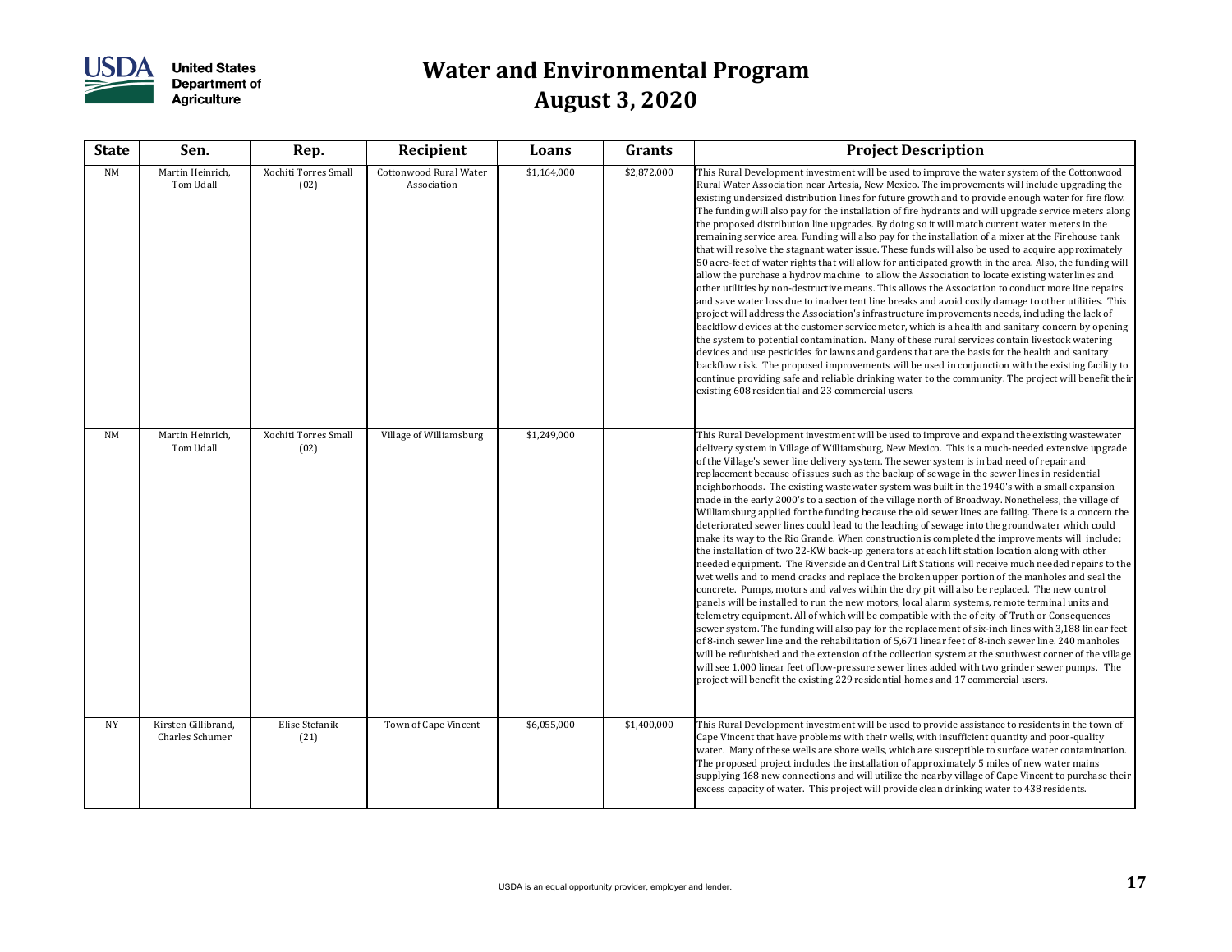

| <b>State</b> | Sen.                                   | Rep.                         | Recipient                             | Loans       | Grants      | <b>Project Description</b>                                                                                                                                                                                                                                                                                                                                                                                                                                                                                                                                                                                                                                                                                                                                                                                                                                                                                                                                                                                                                                                                                                                                                                                                                                                                                                                                                                                                                                                                                                                                                                                                                                                                                                                                                                                                                                                                                                                                                                                                                  |
|--------------|----------------------------------------|------------------------------|---------------------------------------|-------------|-------------|---------------------------------------------------------------------------------------------------------------------------------------------------------------------------------------------------------------------------------------------------------------------------------------------------------------------------------------------------------------------------------------------------------------------------------------------------------------------------------------------------------------------------------------------------------------------------------------------------------------------------------------------------------------------------------------------------------------------------------------------------------------------------------------------------------------------------------------------------------------------------------------------------------------------------------------------------------------------------------------------------------------------------------------------------------------------------------------------------------------------------------------------------------------------------------------------------------------------------------------------------------------------------------------------------------------------------------------------------------------------------------------------------------------------------------------------------------------------------------------------------------------------------------------------------------------------------------------------------------------------------------------------------------------------------------------------------------------------------------------------------------------------------------------------------------------------------------------------------------------------------------------------------------------------------------------------------------------------------------------------------------------------------------------------|
| NM           | Martin Heinrich,<br>Tom Udall          | Xochiti Torres Small<br>(02) | Cottonwood Rural Water<br>Association | \$1,164,000 | \$2,872,000 | This Rural Development investment will be used to improve the water system of the Cottonwood<br>Rural Water Association near Artesia, New Mexico. The improvements will include upgrading the<br>existing undersized distribution lines for future growth and to provide enough water for fire flow.<br>The funding will also pay for the installation of fire hydrants and will upgrade service meters along<br>the proposed distribution line upgrades. By doing so it will match current water meters in the<br>remaining service area. Funding will also pay for the installation of a mixer at the Firehouse tank<br>that will resolve the stagnant water issue. These funds will also be used to acquire approximately<br>50 acre-feet of water rights that will allow for anticipated growth in the area. Also, the funding will<br>allow the purchase a hydrov machine to allow the Association to locate existing waterlines and<br>other utilities by non-destructive means. This allows the Association to conduct more line repairs<br>and save water loss due to inadvertent line breaks and avoid costly damage to other utilities. This<br>project will address the Association's infrastructure improvements needs, including the lack of<br>backflow devices at the customer service meter, which is a health and sanitary concern by opening<br>the system to potential contamination. Many of these rural services contain livestock watering<br>devices and use pesticides for lawns and gardens that are the basis for the health and sanitary<br>backflow risk. The proposed improvements will be used in conjunction with the existing facility to<br>continue providing safe and reliable drinking water to the community. The project will benefit their<br>existing 608 residential and 23 commercial users.                                                                                                                                                                                                      |
| NM           | Martin Heinrich,<br>Tom Udall          | Xochiti Torres Small<br>(02) | Village of Williamsburg               | \$1,249,000 |             | This Rural Development investment will be used to improve and expand the existing wastewater<br>delivery system in Village of Williamsburg, New Mexico. This is a much-needed extensive upgrade<br>of the Village's sewer line delivery system. The sewer system is in bad need of repair and<br>replacement because of issues such as the backup of sewage in the sewer lines in residential<br>neighborhoods. The existing wastewater system was built in the 1940's with a small expansion<br>made in the early 2000's to a section of the village north of Broadway. Nonetheless, the village of<br>Williamsburg applied for the funding because the old sewer lines are failing. There is a concern the<br>deteriorated sewer lines could lead to the leaching of sewage into the groundwater which could<br>make its way to the Rio Grande. When construction is completed the improvements will include;<br>the installation of two 22-KW back-up generators at each lift station location along with other<br>needed equipment. The Riverside and Central Lift Stations will receive much needed repairs to the<br>wet wells and to mend cracks and replace the broken upper portion of the manholes and seal the<br>concrete. Pumps, motors and valves within the dry pit will also be replaced. The new control<br>panels will be installed to run the new motors, local alarm systems, remote terminal units and<br>telemetry equipment. All of which will be compatible with the of city of Truth or Consequences<br>sewer system. The funding will also pay for the replacement of six-inch lines with 3,188 linear feet<br>of 8-inch sewer line and the rehabilitation of 5,671 linear feet of 8-inch sewer line. 240 manholes<br>will be refurbished and the extension of the collection system at the southwest corner of the village<br>will see 1,000 linear feet of low-pressure sewer lines added with two grinder sewer pumps. The<br>project will benefit the existing 229 residential homes and 17 commercial users. |
| <b>NY</b>    | Kirsten Gillibrand,<br>Charles Schumer | Elise Stefanik<br>(21)       | Town of Cape Vincent                  | \$6,055,000 | \$1,400,000 | This Rural Development investment will be used to provide assistance to residents in the town of<br>Cape Vincent that have problems with their wells, with insufficient quantity and poor-quality<br>water. Many of these wells are shore wells, which are susceptible to surface water contamination.<br>The proposed project includes the installation of approximately 5 miles of new water mains<br>supplying 168 new connections and will utilize the nearby village of Cape Vincent to purchase their<br>excess capacity of water. This project will provide clean drinking water to 438 residents.                                                                                                                                                                                                                                                                                                                                                                                                                                                                                                                                                                                                                                                                                                                                                                                                                                                                                                                                                                                                                                                                                                                                                                                                                                                                                                                                                                                                                                   |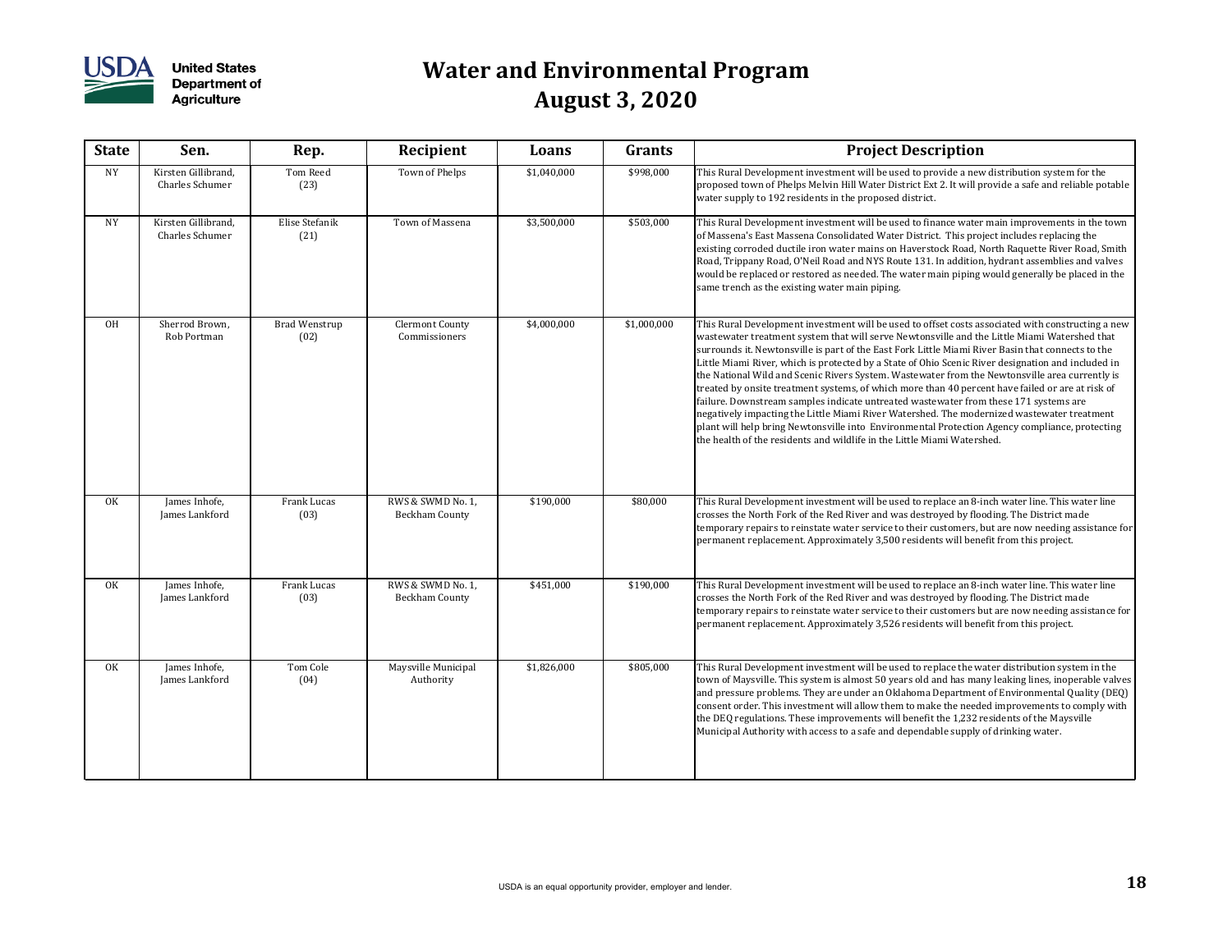

| <b>State</b> | Sen.                                   | Rep.                         | Recipient                           | Loans       | Grants      | <b>Project Description</b>                                                                                                                                                                                                                                                                                                                                                                                                                                                                                                                                                                                                                                                                                                                                                                                                                                                                                                                                                            |
|--------------|----------------------------------------|------------------------------|-------------------------------------|-------------|-------------|---------------------------------------------------------------------------------------------------------------------------------------------------------------------------------------------------------------------------------------------------------------------------------------------------------------------------------------------------------------------------------------------------------------------------------------------------------------------------------------------------------------------------------------------------------------------------------------------------------------------------------------------------------------------------------------------------------------------------------------------------------------------------------------------------------------------------------------------------------------------------------------------------------------------------------------------------------------------------------------|
| <b>NY</b>    | Kirsten Gillibrand,<br>Charles Schumer | Tom Reed<br>(23)             | Town of Phelps                      | \$1,040,000 | \$998,000   | This Rural Development investment will be used to provide a new distribution system for the<br>proposed town of Phelps Melvin Hill Water District Ext 2. It will provide a safe and reliable potable<br>water supply to 192 residents in the proposed district.                                                                                                                                                                                                                                                                                                                                                                                                                                                                                                                                                                                                                                                                                                                       |
| NY           | Kirsten Gillibrand,<br>Charles Schumer | Elise Stefanik<br>(21)       | Town of Massena                     | \$3,500,000 | \$503,000   | This Rural Development investment will be used to finance water main improvements in the town<br>of Massena's East Massena Consolidated Water District. This project includes replacing the<br>existing corroded ductile iron water mains on Haverstock Road, North Raquette River Road, Smith<br>Road, Trippany Road, O'Neil Road and NYS Route 131. In addition, hydrant assemblies and valves<br>would be replaced or restored as needed. The water main piping would generally be placed in the<br>same trench as the existing water main piping.                                                                                                                                                                                                                                                                                                                                                                                                                                 |
| <b>OH</b>    | Sherrod Brown,<br>Rob Portman          | <b>Brad Wenstrup</b><br>(02) | Clermont County<br>Commissioners    | \$4,000,000 | \$1,000,000 | This Rural Development investment will be used to offset costs associated with constructing a new<br>wastewater treatment system that will serve Newtonsville and the Little Miami Watershed that<br>surrounds it. Newtonsville is part of the East Fork Little Miami River Basin that connects to the<br>Little Miami River, which is protected by a State of Ohio Scenic River designation and included in<br>the National Wild and Scenic Rivers System. Wastewater from the Newtonsville area currently is<br>treated by onsite treatment systems, of which more than 40 percent have failed or are at risk of<br>failure. Downstream samples indicate untreated wastewater from these 171 systems are<br>negatively impacting the Little Miami River Watershed. The modernized wastewater treatment<br>plant will help bring Newtonsville into Environmental Protection Agency compliance, protecting<br>the health of the residents and wildlife in the Little Miami Watershed. |
| OK           | James Inhofe,<br>James Lankford        | Frank Lucas<br>(03)          | RWS & SWMD No. 1,<br>Beckham County | \$190,000   | \$80,000    | This Rural Development investment will be used to replace an 8-inch water line. This water line<br>crosses the North Fork of the Red River and was destroyed by flooding. The District made<br>temporary repairs to reinstate water service to their customers, but are now needing assistance for<br>permanent replacement. Approximately 3,500 residents will benefit from this project.                                                                                                                                                                                                                                                                                                                                                                                                                                                                                                                                                                                            |
| OK           | James Inhofe,<br>James Lankford        | Frank Lucas<br>(03)          | RWS & SWMD No. 1,<br>Beckham County | \$451,000   | \$190,000   | This Rural Development investment will be used to replace an 8-inch water line. This water line<br>crosses the North Fork of the Red River and was destroyed by flooding. The District made<br>temporary repairs to reinstate water service to their customers but are now needing assistance for<br>permanent replacement. Approximately 3,526 residents will benefit from this project.                                                                                                                                                                                                                                                                                                                                                                                                                                                                                                                                                                                             |
| OK           | James Inhofe,<br>James Lankford        | Tom Cole<br>(04)             | Maysville Municipal<br>Authority    | \$1,826,000 | \$805,000   | This Rural Development investment will be used to replace the water distribution system in the<br>town of Maysville. This system is almost 50 years old and has many leaking lines, inoperable valves<br>and pressure problems. They are under an Oklahoma Department of Environmental Quality (DEQ)<br>consent order. This investment will allow them to make the needed improvements to comply with<br>the DEQ regulations. These improvements will benefit the 1,232 residents of the Maysville<br>Municipal Authority with access to a safe and dependable supply of drinking water.                                                                                                                                                                                                                                                                                                                                                                                              |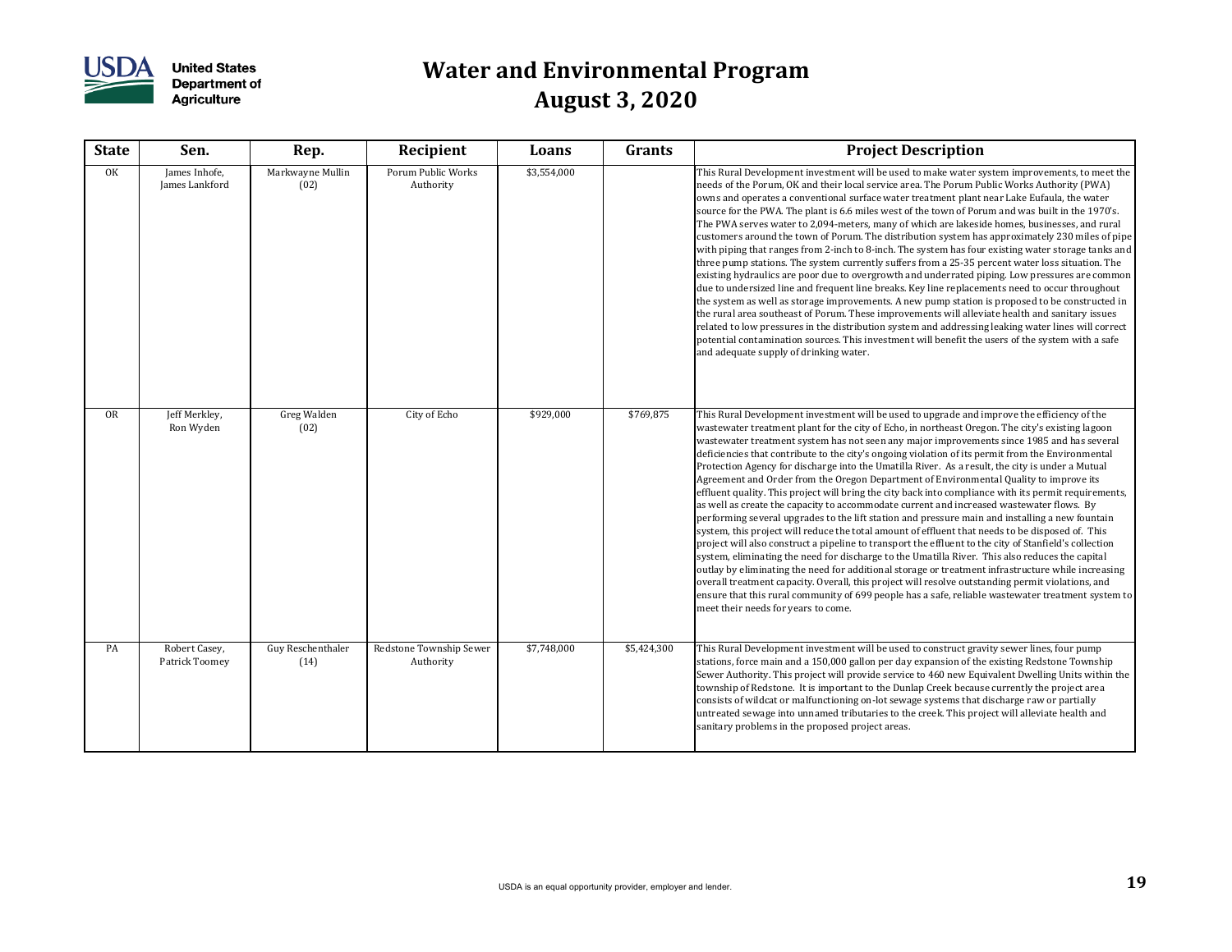

| <b>State</b> | Sen.                            | Rep.                      | Recipient                            | Loans       | Grants      | <b>Project Description</b>                                                                                                                                                                                                                                                                                                                                                                                                                                                                                                                                                                                                                                                                                                                                                                                                                                                                                                                                                                                                                                                                                                                                                                                                                                                                                                                                                                                                                                                                                                                                                        |
|--------------|---------------------------------|---------------------------|--------------------------------------|-------------|-------------|-----------------------------------------------------------------------------------------------------------------------------------------------------------------------------------------------------------------------------------------------------------------------------------------------------------------------------------------------------------------------------------------------------------------------------------------------------------------------------------------------------------------------------------------------------------------------------------------------------------------------------------------------------------------------------------------------------------------------------------------------------------------------------------------------------------------------------------------------------------------------------------------------------------------------------------------------------------------------------------------------------------------------------------------------------------------------------------------------------------------------------------------------------------------------------------------------------------------------------------------------------------------------------------------------------------------------------------------------------------------------------------------------------------------------------------------------------------------------------------------------------------------------------------------------------------------------------------|
| 0K           | James Inhofe,<br>James Lankford | Markwayne Mullin<br>(02)  | Porum Public Works<br>Authority      | \$3,554,000 |             | This Rural Development investment will be used to make water system improvements, to meet the<br>needs of the Porum, OK and their local service area. The Porum Public Works Authority (PWA)<br>owns and operates a conventional surface water treatment plant near Lake Eufaula, the water<br>source for the PWA. The plant is 6.6 miles west of the town of Porum and was built in the 1970's.<br>The PWA serves water to 2,094-meters, many of which are lakeside homes, businesses, and rural<br>customers around the town of Porum. The distribution system has approximately 230 miles of pipe<br>with piping that ranges from 2-inch to 8-inch. The system has four existing water storage tanks and<br>three pump stations. The system currently suffers from a 25-35 percent water loss situation. The<br>existing hydraulics are poor due to overgrowth and underrated piping. Low pressures are common<br>due to undersized line and frequent line breaks. Key line replacements need to occur throughout<br>the system as well as storage improvements. A new pump station is proposed to be constructed in<br>the rural area southeast of Porum. These improvements will alleviate health and sanitary issues<br>related to low pressures in the distribution system and addressing leaking water lines will correct<br>potential contamination sources. This investment will benefit the users of the system with a safe<br>and adequate supply of drinking water.                                                                                                  |
| <b>OR</b>    | Jeff Merkley,<br>Ron Wyden      | Greg Walden<br>(02)       | City of Echo                         | \$929,000   | \$769,875   | This Rural Development investment will be used to upgrade and improve the efficiency of the<br>wastewater treatment plant for the city of Echo, in northeast Oregon. The city's existing lagoon<br>wastewater treatment system has not seen any major improvements since 1985 and has several<br>deficiencies that contribute to the city's ongoing violation of its permit from the Environmental<br>Protection Agency for discharge into the Umatilla River. As a result, the city is under a Mutual<br>Agreement and Order from the Oregon Department of Environmental Quality to improve its<br>effluent quality. This project will bring the city back into compliance with its permit requirements,<br>as well as create the capacity to accommodate current and increased wastewater flows. By<br>performing several upgrades to the lift station and pressure main and installing a new fountain<br>system, this project will reduce the total amount of effluent that needs to be disposed of. This<br>project will also construct a pipeline to transport the effluent to the city of Stanfield's collection<br>system, eliminating the need for discharge to the Umatilla River. This also reduces the capital<br>outlay by eliminating the need for additional storage or treatment infrastructure while increasing<br>overall treatment capacity. Overall, this project will resolve outstanding permit violations, and<br>ensure that this rural community of 699 people has a safe, reliable wastewater treatment system to<br>meet their needs for years to come. |
| PA           | Robert Casey,<br>Patrick Toomey | Guy Reschenthaler<br>(14) | Redstone Township Sewer<br>Authority | \$7,748,000 | \$5,424,300 | This Rural Development investment will be used to construct gravity sewer lines, four pump<br>stations, force main and a 150,000 gallon per day expansion of the existing Redstone Township<br>Sewer Authority. This project will provide service to 460 new Equivalent Dwelling Units within the<br>township of Redstone. It is important to the Dunlap Creek because currently the project area<br>consists of wildcat or malfunctioning on-lot sewage systems that discharge raw or partially<br>untreated sewage into unnamed tributaries to the creek. This project will alleviate health and<br>sanitary problems in the proposed project areas.                                                                                                                                                                                                                                                                                                                                                                                                                                                                                                                                                                                                                                                                                                                                                                                                                                                                                                                            |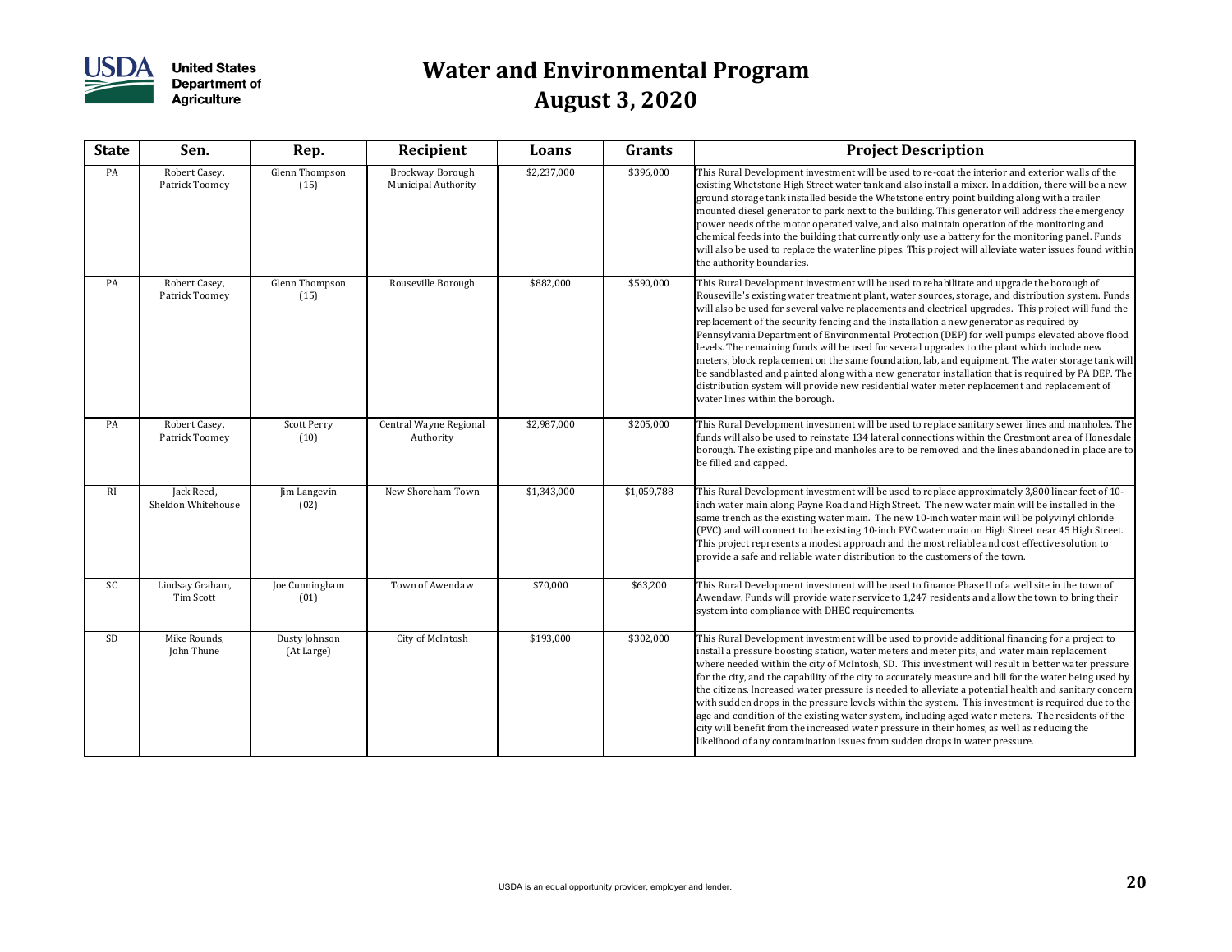

| <b>State</b> | Sen.                             | Rep.                        | Recipient                               | Loans       | Grants      | <b>Project Description</b>                                                                                                                                                                                                                                                                                                                                                                                                                                                                                                                                                                                                                                                                                                                                                                                                                                                                                                                        |
|--------------|----------------------------------|-----------------------------|-----------------------------------------|-------------|-------------|---------------------------------------------------------------------------------------------------------------------------------------------------------------------------------------------------------------------------------------------------------------------------------------------------------------------------------------------------------------------------------------------------------------------------------------------------------------------------------------------------------------------------------------------------------------------------------------------------------------------------------------------------------------------------------------------------------------------------------------------------------------------------------------------------------------------------------------------------------------------------------------------------------------------------------------------------|
| PA           | Robert Casey,<br>Patrick Toomey  | Glenn Thompson<br>(15)      | Brockway Borough<br>Municipal Authority | \$2,237,000 | \$396,000   | This Rural Development investment will be used to re-coat the interior and exterior walls of the<br>existing Whetstone High Street water tank and also install a mixer. In addition, there will be a new<br>ground storage tank installed beside the Whetstone entry point building along with a trailer<br>mounted diesel generator to park next to the building. This generator will address the emergency<br>power needs of the motor operated valve, and also maintain operation of the monitoring and<br>chemical feeds into the building that currently only use a battery for the monitoring panel. Funds<br>will also be used to replace the waterline pipes. This project will alleviate water issues found within<br>the authority boundaries.                                                                                                                                                                                          |
| PA           | Robert Casey,<br>Patrick Toomey  | Glenn Thompson<br>(15)      | Rouseville Borough                      | \$882,000   | \$590,000   | This Rural Development investment will be used to rehabilitate and upgrade the borough of<br>Rouseville's existing water treatment plant, water sources, storage, and distribution system. Funds<br>will also be used for several valve replacements and electrical upgrades. This project will fund the<br>replacement of the security fencing and the installation a new generator as required by<br>Pennsylvania Department of Environmental Protection (DEP) for well pumps elevated above flood<br>levels. The remaining funds will be used for several upgrades to the plant which include new<br>meters, block replacement on the same foundation, lab, and equipment. The water storage tank will<br>be sandblasted and painted along with a new generator installation that is required by PA DEP. The<br>distribution system will provide new residential water meter replacement and replacement of<br>water lines within the borough. |
| PA           | Robert Casey,<br>Patrick Toomey  | Scott Perry<br>(10)         | Central Wayne Regional<br>Authority     | \$2,987,000 | \$205,000   | This Rural Development investment will be used to replace sanitary sewer lines and manholes. The<br>funds will also be used to reinstate 134 lateral connections within the Crestmont area of Honesdale<br>borough. The existing pipe and manholes are to be removed and the lines abandoned in place are to<br>be filled and capped.                                                                                                                                                                                                                                                                                                                                                                                                                                                                                                                                                                                                             |
| RI           | Jack Reed,<br>Sheldon Whitehouse | Jim Langevin<br>(02)        | New Shoreham Town                       | \$1,343,000 | \$1,059,788 | This Rural Development investment will be used to replace approximately 3,800 linear feet of 10-<br>inch water main along Payne Road and High Street. The new water main will be installed in the<br>same trench as the existing water main. The new 10-inch water main will be polyvinyl chloride<br>(PVC) and will connect to the existing 10-inch PVC water main on High Street near 45 High Street.<br>This project represents a modest approach and the most reliable and cost effective solution to<br>provide a safe and reliable water distribution to the customers of the town.                                                                                                                                                                                                                                                                                                                                                         |
| SC           | Lindsay Graham,<br>Tim Scott     | Joe Cunningham<br>(01)      | Town of Awendaw                         | \$70,000    | \$63,200    | This Rural Development investment will be used to finance Phase II of a well site in the town of<br>Awendaw. Funds will provide water service to 1,247 residents and allow the town to bring their<br>system into compliance with DHEC requirements.                                                                                                                                                                                                                                                                                                                                                                                                                                                                                                                                                                                                                                                                                              |
| <b>SD</b>    | Mike Rounds,<br>John Thune       | Dusty Johnson<br>(At Large) | City of McIntosh                        | \$193,000   | \$302,000   | This Rural Development investment will be used to provide additional financing for a project to<br>install a pressure boosting station, water meters and meter pits, and water main replacement<br>where needed within the city of McIntosh, SD. This investment will result in better water pressure<br>for the city, and the capability of the city to accurately measure and bill for the water being used by<br>the citizens. Increased water pressure is needed to alleviate a potential health and sanitary concern<br>with sudden drops in the pressure levels within the system. This investment is required due to the<br>age and condition of the existing water system, including aged water meters. The residents of the<br>city will benefit from the increased water pressure in their homes, as well as reducing the<br>likelihood of any contamination issues from sudden drops in water pressure.                                |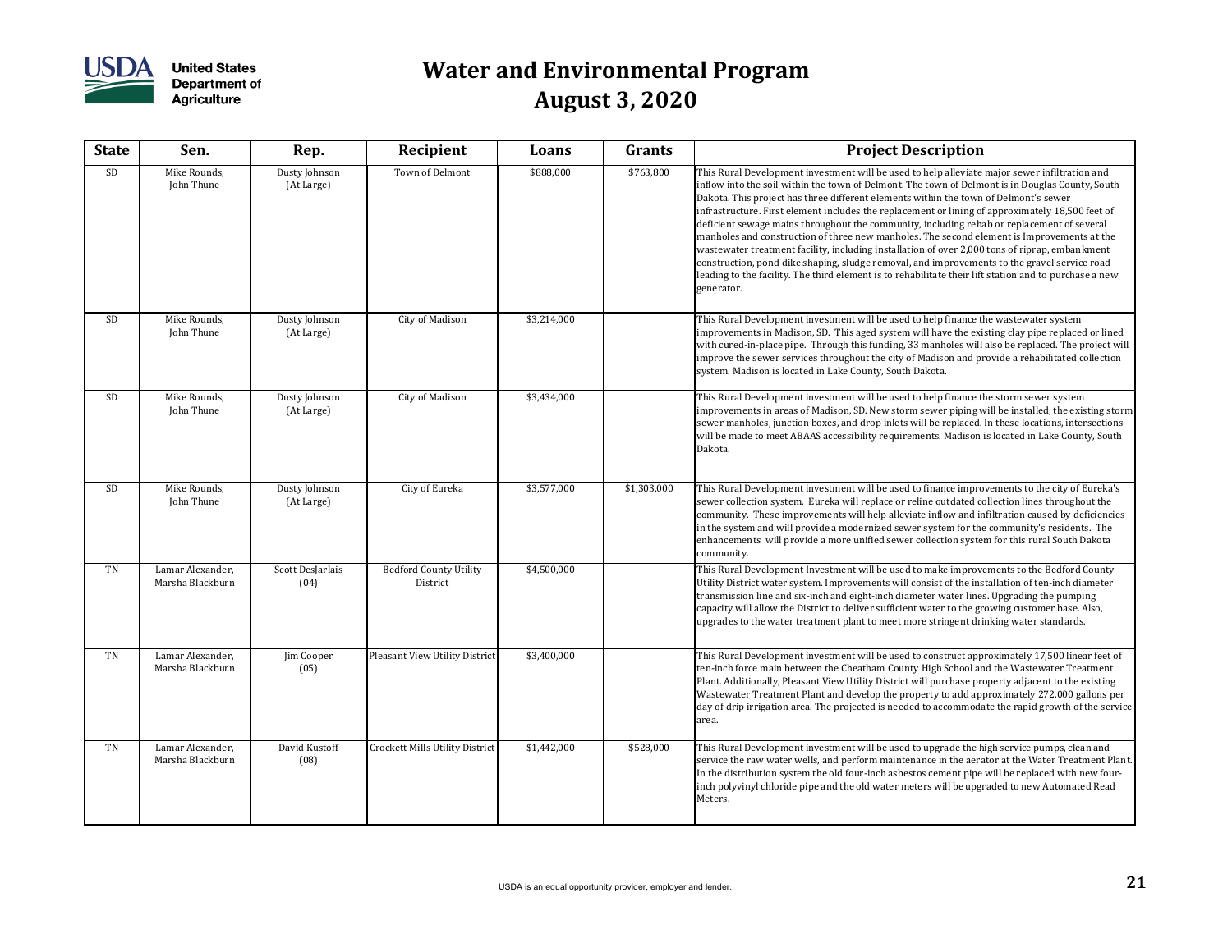

#### **United States Department of**

| <b>State</b> | Sen.                                 | Rep.                        | Recipient                                 | Loans       | Grants      | <b>Project Description</b>                                                                                                                                                                                                                                                                                                                                                                                                                                                                                                                                                                                                                                                                                                                                                                                                                                                                                          |
|--------------|--------------------------------------|-----------------------------|-------------------------------------------|-------------|-------------|---------------------------------------------------------------------------------------------------------------------------------------------------------------------------------------------------------------------------------------------------------------------------------------------------------------------------------------------------------------------------------------------------------------------------------------------------------------------------------------------------------------------------------------------------------------------------------------------------------------------------------------------------------------------------------------------------------------------------------------------------------------------------------------------------------------------------------------------------------------------------------------------------------------------|
| <b>SD</b>    | Mike Rounds,<br>John Thune           | Dusty Johnson<br>(At Large) | Town of Delmont                           | \$888,000   | \$763,800   | This Rural Development investment will be used to help alleviate major sewer infiltration and<br>inflow into the soil within the town of Delmont. The town of Delmont is in Douglas County, South<br>Dakota. This project has three different elements within the town of Delmont's sewer<br>infrastructure. First element includes the replacement or lining of approximately 18,500 feet of<br>deficient sewage mains throughout the community, including rehab or replacement of several<br>manholes and construction of three new manholes. The second element is Improvements at the<br>wastewater treatment facility, including installation of over 2,000 tons of riprap, embankment<br>construction, pond dike shaping, sludge removal, and improvements to the gravel service road<br>leading to the facility. The third element is to rehabilitate their lift station and to purchase a new<br>generator. |
| SD           | Mike Rounds,<br>John Thune           | Dusty Johnson<br>(At Large) | City of Madison                           | \$3,214,000 |             | This Rural Development investment will be used to help finance the wastewater system<br>improvements in Madison, SD. This aged system will have the existing clay pipe replaced or lined<br>with cured-in-place pipe. Through this funding, 33 manholes will also be replaced. The project will<br>improve the sewer services throughout the city of Madison and provide a rehabilitated collection<br>system. Madison is located in Lake County, South Dakota.                                                                                                                                                                                                                                                                                                                                                                                                                                                     |
| SD           | Mike Rounds,<br>John Thune           | Dusty Johnson<br>(At Large) | City of Madison                           | \$3,434,000 |             | This Rural Development investment will be used to help finance the storm sewer system<br>improvements in areas of Madison, SD. New storm sewer piping will be installed, the existing storm<br>sewer manholes, junction boxes, and drop inlets will be replaced. In these locations, intersections<br>will be made to meet ABAAS accessibility requirements. Madison is located in Lake County, South<br>Dakota.                                                                                                                                                                                                                                                                                                                                                                                                                                                                                                    |
| SD           | Mike Rounds,<br>John Thune           | Dusty Johnson<br>(At Large) | City of Eureka                            | \$3,577,000 | \$1,303,000 | This Rural Development investment will be used to finance improvements to the city of Eureka's<br>sewer collection system. Eureka will replace or reline outdated collection lines throughout the<br>community. These improvements will help alleviate inflow and infiltration caused by deficiencies<br>in the system and will provide a modernized sewer system for the community's residents. The<br>enhancements will provide a more unified sewer collection system for this rural South Dakota<br>community.                                                                                                                                                                                                                                                                                                                                                                                                  |
| TN           | Lamar Alexander,<br>Marsha Blackburn | Scott DesJarlais<br>(04)    | <b>Bedford County Utility</b><br>District | \$4,500,000 |             | This Rural Development Investment will be used to make improvements to the Bedford County<br>Utility District water system. Improvements will consist of the installation of ten-inch diameter<br>transmission line and six-inch and eight-inch diameter water lines. Upgrading the pumping<br>capacity will allow the District to deliver sufficient water to the growing customer base. Also,<br>upgrades to the water treatment plant to meet more stringent drinking water standards.                                                                                                                                                                                                                                                                                                                                                                                                                           |
| TN           | Lamar Alexander,<br>Marsha Blackburn | Jim Cooper<br>(05)          | Pleasant View Utility District            | \$3,400,000 |             | This Rural Development investment will be used to construct approximately 17,500 linear feet of<br>ten-inch force main between the Cheatham County High School and the Wastewater Treatment<br>Plant. Additionally, Pleasant View Utility District will purchase property adjacent to the existing<br>Wastewater Treatment Plant and develop the property to add approximately 272,000 gallons per<br>day of drip irrigation area. The projected is needed to accommodate the rapid growth of the service<br>area.                                                                                                                                                                                                                                                                                                                                                                                                  |
| TN           | Lamar Alexander,<br>Marsha Blackburn | David Kustoff<br>(08)       | Crockett Mills Utility District           | \$1,442,000 | \$528,000   | This Rural Development investment will be used to upgrade the high service pumps, clean and<br>service the raw water wells, and perform maintenance in the aerator at the Water Treatment Plant.<br>In the distribution system the old four-inch asbestos cement pipe will be replaced with new four-<br>inch polyvinyl chloride pipe and the old water meters will be upgraded to new Automated Read<br>Meters.                                                                                                                                                                                                                                                                                                                                                                                                                                                                                                    |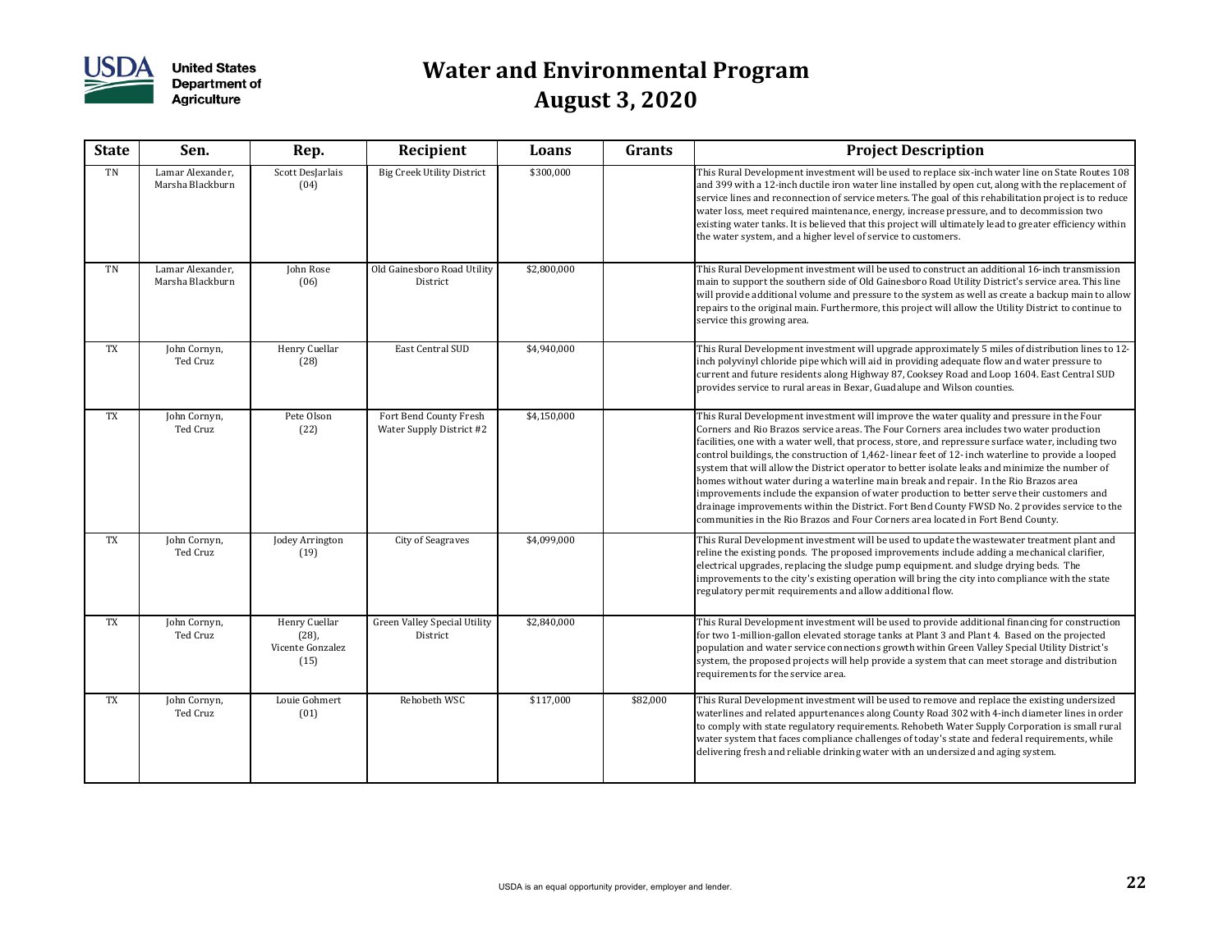

| <b>State</b> | Sen.                                 | Rep.                                                  | Recipient                                          | Loans       | Grants   | <b>Project Description</b>                                                                                                                                                                                                                                                                                                                                                                                                                                                                                                                                                                                                                                                                                                                                                                                                                                                        |
|--------------|--------------------------------------|-------------------------------------------------------|----------------------------------------------------|-------------|----------|-----------------------------------------------------------------------------------------------------------------------------------------------------------------------------------------------------------------------------------------------------------------------------------------------------------------------------------------------------------------------------------------------------------------------------------------------------------------------------------------------------------------------------------------------------------------------------------------------------------------------------------------------------------------------------------------------------------------------------------------------------------------------------------------------------------------------------------------------------------------------------------|
| TN           | Lamar Alexander,<br>Marsha Blackburn | Scott DesJarlais<br>(04)                              | <b>Big Creek Utility District</b>                  | \$300,000   |          | This Rural Development investment will be used to replace six-inch water line on State Routes 108<br>and 399 with a 12-inch ductile iron water line installed by open cut, along with the replacement of<br>service lines and reconnection of service meters. The goal of this rehabilitation project is to reduce<br>water loss, meet required maintenance, energy, increase pressure, and to decommission two<br>existing water tanks. It is believed that this project will ultimately lead to greater efficiency within<br>the water system, and a higher level of service to customers.                                                                                                                                                                                                                                                                                      |
| TN           | Lamar Alexander,<br>Marsha Blackburn | John Rose<br>(06)                                     | Old Gainesboro Road Utility<br>District            | \$2,800,000 |          | This Rural Development investment will be used to construct an additional 16-inch transmission<br>main to support the southern side of Old Gainesboro Road Utility District's service area. This line<br>will provide additional volume and pressure to the system as well as create a backup main to allow<br>repairs to the original main. Furthermore, this project will allow the Utility District to continue to<br>service this growing area.                                                                                                                                                                                                                                                                                                                                                                                                                               |
| TX           | John Cornyn,<br>Ted Cruz             | Henry Cuellar<br>(28)                                 | East Central SUD                                   | \$4,940,000 |          | This Rural Development investment will upgrade approximately 5 miles of distribution lines to 12-<br>inch polyvinyl chloride pipe which will aid in providing adequate flow and water pressure to<br>current and future residents along Highway 87, Cooksey Road and Loop 1604. East Central SUD<br>provides service to rural areas in Bexar, Guadalupe and Wilson counties.                                                                                                                                                                                                                                                                                                                                                                                                                                                                                                      |
| TX           | John Cornyn,<br>Ted Cruz             | Pete Olson<br>(22)                                    | Fort Bend County Fresh<br>Water Supply District #2 | \$4,150,000 |          | This Rural Development investment will improve the water quality and pressure in the Four<br>Corners and Rio Brazos service areas. The Four Corners area includes two water production<br>facilities, one with a water well, that process, store, and repressure surface water, including two<br>control buildings, the construction of 1,462-linear feet of 12-inch waterline to provide a looped<br>system that will allow the District operator to better isolate leaks and minimize the number of<br>homes without water during a waterline main break and repair. In the Rio Brazos area<br>improvements include the expansion of water production to better serve their customers and<br>drainage improvements within the District. Fort Bend County FWSD No. 2 provides service to the<br>communities in the Rio Brazos and Four Corners area located in Fort Bend County. |
| TX           | John Cornyn,<br>Ted Cruz             | Jodey Arrington<br>(19)                               | City of Seagraves                                  | \$4,099,000 |          | This Rural Development investment will be used to update the wastewater treatment plant and<br>reline the existing ponds. The proposed improvements include adding a mechanical clarifier,<br>electrical upgrades, replacing the sludge pump equipment. and sludge drying beds. The<br>improvements to the city's existing operation will bring the city into compliance with the state<br>regulatory permit requirements and allow additional flow.                                                                                                                                                                                                                                                                                                                                                                                                                              |
| TX           | John Cornyn,<br>Ted Cruz             | Henry Cuellar<br>$(28)$ ,<br>Vicente Gonzalez<br>(15) | <b>Green Valley Special Utility</b><br>District    | \$2,840,000 |          | This Rural Development investment will be used to provide additional financing for construction<br>for two 1-million-gallon elevated storage tanks at Plant 3 and Plant 4. Based on the projected<br>population and water service connections growth within Green Valley Special Utility District's<br>system, the proposed projects will help provide a system that can meet storage and distribution<br>requirements for the service area.                                                                                                                                                                                                                                                                                                                                                                                                                                      |
| TX           | John Cornyn,<br>Ted Cruz             | Louie Gohmert<br>(01)                                 | Rehobeth WSC                                       | \$117,000   | \$82,000 | This Rural Development investment will be used to remove and replace the existing undersized<br>waterlines and related appurtenances along County Road 302 with 4-inch diameter lines in order<br>to comply with state regulatory requirements. Rehobeth Water Supply Corporation is small rural<br>water system that faces compliance challenges of today's state and federal requirements, while<br>delivering fresh and reliable drinking water with an undersized and aging system.                                                                                                                                                                                                                                                                                                                                                                                           |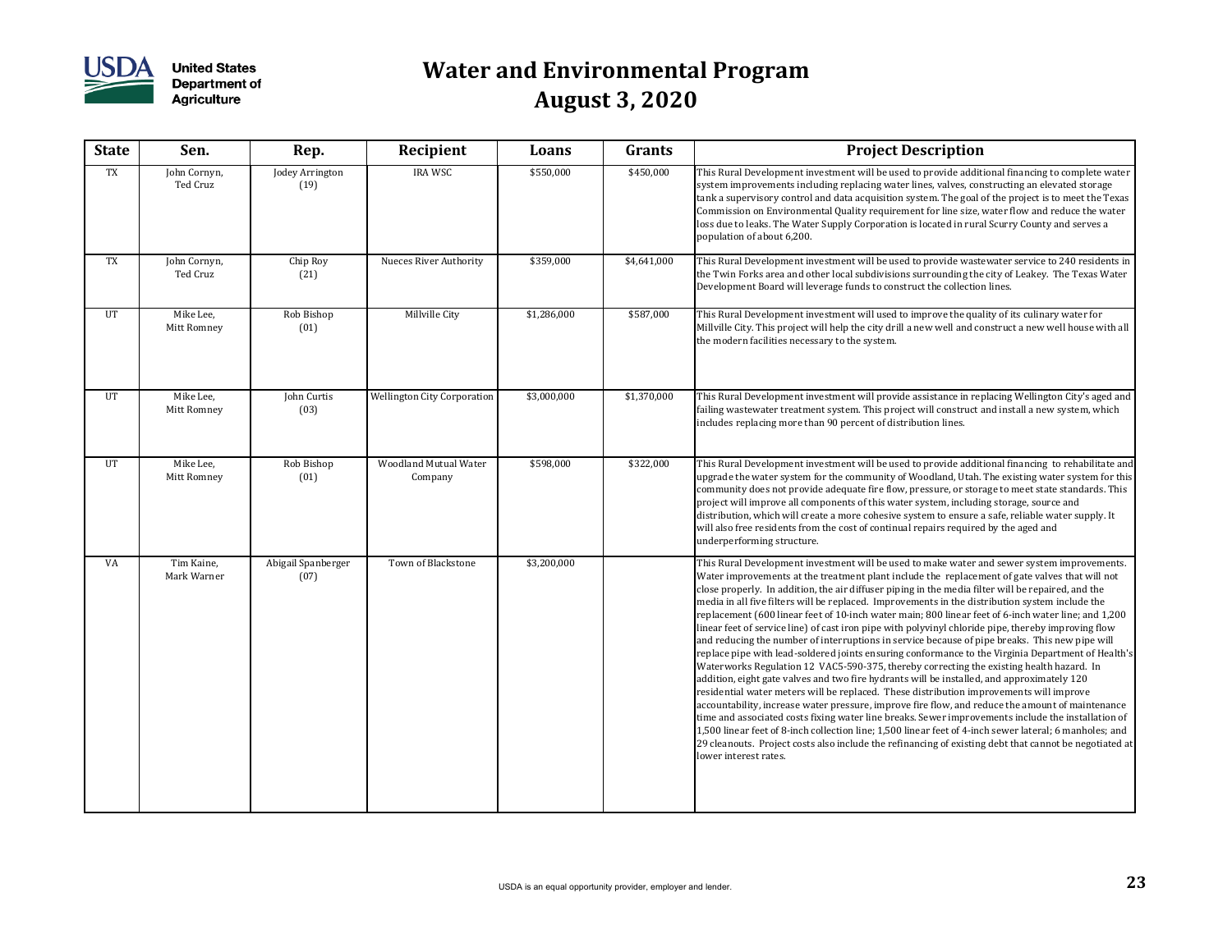

| <b>State</b> | Sen.                      | Rep.                       | Recipient                          | Loans       | Grants      | <b>Project Description</b>                                                                                                                                                                                                                                                                                                                                                                                                                                                                                                                                                                                                                                                                                                                                                                                                                                                                                                                                                                                                                                                                                                                                                                                                                                                                                                                                                                                                                                                                                                                                                |
|--------------|---------------------------|----------------------------|------------------------------------|-------------|-------------|---------------------------------------------------------------------------------------------------------------------------------------------------------------------------------------------------------------------------------------------------------------------------------------------------------------------------------------------------------------------------------------------------------------------------------------------------------------------------------------------------------------------------------------------------------------------------------------------------------------------------------------------------------------------------------------------------------------------------------------------------------------------------------------------------------------------------------------------------------------------------------------------------------------------------------------------------------------------------------------------------------------------------------------------------------------------------------------------------------------------------------------------------------------------------------------------------------------------------------------------------------------------------------------------------------------------------------------------------------------------------------------------------------------------------------------------------------------------------------------------------------------------------------------------------------------------------|
| TX           | John Cornyn,<br>Ted Cruz  | Jodey Arrington<br>(19)    | <b>IRA WSC</b>                     | \$550,000   | \$450,000   | This Rural Development investment will be used to provide additional financing to complete water<br>system improvements including replacing water lines, valves, constructing an elevated storage<br>tank a supervisory control and data acquisition system. The goal of the project is to meet the Texas<br>Commission on Environmental Quality requirement for line size, water flow and reduce the water<br>loss due to leaks. The Water Supply Corporation is located in rural Scurry County and serves a<br>population of about 6,200.                                                                                                                                                                                                                                                                                                                                                                                                                                                                                                                                                                                                                                                                                                                                                                                                                                                                                                                                                                                                                               |
| TX           | John Cornyn,<br>Ted Cruz  | Chip Roy<br>(21)           | <b>Nueces River Authority</b>      | \$359,000   | \$4,641,000 | This Rural Development investment will be used to provide wastewater service to 240 residents in<br>the Twin Forks area and other local subdivisions surrounding the city of Leakey. The Texas Water<br>Development Board will leverage funds to construct the collection lines.                                                                                                                                                                                                                                                                                                                                                                                                                                                                                                                                                                                                                                                                                                                                                                                                                                                                                                                                                                                                                                                                                                                                                                                                                                                                                          |
| UT           | Mike Lee,<br>Mitt Romney  | Rob Bishop<br>(01)         | Millville City                     | \$1,286,000 | \$587,000   | This Rural Development investment will used to improve the quality of its culinary water for<br>Millville City. This project will help the city drill a new well and construct a new well house with all<br>the modern facilities necessary to the system.                                                                                                                                                                                                                                                                                                                                                                                                                                                                                                                                                                                                                                                                                                                                                                                                                                                                                                                                                                                                                                                                                                                                                                                                                                                                                                                |
| UT           | Mike Lee,<br>Mitt Romney  | John Curtis<br>(03)        | <b>Wellington City Corporation</b> | \$3,000,000 | \$1,370,000 | This Rural Development investment will provide assistance in replacing Wellington City's aged and<br>failing wastewater treatment system. This project will construct and install a new system, which<br>includes replacing more than 90 percent of distribution lines.                                                                                                                                                                                                                                                                                                                                                                                                                                                                                                                                                                                                                                                                                                                                                                                                                                                                                                                                                                                                                                                                                                                                                                                                                                                                                                   |
| UT           | Mike Lee,<br>Mitt Romney  | Rob Bishop<br>(01)         | Woodland Mutual Water<br>Company   | \$598,000   | \$322,000   | This Rural Development investment will be used to provide additional financing to rehabilitate and<br>upgrade the water system for the community of Woodland, Utah. The existing water system for this<br>community does not provide adequate fire flow, pressure, or storage to meet state standards. This<br>project will improve all components of this water system, including storage, source and<br>distribution, which will create a more cohesive system to ensure a safe, reliable water supply. It<br>will also free residents from the cost of continual repairs required by the aged and<br>underperforming structure.                                                                                                                                                                                                                                                                                                                                                                                                                                                                                                                                                                                                                                                                                                                                                                                                                                                                                                                                        |
| VA           | Tim Kaine,<br>Mark Warner | Abigail Spanberger<br>(07) | Town of Blackstone                 | \$3,200,000 |             | This Rural Development investment will be used to make water and sewer system improvements.<br>Water improvements at the treatment plant include the replacement of gate valves that will not<br>close properly. In addition, the air diffuser piping in the media filter will be repaired, and the<br>media in all five filters will be replaced. Improvements in the distribution system include the<br>replacement (600 linear feet of 10-inch water main; 800 linear feet of 6-inch water line; and 1,200<br>linear feet of service line) of cast iron pipe with polyvinyl chloride pipe, thereby improving flow<br>and reducing the number of interruptions in service because of pipe breaks. This new pipe will<br>replace pipe with lead-soldered joints ensuring conformance to the Virginia Department of Health's<br>Waterworks Regulation 12 VAC5-590-375, thereby correcting the existing health hazard. In<br>addition, eight gate valves and two fire hydrants will be installed, and approximately 120<br>residential water meters will be replaced. These distribution improvements will improve<br>accountability, increase water pressure, improve fire flow, and reduce the amount of maintenance<br>time and associated costs fixing water line breaks. Sewer improvements include the installation of<br>1,500 linear feet of 8-inch collection line; 1,500 linear feet of 4-inch sewer lateral; 6 manholes; and<br>29 cleanouts. Project costs also include the refinancing of existing debt that cannot be negotiated at<br>lower interest rates. |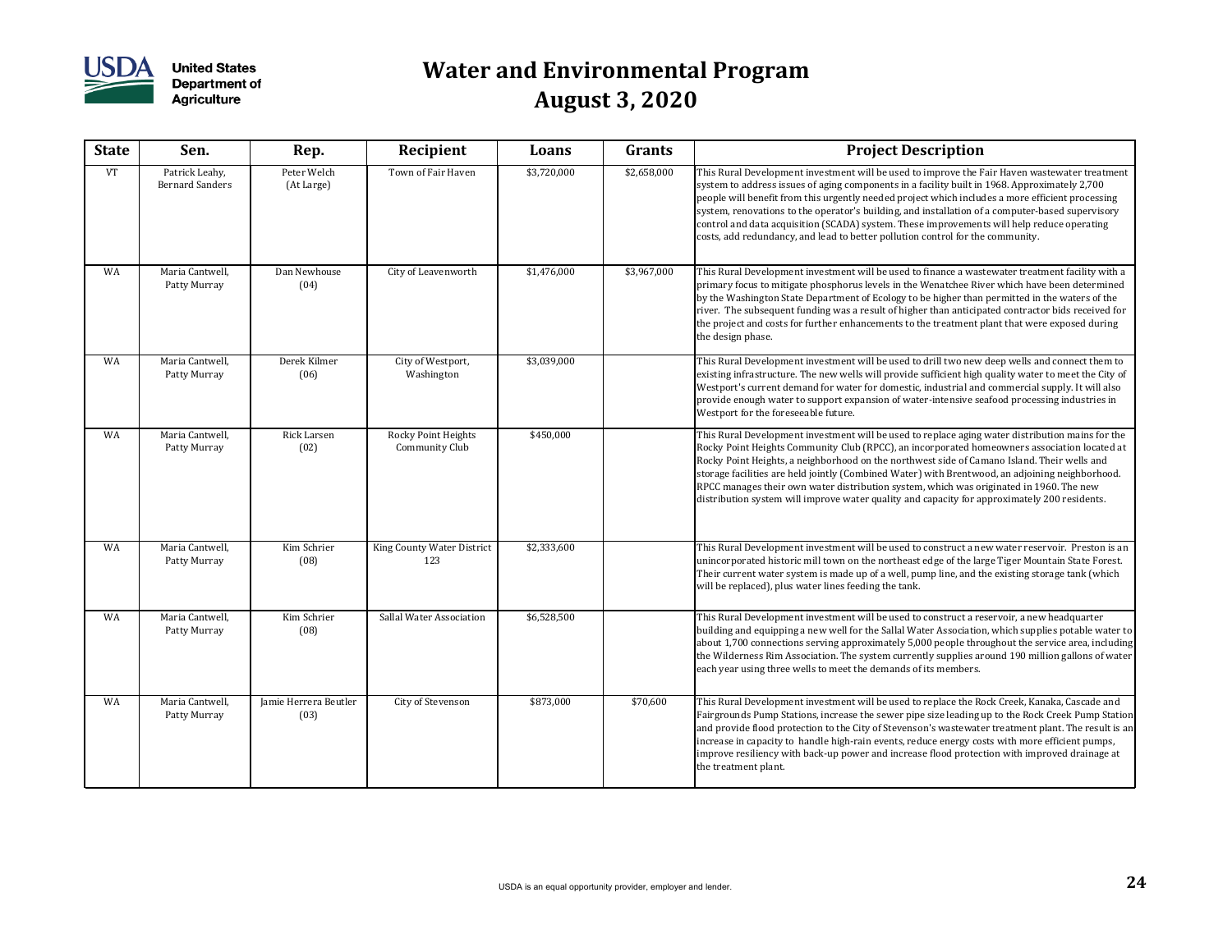

| <b>State</b> | Sen.                                     | Rep.                          | Recipient                             | Loans       | <b>Grants</b> | <b>Project Description</b>                                                                                                                                                                                                                                                                                                                                                                                                                                                                                                                                                                    |
|--------------|------------------------------------------|-------------------------------|---------------------------------------|-------------|---------------|-----------------------------------------------------------------------------------------------------------------------------------------------------------------------------------------------------------------------------------------------------------------------------------------------------------------------------------------------------------------------------------------------------------------------------------------------------------------------------------------------------------------------------------------------------------------------------------------------|
| <b>VT</b>    | Patrick Leahy,<br><b>Bernard Sanders</b> | Peter Welch<br>(At Large)     | Town of Fair Haven                    | \$3,720,000 | \$2,658,000   | This Rural Development investment will be used to improve the Fair Haven wastewater treatment<br>system to address issues of aging components in a facility built in 1968. Approximately 2,700<br>people will benefit from this urgently needed project which includes a more efficient processing<br>system, renovations to the operator's building, and installation of a computer-based supervisory<br>control and data acquisition (SCADA) system. These improvements will help reduce operating<br>costs, add redundancy, and lead to better pollution control for the community.        |
| WA           | Maria Cantwell,<br>Patty Murray          | Dan Newhouse<br>(04)          | City of Leavenworth                   | \$1,476,000 | \$3,967,000   | This Rural Development investment will be used to finance a wastewater treatment facility with a<br>primary focus to mitigate phosphorus levels in the Wenatchee River which have been determined<br>by the Washington State Department of Ecology to be higher than permitted in the waters of the<br>river. The subsequent funding was a result of higher than anticipated contractor bids received for<br>the project and costs for further enhancements to the treatment plant that were exposed during<br>the design phase.                                                              |
| WA           | Maria Cantwell,<br>Patty Murray          | Derek Kilmer<br>(06)          | City of Westport,<br>Washington       | \$3,039,000 |               | This Rural Development investment will be used to drill two new deep wells and connect them to<br>existing infrastructure. The new wells will provide sufficient high quality water to meet the City of<br>Westport's current demand for water for domestic, industrial and commercial supply. It will also<br>provide enough water to support expansion of water-intensive seafood processing industries in<br>Westport for the foreseeable future.                                                                                                                                          |
| <b>WA</b>    | Maria Cantwell,<br>Patty Murray          | Rick Larsen<br>(02)           | Rocky Point Heights<br>Community Club | \$450,000   |               | This Rural Development investment will be used to replace aging water distribution mains for the<br>Rocky Point Heights Community Club (RPCC), an incorporated homeowners association located at<br>Rocky Point Heights, a neighborhood on the northwest side of Camano Island. Their wells and<br>storage facilities are held jointly (Combined Water) with Brentwood, an adjoining neighborhood.<br>RPCC manages their own water distribution system, which was originated in 1960. The new<br>distribution system will improve water quality and capacity for approximately 200 residents. |
| WA           | Maria Cantwell,<br>Patty Murray          | Kim Schrier<br>(08)           | King County Water District<br>123     | \$2,333,600 |               | This Rural Development investment will be used to construct a new water reservoir. Preston is an<br>unincorporated historic mill town on the northeast edge of the large Tiger Mountain State Forest.<br>Their current water system is made up of a well, pump line, and the existing storage tank (which<br>will be replaced), plus water lines feeding the tank.                                                                                                                                                                                                                            |
| WA           | Maria Cantwell,<br>Patty Murray          | Kim Schrier<br>(08)           | Sallal Water Association              | \$6,528,500 |               | This Rural Development investment will be used to construct a reservoir, a new headquarter<br>building and equipping a new well for the Sallal Water Association, which supplies potable water to<br>about 1,700 connections serving approximately 5,000 people throughout the service area, including<br>the Wilderness Rim Association. The system currently supplies around 190 million gallons of water<br>each year using three wells to meet the demands of its members.                                                                                                                |
| <b>WA</b>    | Maria Cantwell,<br>Patty Murray          | Jamie Herrera Beutler<br>(03) | City of Stevenson                     | \$873,000   | \$70,600      | This Rural Development investment will be used to replace the Rock Creek, Kanaka, Cascade and<br>Fairgrounds Pump Stations, increase the sewer pipe size leading up to the Rock Creek Pump Station<br>and provide flood protection to the City of Stevenson's wastewater treatment plant. The result is an<br>increase in capacity to handle high-rain events, reduce energy costs with more efficient pumps,<br>improve resiliency with back-up power and increase flood protection with improved drainage at<br>the treatment plant.                                                        |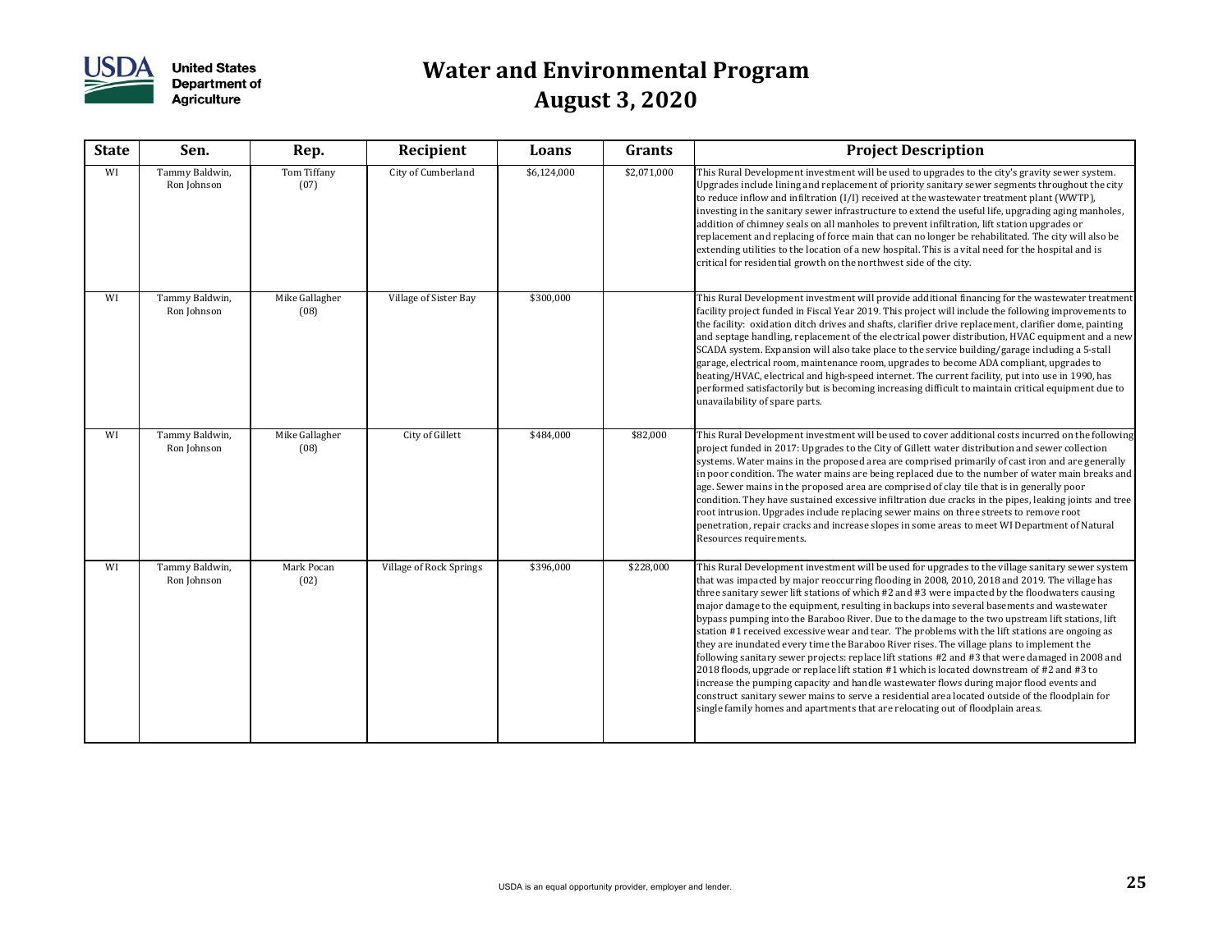

| <b>State</b> | Sen.                          | Rep.                   | Recipient               | Loans       | Grants      | <b>Project Description</b>                                                                                                                                                                                                                                                                                                                                                                                                                                                                                                                                                                                                                                                                                                                                                                                                                                                                                                                                                                                                                                                                                                                                                                |
|--------------|-------------------------------|------------------------|-------------------------|-------------|-------------|-------------------------------------------------------------------------------------------------------------------------------------------------------------------------------------------------------------------------------------------------------------------------------------------------------------------------------------------------------------------------------------------------------------------------------------------------------------------------------------------------------------------------------------------------------------------------------------------------------------------------------------------------------------------------------------------------------------------------------------------------------------------------------------------------------------------------------------------------------------------------------------------------------------------------------------------------------------------------------------------------------------------------------------------------------------------------------------------------------------------------------------------------------------------------------------------|
| WI           | Tammy Baldwin,<br>Ron Johnson | Tom Tiffany<br>(07)    | City of Cumberland      | \$6,124,000 | \$2,071,000 | This Rural Development investment will be used to upgrades to the city's gravity sewer system.<br>Upgrades include lining and replacement of priority sanitary sewer segments throughout the city<br>to reduce inflow and infiltration $[I/I]$ received at the wastewater treatment plant (WWTP),<br>investing in the sanitary sewer infrastructure to extend the useful life, upgrading aging manholes,<br>addition of chimney seals on all manholes to prevent infiltration, lift station upgrades or<br>replacement and replacing of force main that can no longer be rehabilitated. The city will also be<br>extending utilities to the location of a new hospital. This is a vital need for the hospital and is<br>critical for residential growth on the northwest side of the city.                                                                                                                                                                                                                                                                                                                                                                                                |
| WI           | Tammy Baldwin,<br>Ron Johnson | Mike Gallagher<br>(08) | Village of Sister Bay   | \$300,000   |             | This Rural Development investment will provide additional financing for the wastewater treatment<br>facility project funded in Fiscal Year 2019. This project will include the following improvements to<br>the facility: oxidation ditch drives and shafts, clarifier drive replacement, clarifier dome, painting<br>and septage handling, replacement of the electrical power distribution, HVAC equipment and a new<br>SCADA system. Expansion will also take place to the service building/garage including a 5-stall<br>garage, electrical room, maintenance room, upgrades to become ADA compliant, upgrades to<br>heating/HVAC, electrical and high-speed internet. The current facility, put into use in 1990, has<br>performed satisfactorily but is becoming increasing difficult to maintain critical equipment due to<br>unavailability of spare parts.                                                                                                                                                                                                                                                                                                                       |
| WI           | Tammy Baldwin,<br>Ron Johnson | Mike Gallagher<br>(08) | City of Gillett         | \$484,000   | \$82,000    | This Rural Development investment will be used to cover additional costs incurred on the following<br>project funded in 2017: Upgrades to the City of Gillett water distribution and sewer collection<br>systems. Water mains in the proposed area are comprised primarily of cast iron and are generally<br>in poor condition. The water mains are being replaced due to the number of water main breaks and<br>age. Sewer mains in the proposed area are comprised of clay tile that is in generally poor<br>condition. They have sustained excessive infiltration due cracks in the pipes, leaking joints and tree<br>root intrusion. Upgrades include replacing sewer mains on three streets to remove root<br>penetration, repair cracks and increase slopes in some areas to meet WI Department of Natural<br>Resources requirements.                                                                                                                                                                                                                                                                                                                                               |
| WI           | Tammy Baldwin,<br>Ron Johnson | Mark Pocan<br>(02)     | Village of Rock Springs | \$396,000   | \$228,000   | This Rural Development investment will be used for upgrades to the village sanitary sewer system<br>that was impacted by major reoccurring flooding in 2008, 2010, 2018 and 2019. The village has<br>three sanitary sewer lift stations of which #2 and #3 were impacted by the floodwaters causing<br>major damage to the equipment, resulting in backups into several basements and wastewater<br>bypass pumping into the Baraboo River. Due to the damage to the two upstream lift stations, lift<br>station #1 received excessive wear and tear. The problems with the lift stations are ongoing as<br>they are inundated every time the Baraboo River rises. The village plans to implement the<br>following sanitary sewer projects: replace lift stations #2 and #3 that were damaged in 2008 and<br>2018 floods, upgrade or replace lift station #1 which is located downstream of #2 and #3 to<br>increase the pumping capacity and handle wastewater flows during major flood events and<br>construct sanitary sewer mains to serve a residential area located outside of the floodplain for<br>single family homes and apartments that are relocating out of floodplain areas. |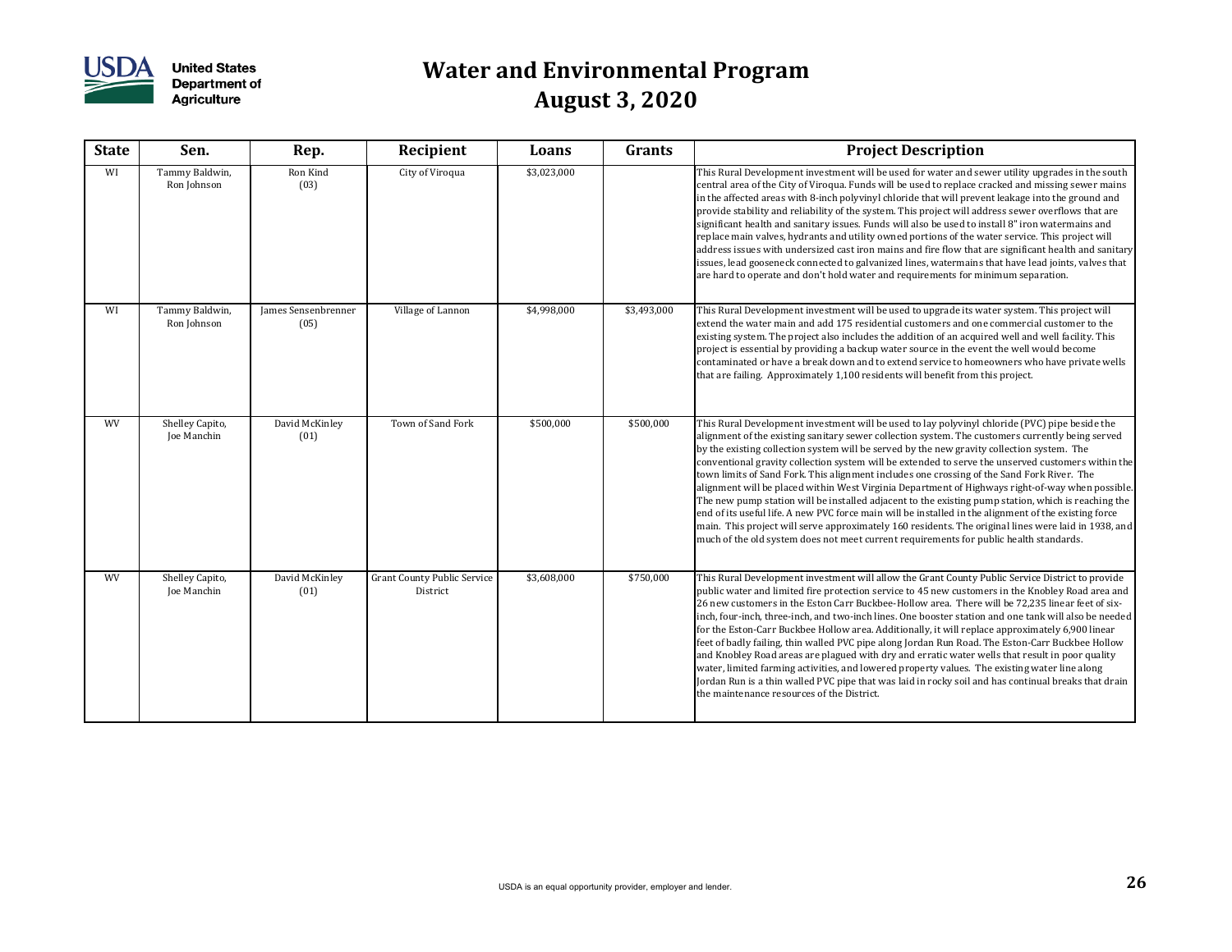

| <b>State</b> | Sen.                           | Rep.                        | Recipient                                      | Loans       | Grants      | <b>Project Description</b>                                                                                                                                                                                                                                                                                                                                                                                                                                                                                                                                                                                                                                                                                                                                                                                                                                                                                                                                                                                                 |
|--------------|--------------------------------|-----------------------------|------------------------------------------------|-------------|-------------|----------------------------------------------------------------------------------------------------------------------------------------------------------------------------------------------------------------------------------------------------------------------------------------------------------------------------------------------------------------------------------------------------------------------------------------------------------------------------------------------------------------------------------------------------------------------------------------------------------------------------------------------------------------------------------------------------------------------------------------------------------------------------------------------------------------------------------------------------------------------------------------------------------------------------------------------------------------------------------------------------------------------------|
| WI           | Tammy Baldwin,<br>Ron Johnson  | Ron Kind<br>(03)            | City of Viroqua                                | \$3,023,000 |             | This Rural Development investment will be used for water and sewer utility upgrades in the south<br>central area of the City of Viroqua. Funds will be used to replace cracked and missing sewer mains<br>in the affected areas with 8-inch polyvinyl chloride that will prevent leakage into the ground and<br>provide stability and reliability of the system. This project will address sewer overflows that are<br>significant health and sanitary issues. Funds will also be used to install 8" iron watermains and<br>replace main valves, hydrants and utility owned portions of the water service. This project will<br>address issues with undersized cast iron mains and fire flow that are significant health and sanitary<br>issues, lead gooseneck connected to galvanized lines, watermains that have lead joints, valves that<br>are hard to operate and don't hold water and requirements for minimum separation.                                                                                          |
| WI           | Tammy Baldwin,<br>Ron Johnson  | James Sensenbrenner<br>(05) | Village of Lannon                              | \$4,998,000 | \$3,493,000 | This Rural Development investment will be used to upgrade its water system. This project will<br>extend the water main and add 175 residential customers and one commercial customer to the<br>existing system. The project also includes the addition of an acquired well and well facility. This<br>project is essential by providing a backup water source in the event the well would become<br>contaminated or have a break down and to extend service to homeowners who have private wells<br>that are failing. Approximately 1,100 residents will benefit from this project.                                                                                                                                                                                                                                                                                                                                                                                                                                        |
| <b>WV</b>    | Shelley Capito,<br>Joe Manchin | David McKinley<br>(01)      | Town of Sand Fork                              | \$500,000   | \$500,000   | This Rural Development investment will be used to lay polyvinyl chloride (PVC) pipe beside the<br>alignment of the existing sanitary sewer collection system. The customers currently being served<br>by the existing collection system will be served by the new gravity collection system. The<br>conventional gravity collection system will be extended to serve the unserved customers within the<br>town limits of Sand Fork. This alignment includes one crossing of the Sand Fork River. The<br>alignment will be placed within West Virginia Department of Highways right-of-way when possible.<br>The new pump station will be installed adjacent to the existing pump station, which is reaching the<br>end of its useful life. A new PVC force main will be installed in the alignment of the existing force<br>main. This project will serve approximately 160 residents. The original lines were laid in 1938, and<br>much of the old system does not meet current requirements for public health standards. |
| <b>WV</b>    | Shelley Capito,<br>Joe Manchin | David McKinley<br>(01)      | <b>Grant County Public Service</b><br>District | \$3,608,000 | \$750,000   | This Rural Development investment will allow the Grant County Public Service District to provide<br>public water and limited fire protection service to 45 new customers in the Knobley Road area and<br>26 new customers in the Eston Carr Buckbee-Hollow area. There will be 72,235 linear feet of six-<br>inch, four-inch, three-inch, and two-inch lines. One booster station and one tank will also be needed<br>for the Eston-Carr Buckbee Hollow area. Additionally, it will replace approximately 6,900 linear<br>feet of badly failing, thin walled PVC pipe along Jordan Run Road. The Eston-Carr Buckbee Hollow<br>and Knobley Road areas are plagued with dry and erratic water wells that result in poor quality<br>water, limited farming activities, and lowered property values. The existing water line along<br>Jordan Run is a thin walled PVC pipe that was laid in rocky soil and has continual breaks that drain<br>the maintenance resources of the District.                                       |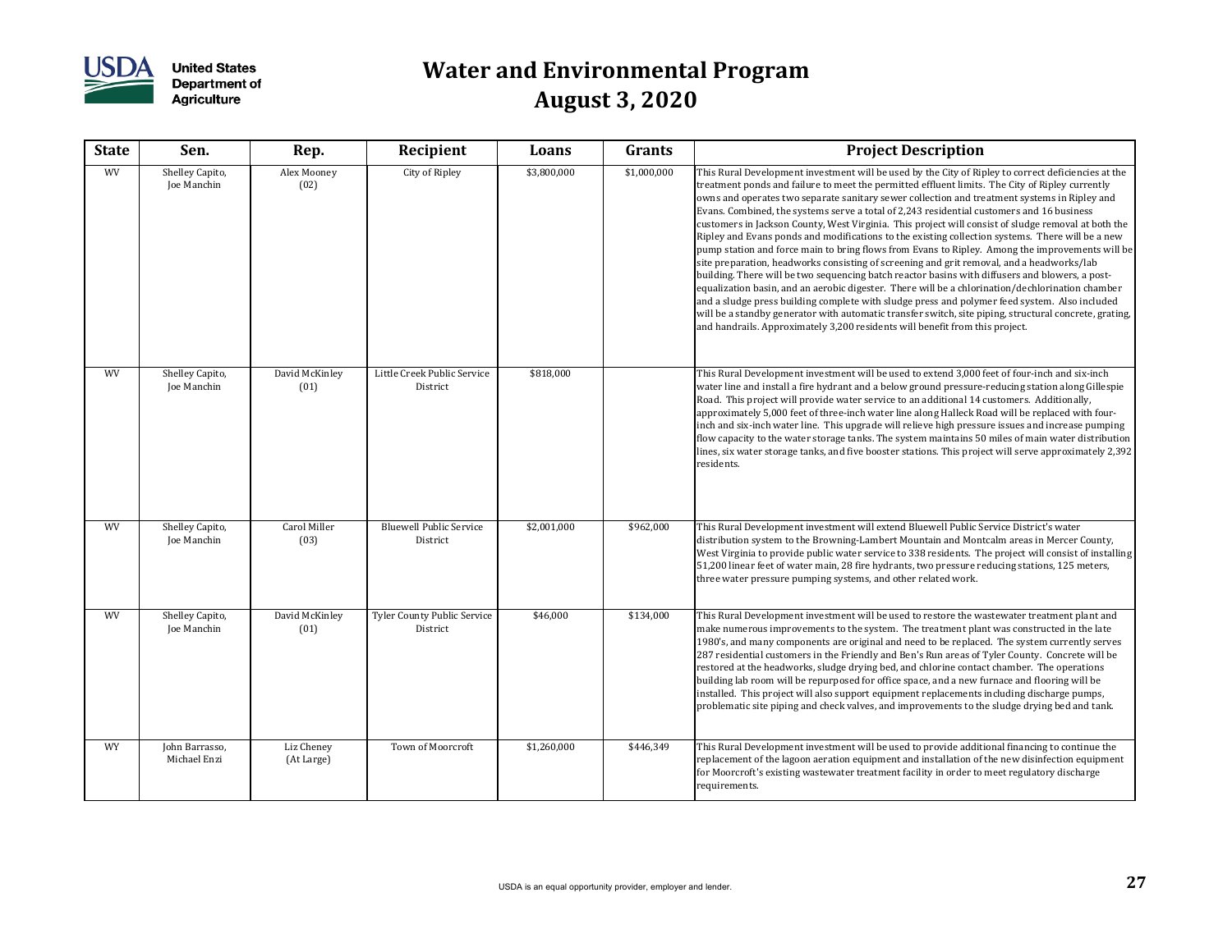

| <b>State</b> | Sen.                           | Rep.                     | Recipient                                      | Loans       | Grants      | <b>Project Description</b>                                                                                                                                                                                                                                                                                                                                                                                                                                                                                                                                                                                                                                                                                                                                                                                                                                                                                                                                                                                                                                                                                                                                                                                                                                                                                       |
|--------------|--------------------------------|--------------------------|------------------------------------------------|-------------|-------------|------------------------------------------------------------------------------------------------------------------------------------------------------------------------------------------------------------------------------------------------------------------------------------------------------------------------------------------------------------------------------------------------------------------------------------------------------------------------------------------------------------------------------------------------------------------------------------------------------------------------------------------------------------------------------------------------------------------------------------------------------------------------------------------------------------------------------------------------------------------------------------------------------------------------------------------------------------------------------------------------------------------------------------------------------------------------------------------------------------------------------------------------------------------------------------------------------------------------------------------------------------------------------------------------------------------|
| WV           | Shelley Capito,<br>Joe Manchin | Alex Mooney<br>(02)      | City of Ripley                                 | \$3,800,000 | \$1,000,000 | This Rural Development investment will be used by the City of Ripley to correct deficiencies at the<br>treatment ponds and failure to meet the permitted effluent limits. The City of Ripley currently<br>owns and operates two separate sanitary sewer collection and treatment systems in Ripley and<br>Evans. Combined, the systems serve a total of 2,243 residential customers and 16 business<br>customers in Jackson County, West Virginia. This project will consist of sludge removal at both the<br>Ripley and Evans ponds and modifications to the existing collection systems. There will be a new<br>pump station and force main to bring flows from Evans to Ripley. Among the improvements will be<br>site preparation, headworks consisting of screening and grit removal, and a headworks/lab<br>building. There will be two sequencing batch reactor basins with diffusers and blowers, a post-<br>equalization basin, and an aerobic digester. There will be a chlorination/dechlorination chamber<br>and a sludge press building complete with sludge press and polymer feed system. Also included<br>will be a standby generator with automatic transfer switch, site piping, structural concrete, grating,<br>and handrails. Approximately 3,200 residents will benefit from this project. |
| WV           | Shelley Capito,<br>Joe Manchin | David McKinley<br>(01)   | Little Creek Public Service<br>District        | \$818,000   |             | This Rural Development investment will be used to extend 3,000 feet of four-inch and six-inch<br>water line and install a fire hydrant and a below ground pressure-reducing station along Gillespie<br>Road. This project will provide water service to an additional 14 customers. Additionally,<br>approximately 5,000 feet of three-inch water line along Halleck Road will be replaced with four-<br>inch and six-inch water line. This upgrade will relieve high pressure issues and increase pumping<br>flow capacity to the water storage tanks. The system maintains 50 miles of main water distribution<br>lines, six water storage tanks, and five booster stations. This project will serve approximately 2,392<br>residents.                                                                                                                                                                                                                                                                                                                                                                                                                                                                                                                                                                         |
| WV           | Shelley Capito,<br>Joe Manchin | Carol Miller<br>(03)     | <b>Bluewell Public Service</b><br>District     | \$2,001,000 | \$962,000   | This Rural Development investment will extend Bluewell Public Service District's water<br>distribution system to the Browning-Lambert Mountain and Montcalm areas in Mercer County,<br>West Virginia to provide public water service to 338 residents. The project will consist of installing<br>51,200 linear feet of water main, 28 fire hydrants, two pressure reducing stations, 125 meters,<br>three water pressure pumping systems, and other related work.                                                                                                                                                                                                                                                                                                                                                                                                                                                                                                                                                                                                                                                                                                                                                                                                                                                |
| WV           | Shelley Capito,<br>Joe Manchin | David McKinley<br>(01)   | <b>Tyler County Public Service</b><br>District | \$46,000    | \$134,000   | This Rural Development investment will be used to restore the wastewater treatment plant and<br>make numerous improvements to the system. The treatment plant was constructed in the late<br>1980's, and many components are original and need to be replaced. The system currently serves<br>287 residential customers in the Friendly and Ben's Run areas of Tyler County. Concrete will be<br>restored at the headworks, sludge drying bed, and chlorine contact chamber. The operations<br>building lab room will be repurposed for office space, and a new furnace and flooring will be<br>installed. This project will also support equipment replacements including discharge pumps,<br>problematic site piping and check valves, and improvements to the sludge drying bed and tank.                                                                                                                                                                                                                                                                                                                                                                                                                                                                                                                     |
| <b>WY</b>    | John Barrasso,<br>Michael Enzi | Liz Cheney<br>(At Large) | Town of Moorcroft                              | \$1,260,000 | \$446,349   | This Rural Development investment will be used to provide additional financing to continue the<br>replacement of the lagoon aeration equipment and installation of the new disinfection equipment<br>for Moorcroft's existing wastewater treatment facility in order to meet regulatory discharge<br>requirements.                                                                                                                                                                                                                                                                                                                                                                                                                                                                                                                                                                                                                                                                                                                                                                                                                                                                                                                                                                                               |